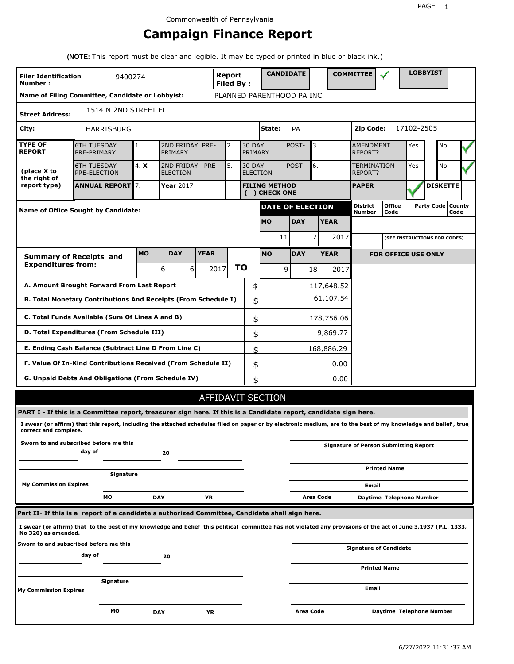# **Campaign Finance Report**

**(NOTE:** This report must be clear and legible. It may be typed or printed in blue or black ink.)

| <b>Filer Identification</b><br>Number: | 9400274                                                                                                                                                         |           |                                    |             | Report<br><b>Filed By:</b> |                          | <b>CANDIDATE</b>                      |            |           |             | <b>COMMITTEE</b>              |                                              |            | <b>LOBBYIST</b>   |                |  |
|----------------------------------------|-----------------------------------------------------------------------------------------------------------------------------------------------------------------|-----------|------------------------------------|-------------|----------------------------|--------------------------|---------------------------------------|------------|-----------|-------------|-------------------------------|----------------------------------------------|------------|-------------------|----------------|--|
|                                        | Name of Filing Committee, Candidate or Lobbyist:                                                                                                                |           |                                    |             |                            |                          | PLANNED PARENTHOOD PA INC             |            |           |             |                               |                                              |            |                   |                |  |
| <b>Street Address:</b>                 | 1514 N 2ND STREET FL                                                                                                                                            |           |                                    |             |                            |                          |                                       |            |           |             |                               |                                              |            |                   |                |  |
| City:                                  | HARRISBURG                                                                                                                                                      |           |                                    |             |                            |                          | State:                                | PA         |           |             | <b>Zip Code:</b>              |                                              | 17102-2505 |                   |                |  |
| <b>TYPE OF</b><br><b>REPORT</b>        | <b>6TH TUESDAY</b><br>PRE-PRIMARY                                                                                                                               | 1.        | 2ND FRIDAY PRE-<br>PRIMARY         |             | 2.                         | <b>30 DAY</b><br>PRIMARY |                                       | POST-      | 3.        |             | AMENDMENT<br>REPORT?          |                                              | Yes        | No                |                |  |
| (place X to<br>the right of            | <b>6TH TUESDAY</b><br>PRE-ELECTION                                                                                                                              | 4. X      | 2ND FRIDAY PRE-<br><b>ELECTION</b> |             | 5.                         | <b>30 DAY</b>            | <b>ELECTION</b>                       | POST-      | 6.        |             | <b>TERMINATION</b><br>REPORT? |                                              | Yes        | No                |                |  |
| report type)                           | <b>ANNUAL REPORT</b> 7.                                                                                                                                         |           | Year 2017                          |             |                            |                          | <b>FILING METHOD</b><br>( ) CHECK ONE |            |           |             | <b>PAPER</b>                  |                                              |            | <b>DISKETTE</b>   |                |  |
|                                        | Name of Office Sought by Candidate:                                                                                                                             |           |                                    |             |                            |                          | <b>DATE OF ELECTION</b>               |            |           |             | <b>District</b><br>Number     | <b>Office</b><br>Code                        |            | <b>Party Code</b> | County<br>Code |  |
|                                        |                                                                                                                                                                 |           |                                    |             |                            |                          | <b>MO</b>                             | <b>DAY</b> |           | <b>YEAR</b> |                               |                                              |            |                   |                |  |
|                                        |                                                                                                                                                                 |           |                                    |             |                            |                          | 11                                    |            | 7         | 2017        |                               | (SEE INSTRUCTIONS FOR CODES)                 |            |                   |                |  |
|                                        | <b>Summary of Receipts and</b>                                                                                                                                  | <b>MO</b> | <b>DAY</b>                         | <b>YEAR</b> |                            |                          | <b>MO</b>                             | <b>DAY</b> |           | <b>YEAR</b> |                               | <b>FOR OFFICE USE ONLY</b>                   |            |                   |                |  |
| <b>Expenditures from:</b>              |                                                                                                                                                                 |           | 6<br>6                             |             | 2017                       | <b>TO</b>                | 9                                     |            | 18        | 2017        |                               |                                              |            |                   |                |  |
|                                        | A. Amount Brought Forward From Last Report                                                                                                                      |           |                                    |             |                            | \$                       |                                       |            |           | 117,648.52  |                               |                                              |            |                   |                |  |
|                                        | B. Total Monetary Contributions And Receipts (From Schedule I)                                                                                                  |           |                                    |             |                            | \$                       |                                       |            |           | 61,107.54   |                               |                                              |            |                   |                |  |
|                                        | C. Total Funds Available (Sum Of Lines A and B)                                                                                                                 |           |                                    |             |                            | \$                       |                                       |            |           | 178,756.06  |                               |                                              |            |                   |                |  |
|                                        | D. Total Expenditures (From Schedule III)                                                                                                                       |           |                                    |             |                            | \$                       |                                       |            |           | 9,869.77    |                               |                                              |            |                   |                |  |
|                                        | E. Ending Cash Balance (Subtract Line D From Line C)                                                                                                            |           |                                    |             |                            | \$                       |                                       |            |           | 168,886.29  |                               |                                              |            |                   |                |  |
|                                        | F. Value Of In-Kind Contributions Received (From Schedule II)                                                                                                   |           |                                    |             |                            |                          | \$                                    |            |           | 0.00        |                               |                                              |            |                   |                |  |
|                                        | G. Unpaid Debts And Obligations (From Schedule IV)                                                                                                              |           |                                    |             |                            | \$                       |                                       |            |           | 0.00        |                               |                                              |            |                   |                |  |
|                                        |                                                                                                                                                                 |           |                                    |             |                            |                          | <b>AFFIDAVIT SECTION</b>              |            |           |             |                               |                                              |            |                   |                |  |
|                                        | PART I - If this is a Committee report, treasurer sign here. If this is a Candidate report, candidate sign here.                                                |           |                                    |             |                            |                          |                                       |            |           |             |                               |                                              |            |                   |                |  |
| correct and complete.                  | I swear (or affirm) that this report, including the attached schedules filed on paper or by electronic medium, are to the best of my knowledge and belief, true |           |                                    |             |                            |                          |                                       |            |           |             |                               |                                              |            |                   |                |  |
|                                        | Sworn to and subscribed before me this<br>day of                                                                                                                |           | 20                                 |             |                            |                          |                                       |            |           |             |                               | <b>Signature of Person Submitting Report</b> |            |                   |                |  |
|                                        | Signature                                                                                                                                                       |           |                                    |             |                            |                          |                                       |            |           |             |                               | <b>Printed Name</b>                          |            |                   |                |  |
| <b>My Commission Expires</b>           |                                                                                                                                                                 |           |                                    |             |                            |                          |                                       |            |           |             | Email                         |                                              |            |                   |                |  |
|                                        | МO                                                                                                                                                              |           | <b>DAY</b>                         | YR          |                            |                          |                                       |            | Area Code |             |                               | Daytime Telephone Number                     |            |                   |                |  |
|                                        | Part II- If this is a report of a candidate's authorized Committee, Candidate shall sign here.                                                                  |           |                                    |             |                            |                          |                                       |            |           |             |                               |                                              |            |                   |                |  |
| No 320) as amended.                    | I swear (or affirm) that to the best of my knowledge and belief this political committee has not violated any provisions of the act of June 3,1937 (P.L. 1333,  |           |                                    |             |                            |                          |                                       |            |           |             |                               |                                              |            |                   |                |  |
|                                        | Sworn to and subscribed before me this<br>day of                                                                                                                |           | 20                                 |             |                            |                          |                                       |            |           |             |                               | <b>Signature of Candidate</b>                |            |                   |                |  |
|                                        |                                                                                                                                                                 |           |                                    |             |                            |                          |                                       |            |           |             |                               | <b>Printed Name</b>                          |            |                   |                |  |
| <b>My Commission Expires</b>           | Signature                                                                                                                                                       |           |                                    |             |                            |                          |                                       |            |           |             | Email                         |                                              |            |                   |                |  |
|                                        |                                                                                                                                                                 |           |                                    |             |                            |                          |                                       |            |           |             |                               |                                              |            |                   |                |  |
|                                        | МO                                                                                                                                                              |           | DAY                                | ΥR          |                            |                          |                                       | Area Code  |           |             |                               | Daytime Telephone Number                     |            |                   |                |  |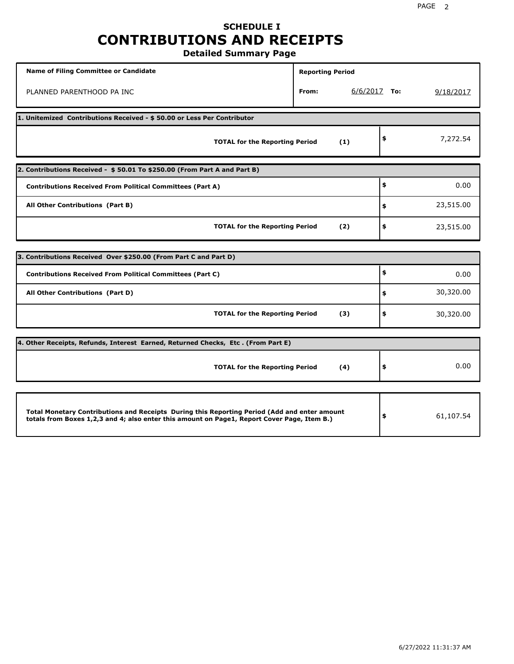# **SCHEDULE I CONTRIBUTIONS AND RECEIPTS**

**Detailed Summary Page**

| <b>Name of Filing Committee or Candidate</b>                                                                                                                                                | <b>Reporting Period</b> |                |           |
|---------------------------------------------------------------------------------------------------------------------------------------------------------------------------------------------|-------------------------|----------------|-----------|
| PLANNED PARENTHOOD PA INC                                                                                                                                                                   | From:                   | $6/6/2017$ To: | 9/18/2017 |
| 1. Unitemized Contributions Received - \$50.00 or Less Per Contributor                                                                                                                      |                         |                |           |
| <b>TOTAL for the Reporting Period</b>                                                                                                                                                       | (1)                     | \$             | 7,272.54  |
| 2. Contributions Received - \$50.01 To \$250.00 (From Part A and Part B)                                                                                                                    |                         |                |           |
| <b>Contributions Received From Political Committees (Part A)</b>                                                                                                                            |                         | \$             | 0.00      |
| All Other Contributions (Part B)                                                                                                                                                            |                         | \$             | 23,515.00 |
| <b>TOTAL for the Reporting Period</b>                                                                                                                                                       | (2)                     | \$             | 23,515.00 |
|                                                                                                                                                                                             |                         |                |           |
| 3. Contributions Received Over \$250.00 (From Part C and Part D)                                                                                                                            |                         |                |           |
| <b>Contributions Received From Political Committees (Part C)</b>                                                                                                                            |                         | \$             | 0.00      |
| All Other Contributions (Part D)                                                                                                                                                            |                         | \$             | 30,320.00 |
| <b>TOTAL for the Reporting Period</b>                                                                                                                                                       | (3)                     | \$             | 30,320.00 |
| 4. Other Receipts, Refunds, Interest Earned, Returned Checks, Etc. (From Part E)                                                                                                            |                         |                |           |
| <b>TOTAL for the Reporting Period</b>                                                                                                                                                       | (4)                     | \$             | 0.00      |
|                                                                                                                                                                                             |                         |                |           |
| Total Monetary Contributions and Receipts During this Reporting Period (Add and enter amount<br>totals from Boxes 1,2,3 and 4; also enter this amount on Page1, Report Cover Page, Item B.) |                         | \$             | 61,107.54 |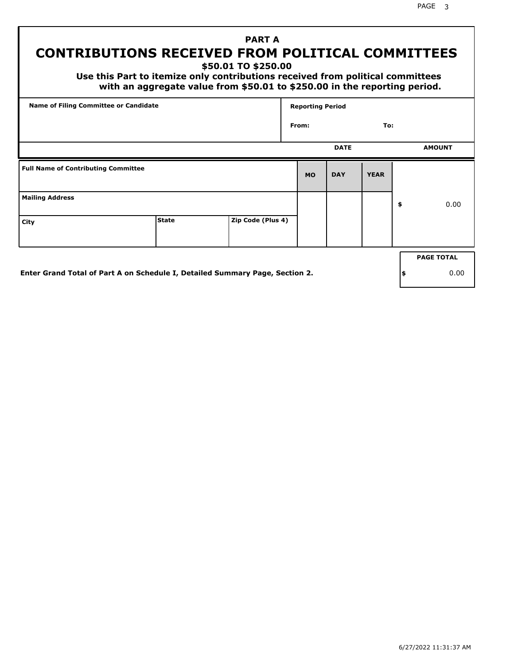# **CONTRIBUTIONS RECEIVED FROM POLITICAL COMMITTEES**

**\$50.01 TO \$250.00**

 **Use this Part to itemize only contributions received from political committees with an aggregate value from \$50.01 to \$250.00 in the reporting period.**

 **PART A**

| Name of Filing Committee or Candidate      |              |                   | <b>Reporting Period</b> |             |             |                   |
|--------------------------------------------|--------------|-------------------|-------------------------|-------------|-------------|-------------------|
|                                            |              |                   | From:                   |             | To:         |                   |
|                                            |              |                   |                         | <b>DATE</b> |             | <b>AMOUNT</b>     |
| <b>Full Name of Contributing Committee</b> |              |                   | <b>MO</b>               | <b>DAY</b>  | <b>YEAR</b> |                   |
| <b>Mailing Address</b>                     |              |                   |                         |             |             | \$<br>0.00        |
| City                                       | <b>State</b> | Zip Code (Plus 4) |                         |             |             |                   |
|                                            |              |                   |                         |             |             | <b>PAGE TOTAL</b> |
|                                            |              |                   |                         |             |             |                   |

**Enter Grand Total of Part A on Schedule I, Detailed Summary Page, Section 2.**

**\$** 0.00

PAGE 3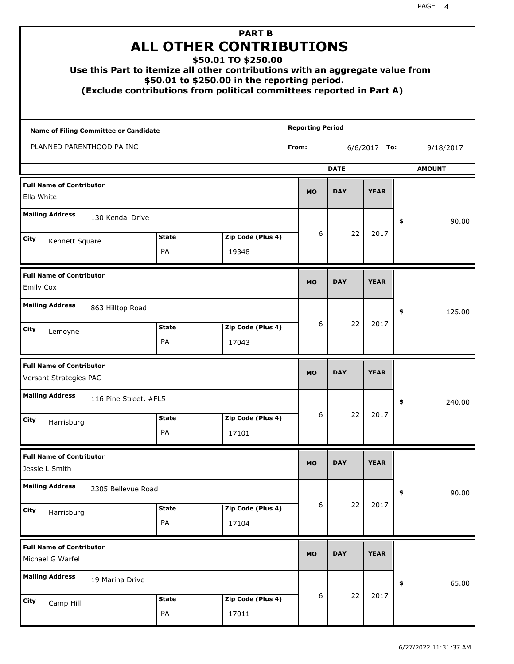| Use this Part to itemize all other contributions with an aggregate value from |                    | <b>PART B</b><br><b>ALL OTHER CONTRIBUTIONS</b><br>\$50.01 TO \$250.00<br>\$50.01 to \$250.00 in the reporting period.<br>(Exclude contributions from political committees reported in Part A) |                         |             |                |    |               |
|-------------------------------------------------------------------------------|--------------------|------------------------------------------------------------------------------------------------------------------------------------------------------------------------------------------------|-------------------------|-------------|----------------|----|---------------|
| <b>Name of Filing Committee or Candidate</b>                                  |                    |                                                                                                                                                                                                | <b>Reporting Period</b> |             |                |    |               |
| PLANNED PARENTHOOD PA INC                                                     |                    |                                                                                                                                                                                                | From:                   |             | $6/6/2017$ To: |    | 9/18/2017     |
|                                                                               |                    |                                                                                                                                                                                                |                         | <b>DATE</b> |                |    | <b>AMOUNT</b> |
| <b>Full Name of Contributor</b><br>Ella White                                 |                    |                                                                                                                                                                                                | <b>MO</b>               | <b>DAY</b>  | <b>YEAR</b>    |    |               |
| <b>Mailing Address</b><br>130 Kendal Drive                                    |                    |                                                                                                                                                                                                |                         |             |                | \$ | 90.00         |
| City                                                                          | <b>State</b>       | Zip Code (Plus 4)                                                                                                                                                                              | 6                       | 22          | 2017           |    |               |
| Kennett Square                                                                | PA                 | 19348                                                                                                                                                                                          |                         |             |                |    |               |
| <b>Full Name of Contributor</b><br><b>Emily Cox</b>                           |                    |                                                                                                                                                                                                | <b>MO</b>               | <b>DAY</b>  | <b>YEAR</b>    |    |               |
| <b>Mailing Address</b><br>863 Hilltop Road                                    |                    |                                                                                                                                                                                                |                         |             |                | \$ | 125.00        |
| City<br>Lemoyne                                                               | <b>State</b><br>PA | Zip Code (Plus 4)<br>17043                                                                                                                                                                     | 6                       | 22          | 2017           |    |               |
| <b>Full Name of Contributor</b><br>Versant Strategies PAC                     |                    |                                                                                                                                                                                                | <b>MO</b>               | <b>DAY</b>  | <b>YEAR</b>    |    |               |
| <b>Mailing Address</b><br>116 Pine Street, #FL5                               |                    |                                                                                                                                                                                                |                         |             |                | ÷, | 240.00        |
| <b>City</b><br>Harrisburg                                                     | <b>State</b>       | Zip Code (Plus 4)                                                                                                                                                                              | 6                       | 22          | 2017           |    |               |
|                                                                               | PA                 | 17101                                                                                                                                                                                          |                         |             |                |    |               |
| <b>Full Name of Contributor</b><br>Jessie L Smith                             |                    |                                                                                                                                                                                                | <b>MO</b>               | <b>DAY</b>  | <b>YEAR</b>    |    |               |
| <b>Mailing Address</b><br>2305 Bellevue Road                                  |                    |                                                                                                                                                                                                |                         |             |                | \$ | 90.00         |
| City<br>Harrisburg                                                            | <b>State</b><br>PA | Zip Code (Plus 4)<br>17104                                                                                                                                                                     | 6                       | 22          | 2017           |    |               |
| <b>Full Name of Contributor</b><br>Michael G Warfel                           |                    |                                                                                                                                                                                                | <b>MO</b>               | <b>DAY</b>  | <b>YEAR</b>    |    |               |
| <b>Mailing Address</b><br>19 Marina Drive                                     |                    |                                                                                                                                                                                                |                         |             |                | \$ | 65.00         |
| City<br>Camp Hill                                                             | <b>State</b><br>PA | Zip Code (Plus 4)<br>17011                                                                                                                                                                     | 6                       | 22          | 2017           |    |               |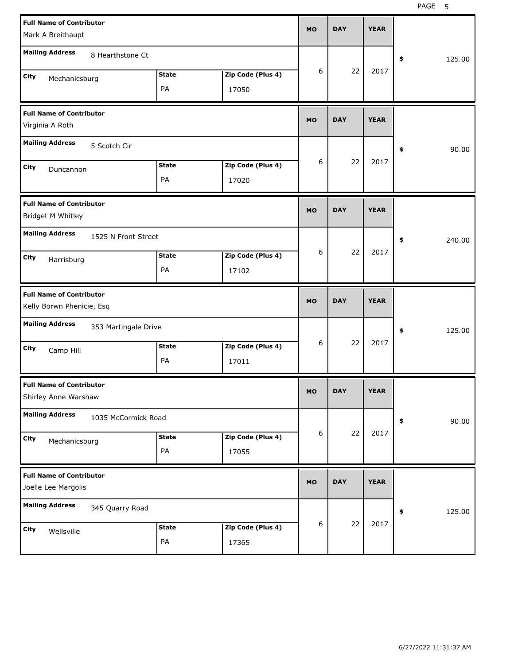PAGE 5

| <b>Full Name of Contributor</b><br>Mark A Breithaupt         |              |                   | <b>MO</b> | <b>DAY</b> | <b>YEAR</b> |                      |
|--------------------------------------------------------------|--------------|-------------------|-----------|------------|-------------|----------------------|
| <b>Mailing Address</b><br>8 Hearthstone Ct                   |              |                   |           |            |             | 125.00<br>\$         |
| <b>City</b><br>Mechanicsburg                                 | <b>State</b> | Zip Code (Plus 4) | 6         | 22         | 2017        |                      |
|                                                              | PA           | 17050             |           |            |             |                      |
| <b>Full Name of Contributor</b><br>Virginia A Roth           |              |                   | <b>MO</b> | <b>DAY</b> | <b>YEAR</b> |                      |
| <b>Mailing Address</b><br>5 Scotch Cir                       |              |                   |           |            |             | \$<br>90.00          |
| <b>City</b><br>Duncannon                                     | <b>State</b> | Zip Code (Plus 4) | 6         | 22         | 2017        |                      |
|                                                              | PA           | 17020             |           |            |             |                      |
| <b>Full Name of Contributor</b><br>Bridget M Whitley         |              |                   | <b>MO</b> | <b>DAY</b> | <b>YEAR</b> |                      |
| <b>Mailing Address</b><br>1525 N Front Street                |              |                   |           |            |             | \$<br>240.00         |
| <b>City</b><br>Harrisburg                                    | <b>State</b> | Zip Code (Plus 4) | 6         | 22         | 2017        |                      |
|                                                              | PA           | 17102             |           |            |             |                      |
|                                                              |              |                   |           |            |             |                      |
| <b>Full Name of Contributor</b><br>Kelly Borwn Phenicie, Esq |              |                   | <b>MO</b> | <b>DAY</b> | <b>YEAR</b> |                      |
| <b>Mailing Address</b><br>353 Martingale Drive               |              |                   |           |            |             | \$<br>125.00         |
| <b>City</b>                                                  | <b>State</b> | Zip Code (Plus 4) | 6         | 22         | 2017        |                      |
| Camp Hill                                                    | PA           | 17011             |           |            |             |                      |
| <b>Full Name of Contributor</b><br>Shirley Anne Warshaw      |              |                   | <b>MO</b> | DAY        | YEAK        |                      |
| <b>Mailing Address</b><br>1035 McCormick Road                |              |                   |           |            |             | 90.00<br>$\clubsuit$ |
| City                                                         | <b>State</b> | Zip Code (Plus 4) | 6         | 22         | 2017        |                      |
| Mechanicsburg                                                | PA           | 17055             |           |            |             |                      |
| <b>Full Name of Contributor</b><br>Joelle Lee Margolis       |              |                   | <b>MO</b> | <b>DAY</b> | <b>YEAR</b> |                      |
| <b>Mailing Address</b><br>345 Quarry Road                    |              |                   |           |            |             | $\pmb{\$}$<br>125.00 |
| City<br>Wellsville                                           | <b>State</b> | Zip Code (Plus 4) | 6         | 22         | 2017        |                      |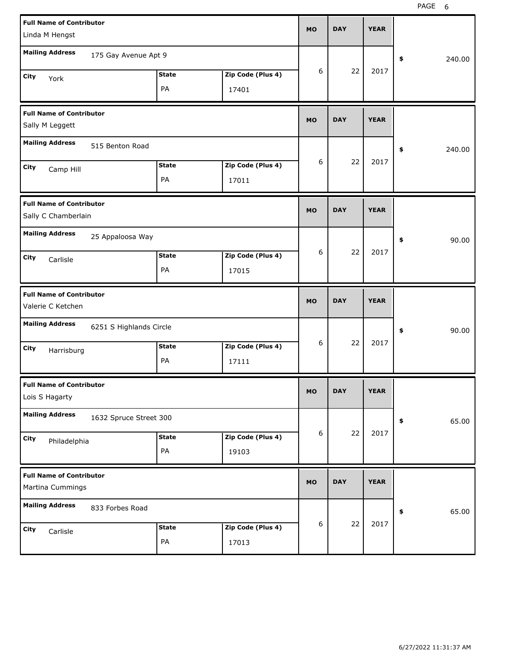| <b>Full Name of Contributor</b><br>Linda M Hengst      |                         |              |                   | MO               | <b>DAY</b> | <b>YEAR</b> |              |
|--------------------------------------------------------|-------------------------|--------------|-------------------|------------------|------------|-------------|--------------|
| <b>Mailing Address</b>                                 | 175 Gay Avenue Apt 9    |              |                   |                  |            |             | \$<br>240.00 |
| City<br>York                                           |                         | <b>State</b> | Zip Code (Plus 4) | 6                | 22         | 2017        |              |
|                                                        |                         | PA           | 17401             |                  |            |             |              |
| <b>Full Name of Contributor</b><br>Sally M Leggett     |                         |              |                   | <b>MO</b>        | <b>DAY</b> | <b>YEAR</b> |              |
| <b>Mailing Address</b>                                 | 515 Benton Road         |              |                   |                  |            |             | \$<br>240.00 |
| City<br>Camp Hill                                      |                         | <b>State</b> | Zip Code (Plus 4) | 6                | 22         | 2017        |              |
|                                                        |                         | PA           | 17011             |                  |            |             |              |
| <b>Full Name of Contributor</b><br>Sally C Chamberlain |                         |              |                   | MO               | <b>DAY</b> | <b>YEAR</b> |              |
| <b>Mailing Address</b>                                 | 25 Appaloosa Way        |              |                   |                  |            |             | \$<br>90.00  |
| City<br>Carlisle                                       |                         | <b>State</b> | Zip Code (Plus 4) | 6                | 22         | 2017        |              |
|                                                        |                         | PA           | 17015             |                  |            |             |              |
|                                                        |                         |              |                   |                  |            |             |              |
| <b>Full Name of Contributor</b><br>Valerie C Ketchen   |                         |              |                   | MO               | <b>DAY</b> | <b>YEAR</b> |              |
| <b>Mailing Address</b>                                 | 6251 S Highlands Circle |              |                   |                  |            |             | \$<br>90.00  |
| City                                                   |                         | <b>State</b> | Zip Code (Plus 4) | 6                | 22         | 2017        |              |
| Harrisburg                                             |                         | PA           | 17111             |                  |            |             |              |
| <b>Full Name of Contributor</b><br>Lois S Hagarty      |                         |              |                   | MU.              | DAY        | <b>YEAR</b> |              |
| <b>Mailing Address</b>                                 | 1632 Spruce Street 300  |              |                   |                  |            |             | 65.00<br>\$  |
| City                                                   |                         | <b>State</b> | Zip Code (Plus 4) | 6                | 22         | 2017        |              |
| Philadelphia                                           |                         | PA           | 19103             |                  |            |             |              |
| <b>Full Name of Contributor</b><br>Martina Cummings    |                         |              |                   | <b>MO</b>        | <b>DAY</b> | <b>YEAR</b> |              |
| <b>Mailing Address</b>                                 | 833 Forbes Road         |              |                   |                  |            |             | 65.00<br>\$  |
| City<br>Carlisle                                       |                         | <b>State</b> | Zip Code (Plus 4) | $\boldsymbol{6}$ | 22         | 2017        |              |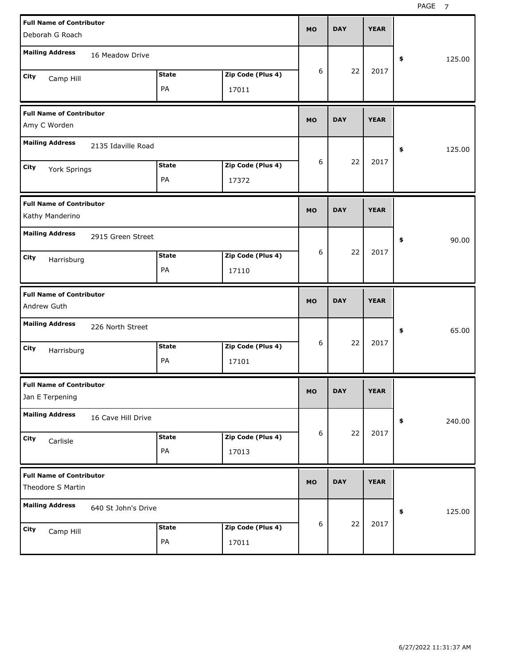| <b>Full Name of Contributor</b><br>Deborah G Roach   |                     |               |                   | <b>MO</b> | <b>DAY</b> | <b>YEAR</b> |              |
|------------------------------------------------------|---------------------|---------------|-------------------|-----------|------------|-------------|--------------|
| <b>Mailing Address</b>                               | 16 Meadow Drive     |               |                   |           |            |             | 125.00<br>\$ |
| City                                                 |                     | <b>State</b>  | Zip Code (Plus 4) | 6         | 22         | 2017        |              |
| Camp Hill                                            |                     | PA            | 17011             |           |            |             |              |
| <b>Full Name of Contributor</b><br>Amy C Worden      |                     |               |                   | <b>MO</b> | <b>DAY</b> | <b>YEAR</b> |              |
| <b>Mailing Address</b>                               | 2135 Idaville Road  |               |                   |           |            |             | 125.00<br>\$ |
| City<br>York Springs                                 |                     | <b>State</b>  | Zip Code (Plus 4) | 6         | 22         | 2017        |              |
|                                                      |                     | PA            | 17372             |           |            |             |              |
| <b>Full Name of Contributor</b><br>Kathy Manderino   |                     |               |                   | <b>MO</b> | <b>DAY</b> | <b>YEAR</b> |              |
| <b>Mailing Address</b>                               | 2915 Green Street   |               |                   |           |            |             | 90.00<br>\$  |
| City<br>Harrisburg                                   |                     | <b>State</b>  | Zip Code (Plus 4) | 6         | 22         | 2017        |              |
|                                                      |                     | PA            | 17110             |           |            |             |              |
|                                                      |                     |               |                   |           |            |             |              |
| <b>Full Name of Contributor</b><br>Andrew Guth       |                     |               |                   | <b>MO</b> | <b>DAY</b> | <b>YEAR</b> |              |
| <b>Mailing Address</b>                               | 226 North Street    |               |                   |           |            |             | 65.00<br>\$  |
| City                                                 |                     | <b>State</b>  | Zip Code (Plus 4) | 6         | 22         | 2017        |              |
| Harrisburg                                           |                     | PA            | 17101             |           |            |             |              |
| <b>Full Name of Contributor</b><br>Jan E Terpening   |                     |               |                   | <b>MO</b> | <b>DAY</b> | <b>YEAR</b> |              |
| <b>Mailing Address</b>                               | 16 Cave Hill Drive  |               |                   |           |            |             | \$<br>240.00 |
| City                                                 |                     | <b>State</b>  | Zip Code (Plus 4) | 6         | 22         | 2017        |              |
| Carlisle                                             |                     | $\mathsf{PA}$ | 17013             |           |            |             |              |
| <b>Full Name of Contributor</b><br>Theodore S Martin |                     |               |                   | <b>MO</b> | <b>DAY</b> | <b>YEAR</b> |              |
| <b>Mailing Address</b>                               | 640 St John's Drive |               |                   |           |            |             | \$<br>125.00 |
| City<br>Camp Hill                                    |                     | <b>State</b>  | Zip Code (Plus 4) | 6         | 22         | 2017        |              |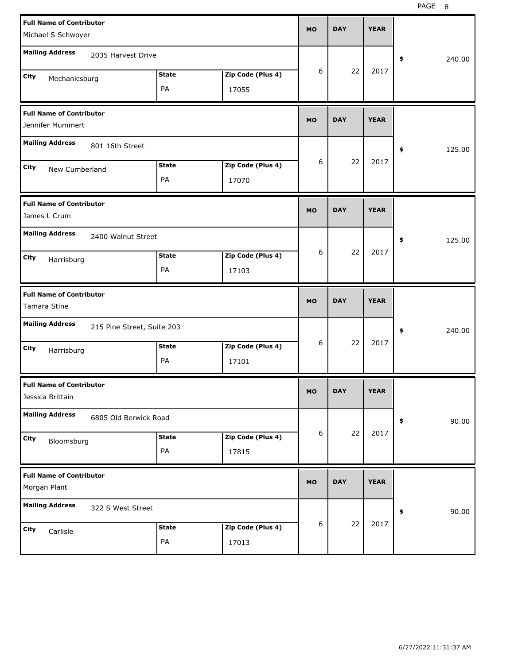| <b>Full Name of Contributor</b>                     |                            |              |                   | <b>MO</b> | <b>DAY</b> | <b>YEAR</b> |              |
|-----------------------------------------------------|----------------------------|--------------|-------------------|-----------|------------|-------------|--------------|
| Michael S Schwoyer                                  |                            |              |                   |           |            |             |              |
| <b>Mailing Address</b>                              | 2035 Harvest Drive         |              |                   |           |            |             | \$<br>240.00 |
| City<br>Mechanicsburg                               |                            | <b>State</b> | Zip Code (Plus 4) | 6         | 22         | 2017        |              |
|                                                     |                            | PA           | 17055             |           |            |             |              |
| <b>Full Name of Contributor</b><br>Jennifer Mummert |                            |              |                   | <b>MO</b> | <b>DAY</b> | <b>YEAR</b> |              |
| <b>Mailing Address</b>                              | 801 16th Street            |              |                   |           |            |             | \$<br>125.00 |
| City<br>New Cumberland                              |                            | <b>State</b> | Zip Code (Plus 4) | 6         | 22         | 2017        |              |
|                                                     |                            | PA           | 17070             |           |            |             |              |
| <b>Full Name of Contributor</b><br>James L Crum     |                            |              |                   | <b>MO</b> | <b>DAY</b> | <b>YEAR</b> |              |
| <b>Mailing Address</b>                              | 2400 Walnut Street         |              |                   |           |            |             | \$<br>125.00 |
| City<br>Harrisburg                                  |                            | <b>State</b> | Zip Code (Plus 4) | 6         | 22         | 2017        |              |
|                                                     |                            | PA           | 17103             |           |            |             |              |
|                                                     |                            |              |                   |           |            |             |              |
| <b>Full Name of Contributor</b><br>Tamara Stine     |                            |              |                   | <b>MO</b> | <b>DAY</b> | <b>YEAR</b> |              |
| <b>Mailing Address</b>                              | 215 Pine Street, Suite 203 |              |                   |           |            |             | \$<br>240.00 |
| City                                                |                            | <b>State</b> | Zip Code (Plus 4) | 6         | 22         | 2017        |              |
| Harrisburg                                          |                            | PA           | 17101             |           |            |             |              |
| <b>Full Name of Contributor</b><br>Jessica Brittain |                            |              |                   | МO        | DAY        | <b>YEAR</b> |              |
| <b>Mailing Address</b>                              | 6805 Old Berwick Road      |              |                   |           |            |             | 90.00<br>\$  |
| City                                                |                            | <b>State</b> | Zip Code (Plus 4) | 6         | 22         | 2017        |              |
| Bloomsburg                                          |                            | PA           | 17815             |           |            |             |              |
| <b>Full Name of Contributor</b><br>Morgan Plant     |                            |              |                   | <b>MO</b> | <b>DAY</b> | <b>YEAR</b> |              |
| <b>Mailing Address</b>                              | 322 S West Street          |              |                   |           |            |             | 90.00<br>\$  |
| City<br>Carlisle                                    |                            | <b>State</b> | Zip Code (Plus 4) | 6         | 22         | 2017        |              |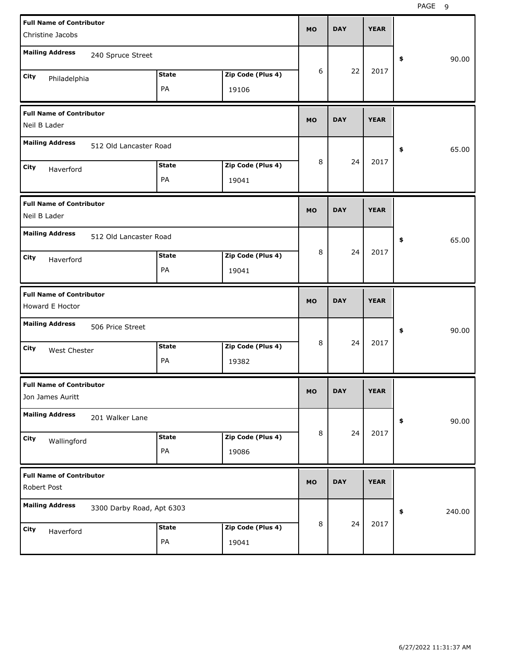| <b>Full Name of Contributor</b><br>Christine Jacobs |                           |              |                   | <b>MO</b> | <b>DAY</b> | <b>YEAR</b> |              |       |
|-----------------------------------------------------|---------------------------|--------------|-------------------|-----------|------------|-------------|--------------|-------|
|                                                     |                           |              |                   |           |            |             |              |       |
| <b>Mailing Address</b>                              | 240 Spruce Street         |              |                   |           |            |             | \$           | 90.00 |
| City<br>Philadelphia                                |                           | <b>State</b> | Zip Code (Plus 4) | 6         | 22         | 2017        |              |       |
|                                                     |                           | PA           | 19106             |           |            |             |              |       |
| <b>Full Name of Contributor</b><br>Neil B Lader     |                           |              |                   | <b>MO</b> | <b>DAY</b> | <b>YEAR</b> |              |       |
|                                                     |                           |              |                   |           |            |             |              |       |
| <b>Mailing Address</b>                              | 512 Old Lancaster Road    |              |                   |           |            |             | \$           | 65.00 |
| City<br>Haverford                                   |                           | <b>State</b> | Zip Code (Plus 4) | 8         | 24         | 2017        |              |       |
|                                                     |                           | PA           | 19041             |           |            |             |              |       |
| <b>Full Name of Contributor</b>                     |                           |              |                   | <b>MO</b> | <b>DAY</b> | <b>YEAR</b> |              |       |
| Neil B Lader                                        |                           |              |                   |           |            |             |              |       |
| <b>Mailing Address</b>                              | 512 Old Lancaster Road    |              |                   |           |            |             | \$           | 65.00 |
| City<br>Haverford                                   |                           | <b>State</b> | Zip Code (Plus 4) | 8         | 24         | 2017        |              |       |
|                                                     |                           | PA           | 19041             |           |            |             |              |       |
|                                                     |                           |              |                   |           |            |             |              |       |
| <b>Full Name of Contributor</b>                     |                           |              |                   | <b>MO</b> | <b>DAY</b> | <b>YEAR</b> |              |       |
| Howard E Hoctor                                     |                           |              |                   |           |            |             |              |       |
| <b>Mailing Address</b>                              | 506 Price Street          |              |                   |           |            |             | \$           | 90.00 |
| City<br><b>West Chester</b>                         |                           | <b>State</b> | Zip Code (Plus 4) | 8         | 24         | 2017        |              |       |
|                                                     |                           | PA           | 19382             |           |            |             |              |       |
| <b>Full Name of Contributor</b>                     |                           |              |                   |           | <b>DAY</b> | <b>YEAR</b> |              |       |
| Jon James Auritt                                    |                           |              |                   | MO        |            |             |              |       |
| <b>Mailing Address</b>                              | 201 Walker Lane           |              |                   |           |            |             | \$           | 90.00 |
| City                                                |                           | <b>State</b> | Zip Code (Plus 4) | 8         | 24         | 2017        |              |       |
| Wallingford                                         |                           | PA           | 19086             |           |            |             |              |       |
| <b>Full Name of Contributor</b>                     |                           |              |                   |           |            |             |              |       |
| Robert Post                                         |                           |              |                   | <b>MO</b> | <b>DAY</b> | <b>YEAR</b> |              |       |
| <b>Mailing Address</b>                              | 3300 Darby Road, Apt 6303 |              |                   |           |            |             | 240.00<br>\$ |       |
| City<br>Haverford                                   |                           | <b>State</b> | Zip Code (Plus 4) | 8         | 24         | 2017        |              |       |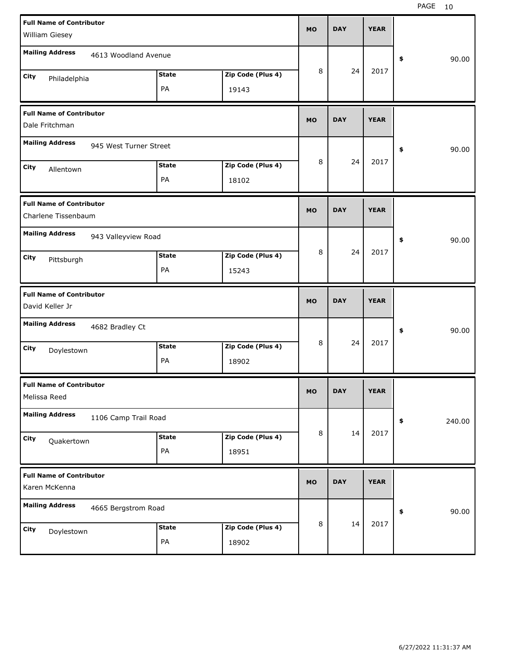| <b>Full Name of Contributor</b><br>William Giesey  |                        |              |                   | <b>MO</b> | <b>DAY</b> | <b>YEAR</b> |              |
|----------------------------------------------------|------------------------|--------------|-------------------|-----------|------------|-------------|--------------|
|                                                    |                        |              |                   |           |            |             |              |
| <b>Mailing Address</b>                             | 4613 Woodland Avenue   |              |                   |           |            |             | \$<br>90.00  |
| City<br>Philadelphia                               |                        | State        | Zip Code (Plus 4) | 8         | 24         | 2017        |              |
|                                                    |                        | PA           | 19143             |           |            |             |              |
|                                                    |                        |              |                   |           |            |             |              |
| <b>Full Name of Contributor</b>                    |                        |              |                   | <b>MO</b> | <b>DAY</b> | <b>YEAR</b> |              |
| Dale Fritchman                                     |                        |              |                   |           |            |             |              |
| <b>Mailing Address</b>                             | 945 West Turner Street |              |                   |           |            |             | \$<br>90.00  |
| City                                               |                        | <b>State</b> | Zip Code (Plus 4) | 8         | 24         | 2017        |              |
| Allentown                                          |                        | PA           | 18102             |           |            |             |              |
|                                                    |                        |              |                   |           |            |             |              |
| <b>Full Name of Contributor</b>                    |                        |              |                   |           |            |             |              |
| Charlene Tissenbaum                                |                        |              |                   | <b>MO</b> | <b>DAY</b> | <b>YEAR</b> |              |
| <b>Mailing Address</b>                             | 943 Valleyview Road    |              |                   |           |            |             |              |
|                                                    |                        |              |                   |           |            |             | \$<br>90.00  |
| City<br>Pittsburgh                                 |                        | <b>State</b> | Zip Code (Plus 4) | 8         | 24         | 2017        |              |
|                                                    |                        | PA           | 15243             |           |            |             |              |
|                                                    |                        |              |                   |           |            |             |              |
|                                                    |                        |              |                   |           |            |             |              |
| <b>Full Name of Contributor</b><br>David Keller Jr |                        |              |                   | <b>MO</b> | <b>DAY</b> | <b>YEAR</b> |              |
|                                                    |                        |              |                   |           |            |             |              |
| <b>Mailing Address</b>                             | 4682 Bradley Ct        |              |                   |           |            |             | \$<br>90.00  |
| City                                               |                        | <b>State</b> | Zip Code (Plus 4) | 8         | 24         | 2017        |              |
| Doylestown                                         |                        | PA           | 18902             |           |            |             |              |
|                                                    |                        |              |                   |           |            |             |              |
| <b>Full Name of Contributor</b><br>Melissa Reed    |                        |              |                   | <b>MO</b> | <b>DAY</b> | <b>YEAR</b> |              |
| <b>Mailing Address</b>                             | 1106 Camp Trail Road   |              |                   |           |            |             |              |
|                                                    |                        |              |                   | 8         | 14         | 2017        | \$<br>240.00 |
| City<br>Quakertown                                 |                        | <b>State</b> | Zip Code (Plus 4) |           |            |             |              |
|                                                    |                        | PA           | 18951             |           |            |             |              |
| <b>Full Name of Contributor</b>                    |                        |              |                   |           |            |             |              |
| Karen McKenna                                      |                        |              |                   | MO        | <b>DAY</b> | <b>YEAR</b> |              |
| <b>Mailing Address</b>                             |                        |              |                   |           |            |             |              |
|                                                    | 4665 Bergstrom Road    |              |                   |           |            |             | \$<br>90.00  |
| City<br>Doylestown                                 |                        | <b>State</b> | Zip Code (Plus 4) | 8         | 14         | 2017        |              |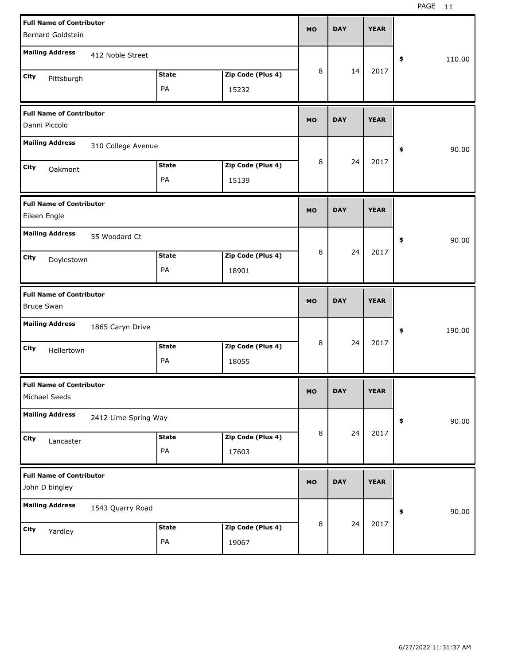| <b>Full Name of Contributor</b><br><b>Bernard Goldstein</b> |                   | MO        | <b>DAY</b> | <b>YEAR</b> |              |
|-------------------------------------------------------------|-------------------|-----------|------------|-------------|--------------|
| <b>Mailing Address</b><br>412 Noble Street                  |                   |           |            |             | \$<br>110.00 |
| <b>State</b><br>City<br>Pittsburgh                          | Zip Code (Plus 4) | 8         | 14         | 2017        |              |
| PA                                                          | 15232             |           |            |             |              |
| <b>Full Name of Contributor</b><br>Danni Piccolo            |                   | <b>MO</b> | <b>DAY</b> | <b>YEAR</b> |              |
| <b>Mailing Address</b><br>310 College Avenue                |                   |           |            |             | 90.00<br>\$  |
| <b>State</b><br>City<br>Oakmont                             | Zip Code (Plus 4) | 8         | 24         | 2017        |              |
| PA                                                          | 15139             |           |            |             |              |
| <b>Full Name of Contributor</b><br>Eileen Engle             |                   | MO        | <b>DAY</b> | <b>YEAR</b> |              |
| <b>Mailing Address</b><br>55 Woodard Ct                     |                   |           |            |             | \$<br>90.00  |
| <b>State</b><br>City<br>Doylestown                          | Zip Code (Plus 4) | 8         | 24         | 2017        |              |
| PA                                                          | 18901             |           |            |             |              |
|                                                             |                   |           |            |             |              |
| <b>Full Name of Contributor</b><br><b>Bruce Swan</b>        |                   | MO        | <b>DAY</b> | <b>YEAR</b> |              |
| <b>Mailing Address</b><br>1865 Caryn Drive                  |                   |           |            |             | 190.00<br>\$ |
| <b>State</b><br>City<br>Hellertown                          | Zip Code (Plus 4) | 8         | 24         | 2017        |              |
| PA                                                          | 18055             |           |            |             |              |
| <b>Full Name of Contributor</b><br>Michael Seeds            |                   | MU.       | DAY        | <b>YEAR</b> |              |
| <b>Mailing Address</b><br>2412 Lime Spring Way              |                   |           |            |             | 90.00<br>\$  |
| <b>State</b><br>City                                        | Zip Code (Plus 4) | 8         | 24         | 2017        |              |
| Lancaster<br>PA                                             | 17603             |           |            |             |              |
| <b>Full Name of Contributor</b><br>John D bingley           |                   | <b>MO</b> | <b>DAY</b> | <b>YEAR</b> |              |
| <b>Mailing Address</b><br>1543 Quarry Road                  |                   |           |            |             | 90.00<br>\$  |
| <b>State</b><br>City<br>Yardley                             | Zip Code (Plus 4) | 8         | 24         | 2017        |              |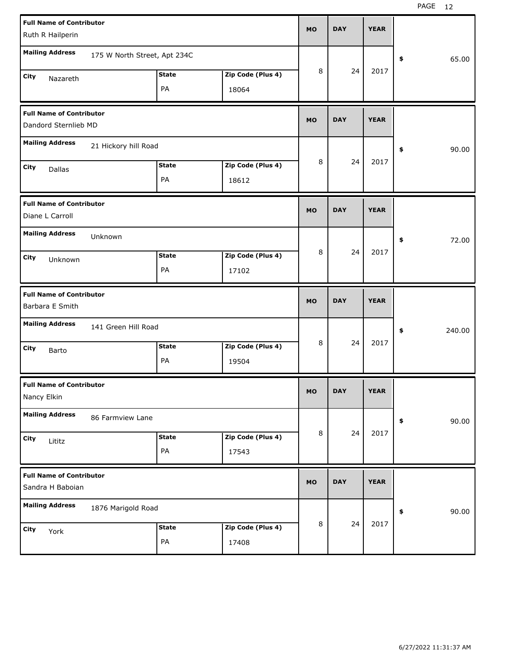| <b>Full Name of Contributor</b>                         |                              |              |                   | <b>MO</b> | <b>DAY</b> | <b>YEAR</b> |              |
|---------------------------------------------------------|------------------------------|--------------|-------------------|-----------|------------|-------------|--------------|
| Ruth R Hailperin                                        |                              |              |                   |           |            |             |              |
| <b>Mailing Address</b>                                  | 175 W North Street, Apt 234C |              |                   |           |            |             | \$<br>65.00  |
| City<br>Nazareth                                        |                              | <b>State</b> | Zip Code (Plus 4) | 8         | 24         | 2017        |              |
|                                                         |                              | PA           | 18064             |           |            |             |              |
| <b>Full Name of Contributor</b><br>Dandord Sternlieb MD |                              |              |                   | <b>MO</b> | <b>DAY</b> | <b>YEAR</b> |              |
| <b>Mailing Address</b>                                  | 21 Hickory hill Road         |              |                   |           |            |             | \$<br>90.00  |
| City<br>Dallas                                          |                              | <b>State</b> | Zip Code (Plus 4) | 8         | 24         | 2017        |              |
|                                                         |                              | PA           | 18612             |           |            |             |              |
| <b>Full Name of Contributor</b><br>Diane L Carroll      |                              |              |                   | <b>MO</b> | <b>DAY</b> | <b>YEAR</b> |              |
| <b>Mailing Address</b>                                  | Unknown                      |              |                   |           |            |             | \$<br>72.00  |
| City<br>Unknown                                         |                              | <b>State</b> | Zip Code (Plus 4) | 8         | 24         | 2017        |              |
|                                                         |                              | PA           | 17102             |           |            |             |              |
|                                                         |                              |              |                   |           |            |             |              |
| <b>Full Name of Contributor</b><br>Barbara E Smith      |                              |              |                   | <b>MO</b> | <b>DAY</b> | <b>YEAR</b> |              |
| <b>Mailing Address</b>                                  | 141 Green Hill Road          |              |                   |           |            |             | \$<br>240.00 |
| City                                                    |                              | <b>State</b> | Zip Code (Plus 4) | 8         | 24         | 2017        |              |
| Barto                                                   |                              | PA           | 19504             |           |            |             |              |
| <b>Full Name of Contributor</b><br>Nancy Elkin          |                              |              |                   | <b>MO</b> | <b>DAY</b> | <b>YEAR</b> |              |
| <b>Mailing Address</b>                                  | 86 Farmview Lane             |              |                   |           |            |             | \$<br>90.00  |
| City                                                    |                              | <b>State</b> | Zip Code (Plus 4) | 8         | 24         | 2017        |              |
| Lititz                                                  |                              | PA           | 17543             |           |            |             |              |
| <b>Full Name of Contributor</b><br>Sandra H Baboian     |                              |              |                   | <b>MO</b> | <b>DAY</b> | <b>YEAR</b> |              |
| <b>Mailing Address</b>                                  | 1876 Marigold Road           |              |                   |           |            |             | \$<br>90.00  |
| City<br>York                                            |                              | <b>State</b> | Zip Code (Plus 4) | 8         | 24         | 2017        |              |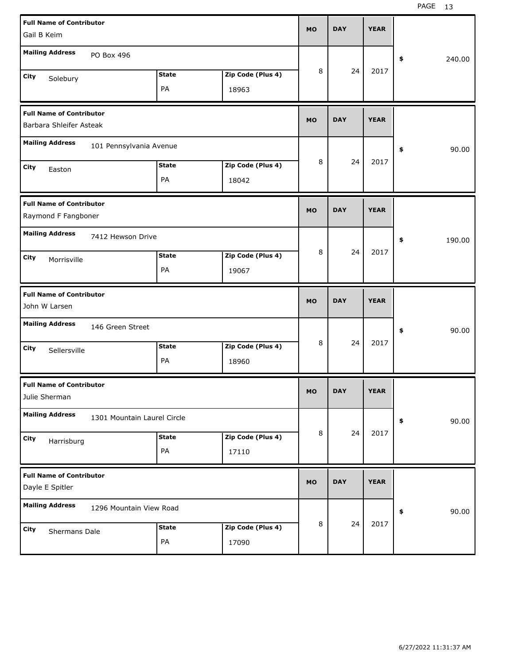| <b>Full Name of Contributor</b><br>Gail B Keim     |                             |              |                   | <b>MO</b> | <b>DAY</b> | <b>YEAR</b> |              |
|----------------------------------------------------|-----------------------------|--------------|-------------------|-----------|------------|-------------|--------------|
|                                                    |                             |              |                   |           |            |             |              |
| <b>Mailing Address</b>                             | PO Box 496                  |              |                   |           |            |             | \$<br>240.00 |
| <b>City</b><br>Solebury                            |                             | <b>State</b> | Zip Code (Plus 4) | 8         | 24         | 2017        |              |
|                                                    |                             | PA           | 18963             |           |            |             |              |
| <b>Full Name of Contributor</b>                    |                             |              |                   | <b>MO</b> | <b>DAY</b> | <b>YEAR</b> |              |
| Barbara Shleifer Asteak                            |                             |              |                   |           |            |             |              |
| <b>Mailing Address</b>                             | 101 Pennsylvania Avenue     |              |                   |           |            |             | \$<br>90.00  |
| City<br>Easton                                     |                             | <b>State</b> | Zip Code (Plus 4) | 8         | 24         | 2017        |              |
|                                                    |                             | PA           | 18042             |           |            |             |              |
| <b>Full Name of Contributor</b>                    |                             |              |                   |           | <b>DAY</b> | <b>YEAR</b> |              |
| Raymond F Fangboner                                |                             |              |                   | <b>MO</b> |            |             |              |
| <b>Mailing Address</b>                             | 7412 Hewson Drive           |              |                   |           |            |             | \$<br>190.00 |
| <b>City</b><br>Morrisville                         |                             | <b>State</b> | Zip Code (Plus 4) | 8         | 24         | 2017        |              |
|                                                    |                             | PA           | 19067             |           |            |             |              |
|                                                    |                             |              |                   |           |            |             |              |
| <b>Full Name of Contributor</b><br>John W Larsen   |                             |              |                   | <b>MO</b> | <b>DAY</b> | <b>YEAR</b> |              |
| <b>Mailing Address</b>                             | 146 Green Street            |              |                   |           |            |             | \$<br>90.00  |
|                                                    |                             | <b>State</b> | Zip Code (Plus 4) | 8         | 24         | 2017        |              |
| City<br>Sellersville                               |                             | PA           | 18960             |           |            |             |              |
| <b>Full Name of Contributor</b>                    |                             |              |                   | <b>MO</b> | <b>DAY</b> | <b>YEAR</b> |              |
| Julie Sherman                                      |                             |              |                   |           |            |             |              |
| <b>Mailing Address</b>                             | 1301 Mountain Laurel Circle |              |                   |           |            |             | \$<br>90.00  |
| City<br>Harrisburg                                 |                             | <b>State</b> | Zip Code (Plus 4) | 8         | 24         | 2017        |              |
|                                                    |                             | PA           | 17110             |           |            |             |              |
| <b>Full Name of Contributor</b><br>Dayle E Spitler |                             |              |                   | <b>MO</b> | <b>DAY</b> | <b>YEAR</b> |              |
| <b>Mailing Address</b>                             | 1296 Mountain View Road     |              |                   |           |            |             | \$<br>90.00  |
| City<br>Shermans Dale                              |                             | <b>State</b> | Zip Code (Plus 4) | 8         | 24         | 2017        |              |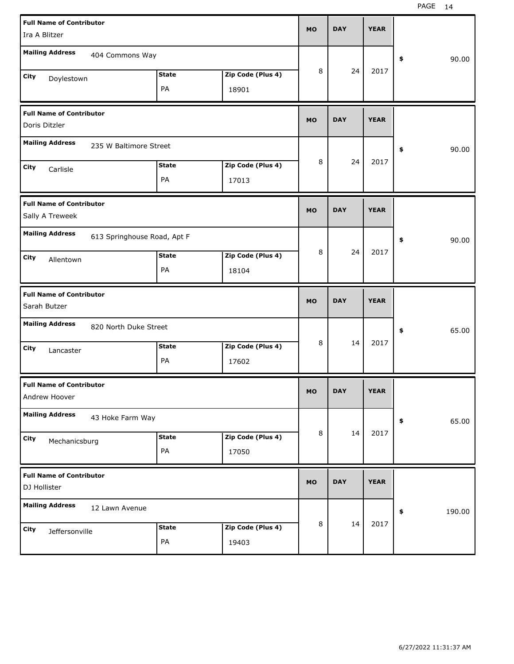| <b>Full Name of Contributor</b><br>Ira A Blitzer   |                             |                            | <b>MO</b> | <b>DAY</b> | <b>YEAR</b> |              |
|----------------------------------------------------|-----------------------------|----------------------------|-----------|------------|-------------|--------------|
| <b>Mailing Address</b>                             | 404 Commons Way             |                            |           |            |             | 90.00<br>\$  |
| City<br>Doylestown                                 | <b>State</b><br>PA          | Zip Code (Plus 4)<br>18901 | 8         | 24         | 2017        |              |
| <b>Full Name of Contributor</b><br>Doris Ditzler   |                             |                            | <b>MO</b> | <b>DAY</b> | <b>YEAR</b> |              |
| <b>Mailing Address</b>                             | 235 W Baltimore Street      |                            |           |            |             | 90.00<br>\$  |
| City<br>Carlisle                                   | <b>State</b><br>PA          | Zip Code (Plus 4)<br>17013 | 8         | 24         | 2017        |              |
| <b>Full Name of Contributor</b><br>Sally A Treweek |                             |                            | <b>MO</b> | <b>DAY</b> | <b>YEAR</b> |              |
| <b>Mailing Address</b>                             | 613 Springhouse Road, Apt F |                            |           |            |             | 90.00<br>\$  |
| City<br>Allentown                                  | <b>State</b><br>PA          | Zip Code (Plus 4)<br>18104 | 8         | 24         | 2017        |              |
|                                                    |                             |                            |           |            |             |              |
| <b>Full Name of Contributor</b><br>Sarah Butzer    |                             |                            | <b>MO</b> | <b>DAY</b> | <b>YEAR</b> |              |
| <b>Mailing Address</b>                             | 820 North Duke Street       |                            |           |            |             | 65.00<br>\$  |
| City<br>Lancaster                                  | <b>State</b><br>PA          | Zip Code (Plus 4)<br>17602 | 8         | 14         | 2017        |              |
| <b>Full Name of Contributor</b><br>Andrew Hoover   |                             |                            | <b>MO</b> | <b>DAY</b> | <b>YEAR</b> |              |
| <b>Mailing Address</b>                             | 43 Hoke Farm Way            |                            |           |            |             | 65.00<br>\$  |
| City<br>Mechanicsburg                              | <b>State</b><br>PA          | Zip Code (Plus 4)<br>17050 | 8         | 14         | 2017        |              |
| <b>Full Name of Contributor</b><br>DJ Hollister    |                             |                            | <b>MO</b> | <b>DAY</b> | <b>YEAR</b> |              |
| <b>Mailing Address</b>                             | 12 Lawn Avenue              |                            |           | 14         | 2017        | 190.00<br>\$ |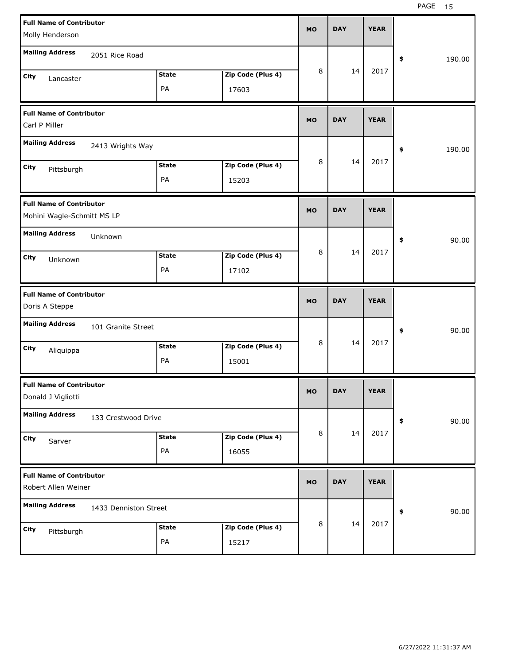| <b>Full Name of Contributor</b><br>Molly Henderson            |                       |              |                   | <b>MO</b> | <b>DAY</b> | <b>YEAR</b> |              |
|---------------------------------------------------------------|-----------------------|--------------|-------------------|-----------|------------|-------------|--------------|
| <b>Mailing Address</b>                                        | 2051 Rice Road        |              |                   |           |            |             | \$<br>190.00 |
| <b>City</b><br>Lancaster                                      |                       | <b>State</b> | Zip Code (Plus 4) | 8         | 14         | 2017        |              |
|                                                               |                       | PA           | 17603             |           |            |             |              |
| <b>Full Name of Contributor</b><br>Carl P Miller              |                       |              |                   | <b>MO</b> | <b>DAY</b> | <b>YEAR</b> |              |
| <b>Mailing Address</b>                                        | 2413 Wrights Way      |              |                   |           |            |             | \$<br>190.00 |
| <b>City</b><br>Pittsburgh                                     |                       | <b>State</b> | Zip Code (Plus 4) | 8         | 14         | 2017        |              |
|                                                               |                       | PA           | 15203             |           |            |             |              |
| <b>Full Name of Contributor</b><br>Mohini Wagle-Schmitt MS LP |                       |              |                   | <b>MO</b> | <b>DAY</b> | <b>YEAR</b> |              |
| <b>Mailing Address</b>                                        | Unknown               |              |                   |           |            |             | \$<br>90.00  |
| <b>City</b><br>Unknown                                        |                       | <b>State</b> | Zip Code (Plus 4) | 8         | 14         | 2017        |              |
|                                                               |                       | PA           | 17102             |           |            |             |              |
|                                                               |                       |              |                   |           |            |             |              |
| <b>Full Name of Contributor</b><br>Doris A Steppe             |                       |              |                   | <b>MO</b> | <b>DAY</b> | <b>YEAR</b> |              |
| <b>Mailing Address</b>                                        | 101 Granite Street    |              |                   |           |            |             | 90.00<br>\$  |
| <b>City</b>                                                   |                       | <b>State</b> | Zip Code (Plus 4) | 8         | 14         | 2017        |              |
| Aliquippa                                                     |                       | PA           | 15001             |           |            |             |              |
| <b>Full Name of Contributor</b><br>Donald J Vigliotti         |                       |              |                   | MU.       | DAY        | <b>YEAR</b> |              |
| <b>Mailing Address</b>                                        | 133 Crestwood Drive   |              |                   |           |            |             | 90.00<br>\$  |
| City                                                          |                       | <b>State</b> | Zip Code (Plus 4) | 8         | 14         | 2017        |              |
| Sarver                                                        |                       | PA           | 16055             |           |            |             |              |
| <b>Full Name of Contributor</b><br>Robert Allen Weiner        |                       |              |                   | <b>MO</b> | <b>DAY</b> | <b>YEAR</b> |              |
| <b>Mailing Address</b>                                        | 1433 Denniston Street |              |                   |           |            |             | 90.00<br>\$  |
| City<br>Pittsburgh                                            |                       | <b>State</b> | Zip Code (Plus 4) | 8         | 14         | 2017        |              |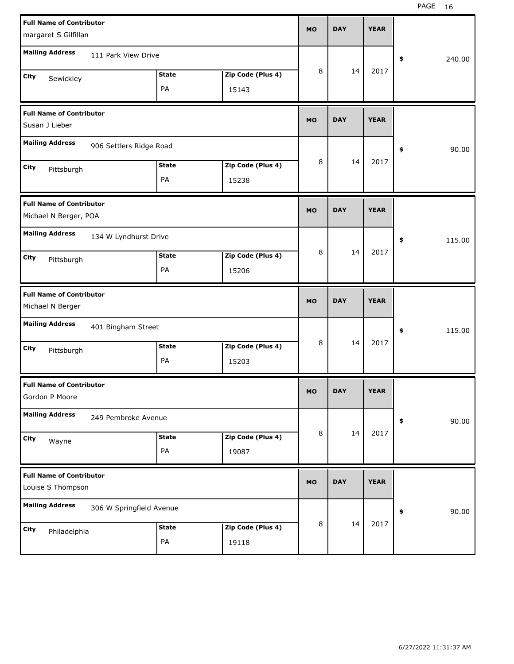| <b>Full Name of Contributor</b><br>margaret S Gilfillan  |                          |                    |                            | <b>MO</b> | <b>DAY</b> | <b>YEAR</b> |              |
|----------------------------------------------------------|--------------------------|--------------------|----------------------------|-----------|------------|-------------|--------------|
| <b>Mailing Address</b>                                   | 111 Park View Drive      |                    |                            |           |            |             | \$<br>240.00 |
| City<br>Sewickley                                        |                          | <b>State</b><br>PA | Zip Code (Plus 4)<br>15143 | 8         | 14         | 2017        |              |
| <b>Full Name of Contributor</b><br>Susan J Lieber        |                          |                    |                            | <b>MO</b> | <b>DAY</b> | <b>YEAR</b> |              |
| <b>Mailing Address</b>                                   | 906 Settlers Ridge Road  |                    |                            |           |            |             | \$<br>90.00  |
| City<br>Pittsburgh                                       |                          | <b>State</b><br>PA | Zip Code (Plus 4)<br>15238 | 8         | 14         | 2017        |              |
| <b>Full Name of Contributor</b><br>Michael N Berger, POA |                          |                    |                            | <b>MO</b> | <b>DAY</b> | <b>YEAR</b> |              |
| <b>Mailing Address</b>                                   | 134 W Lyndhurst Drive    |                    |                            |           |            |             | \$<br>115.00 |
| City<br>Pittsburgh                                       |                          | <b>State</b><br>PA | Zip Code (Plus 4)<br>15206 | 8         | 14         | 2017        |              |
|                                                          |                          |                    |                            |           |            |             |              |
| <b>Full Name of Contributor</b><br>Michael N Berger      |                          |                    |                            | <b>MO</b> | <b>DAY</b> | <b>YEAR</b> |              |
| <b>Mailing Address</b>                                   | 401 Bingham Street       |                    |                            |           |            |             | \$<br>115.00 |
| City<br>Pittsburgh                                       |                          | <b>State</b><br>PA | Zip Code (Plus 4)<br>15203 | 8         | 14         | 2017        |              |
| <b>Full Name of Contributor</b><br>Gordon P Moore        |                          |                    |                            | MO        | <b>DAY</b> | <b>YEAR</b> |              |
| <b>Mailing Address</b>                                   | 249 Pembroke Avenue      |                    |                            |           |            |             | 90.00<br>\$  |
| City<br>Wayne                                            |                          | <b>State</b><br>PA | Zip Code (Plus 4)<br>19087 | 8         | 14         | 2017        |              |
| <b>Full Name of Contributor</b><br>Louise S Thompson     |                          |                    |                            | <b>MO</b> | <b>DAY</b> | <b>YEAR</b> |              |
| <b>Mailing Address</b>                                   | 306 W Springfield Avenue |                    |                            |           | 14         | 2017        | 90.00<br>\$  |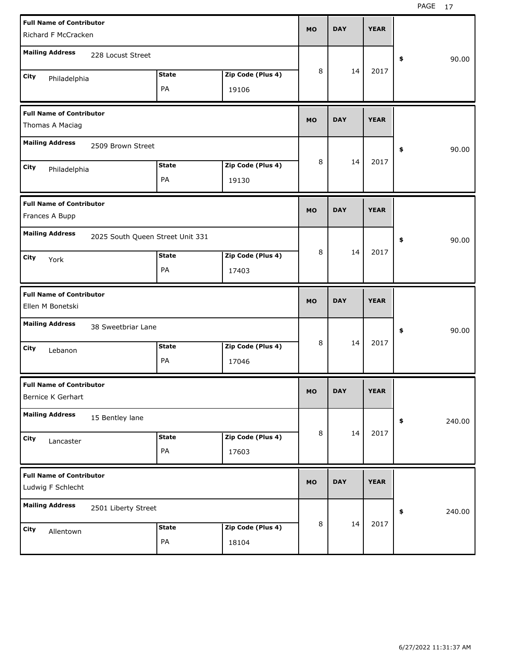| <b>Full Name of Contributor</b> |                                  |              |                   | <b>MO</b> | <b>DAY</b> | <b>YEAR</b> |              |
|---------------------------------|----------------------------------|--------------|-------------------|-----------|------------|-------------|--------------|
| Richard F McCracken             |                                  |              |                   |           |            |             |              |
| <b>Mailing Address</b>          | 228 Locust Street                |              |                   |           |            |             | \$<br>90.00  |
| City<br>Philadelphia            |                                  | <b>State</b> | Zip Code (Plus 4) | 8         | 14         | 2017        |              |
|                                 |                                  | PA           | 19106             |           |            |             |              |
| <b>Full Name of Contributor</b> |                                  |              |                   | <b>MO</b> | <b>DAY</b> | <b>YEAR</b> |              |
| Thomas A Maciag                 |                                  |              |                   |           |            |             |              |
| <b>Mailing Address</b>          | 2509 Brown Street                |              |                   |           |            |             | \$<br>90.00  |
| City<br>Philadelphia            |                                  | <b>State</b> | Zip Code (Plus 4) | 8         | 14         | 2017        |              |
|                                 |                                  | PA           | 19130             |           |            |             |              |
| <b>Full Name of Contributor</b> |                                  |              |                   | <b>MO</b> | <b>DAY</b> | <b>YEAR</b> |              |
| Frances A Bupp                  |                                  |              |                   |           |            |             |              |
| <b>Mailing Address</b>          | 2025 South Queen Street Unit 331 |              |                   |           |            |             | \$<br>90.00  |
| City<br>York                    |                                  | <b>State</b> | Zip Code (Plus 4) | 8         | 14         | 2017        |              |
|                                 |                                  | PA           | 17403             |           |            |             |              |
|                                 |                                  |              |                   |           |            |             |              |
| <b>Full Name of Contributor</b> |                                  |              |                   | <b>MO</b> | <b>DAY</b> | <b>YEAR</b> |              |
| Ellen M Bonetski                |                                  |              |                   |           |            |             |              |
| <b>Mailing Address</b>          | 38 Sweetbriar Lane               |              |                   |           |            |             | \$<br>90.00  |
| City<br>Lebanon                 |                                  | <b>State</b> | Zip Code (Plus 4) | 8         | 14         | 2017        |              |
|                                 |                                  | PA           | 17046             |           |            |             |              |
| <b>Full Name of Contributor</b> |                                  |              |                   |           |            |             |              |
| Bernice K Gerhart               |                                  |              |                   | MO        | <b>DAY</b> | <b>YEAR</b> |              |
| <b>Mailing Address</b>          | 15 Bentley lane                  |              |                   |           |            |             | \$<br>240.00 |
| City<br>Lancaster               |                                  | <b>State</b> | Zip Code (Plus 4) | 8         | 14         | 2017        |              |
|                                 |                                  | PA           | 17603             |           |            |             |              |
| <b>Full Name of Contributor</b> |                                  |              |                   | <b>MO</b> | <b>DAY</b> | <b>YEAR</b> |              |
| Ludwig F Schlecht               |                                  |              |                   |           |            |             |              |
| <b>Mailing Address</b>          | 2501 Liberty Street              |              |                   |           |            |             | \$<br>240.00 |
| City<br>Allentown               |                                  | <b>State</b> | Zip Code (Plus 4) | 8         | 14         | 2017        |              |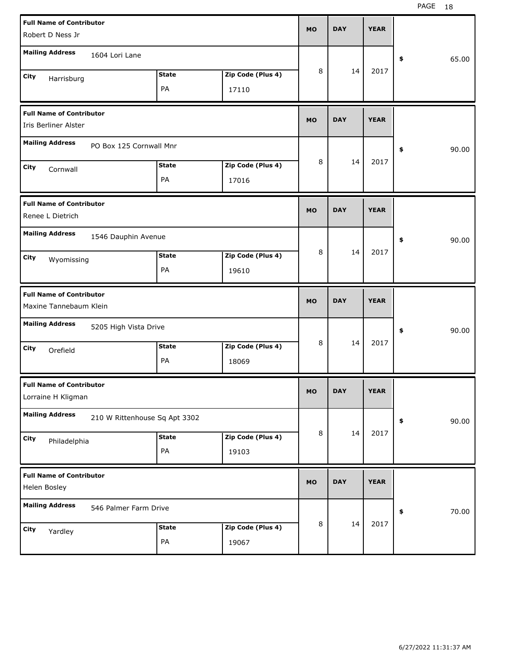| <b>Full Name of Contributor</b>                           |                               |              |                   | <b>MO</b> | <b>DAY</b> | <b>YEAR</b> |             |
|-----------------------------------------------------------|-------------------------------|--------------|-------------------|-----------|------------|-------------|-------------|
| Robert D Ness Jr                                          |                               |              |                   |           |            |             |             |
| <b>Mailing Address</b>                                    | 1604 Lori Lane                |              |                   |           |            |             | \$<br>65.00 |
| City<br>Harrisburg                                        |                               | <b>State</b> | Zip Code (Plus 4) | 8         | 14         | 2017        |             |
|                                                           |                               | PA           | 17110             |           |            |             |             |
| <b>Full Name of Contributor</b><br>Iris Berliner Alster   |                               |              |                   | <b>MO</b> | <b>DAY</b> | <b>YEAR</b> |             |
| <b>Mailing Address</b>                                    | PO Box 125 Cornwall Mnr       |              |                   |           |            |             | \$<br>90.00 |
| City<br>Cornwall                                          |                               | <b>State</b> | Zip Code (Plus 4) | 8         | 14         | 2017        |             |
|                                                           |                               | PA           | 17016             |           |            |             |             |
| <b>Full Name of Contributor</b><br>Renee L Dietrich       |                               |              |                   | <b>MO</b> | <b>DAY</b> | <b>YEAR</b> |             |
| <b>Mailing Address</b>                                    | 1546 Dauphin Avenue           |              |                   |           |            |             | \$<br>90.00 |
| City<br>Wyomissing                                        |                               | <b>State</b> | Zip Code (Plus 4) | 8         | 14         | 2017        |             |
|                                                           |                               | PA           | 19610             |           |            |             |             |
|                                                           |                               |              |                   |           |            |             |             |
| <b>Full Name of Contributor</b><br>Maxine Tannebaum Klein |                               |              |                   | <b>MO</b> | <b>DAY</b> | <b>YEAR</b> |             |
| <b>Mailing Address</b>                                    | 5205 High Vista Drive         |              |                   |           |            |             | \$<br>90.00 |
| City                                                      |                               | <b>State</b> | Zip Code (Plus 4) | 8         | 14         | 2017        |             |
| Orefield                                                  |                               | PA           | 18069             |           |            |             |             |
| <b>Full Name of Contributor</b><br>Lorraine H Kligman     |                               |              |                   | <b>MO</b> | <b>DAY</b> | <b>YEAR</b> |             |
| <b>Mailing Address</b>                                    | 210 W Rittenhouse Sq Apt 3302 |              |                   |           |            |             | \$<br>90.00 |
| City                                                      |                               | <b>State</b> | Zip Code (Plus 4) | 8         | 14         | 2017        |             |
| Philadelphia                                              |                               | PA           | 19103             |           |            |             |             |
| <b>Full Name of Contributor</b><br>Helen Bosley           |                               |              |                   | <b>MO</b> | <b>DAY</b> | <b>YEAR</b> |             |
| <b>Mailing Address</b>                                    | 546 Palmer Farm Drive         |              |                   |           |            |             | \$<br>70.00 |
| City<br>Yardley                                           |                               | <b>State</b> | Zip Code (Plus 4) | 8         | 14         | 2017        |             |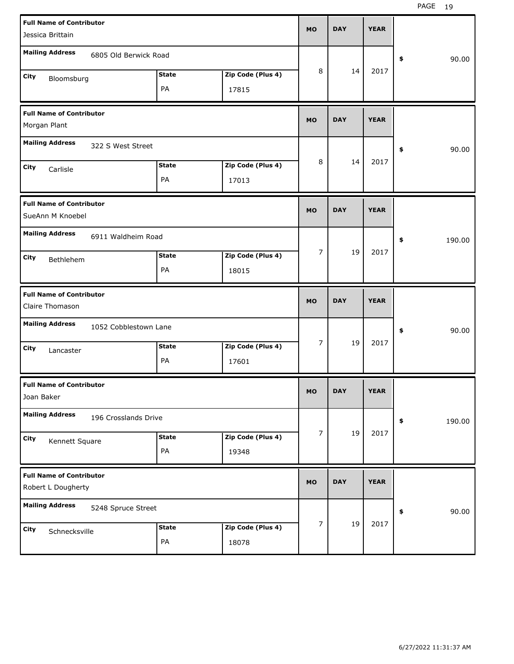| <b>Full Name of Contributor</b><br>Jessica Brittain   |                            | <b>MO</b>      | <b>DAY</b> | <b>YEAR</b> |              |
|-------------------------------------------------------|----------------------------|----------------|------------|-------------|--------------|
| <b>Mailing Address</b><br>6805 Old Berwick Road       |                            |                |            |             | 90.00<br>\$  |
| <b>State</b><br>City<br>Bloomsburg<br>PA              | Zip Code (Plus 4)<br>17815 | 8              | 14         | 2017        |              |
| <b>Full Name of Contributor</b><br>Morgan Plant       |                            | <b>MO</b>      | <b>DAY</b> | <b>YEAR</b> |              |
| <b>Mailing Address</b><br>322 S West Street           |                            |                |            |             | 90.00<br>\$  |
| <b>State</b><br>City<br>Carlisle<br>PA                | Zip Code (Plus 4)<br>17013 | 8              | 14         | 2017        |              |
| <b>Full Name of Contributor</b><br>SueAnn M Knoebel   |                            | <b>MO</b>      | <b>DAY</b> | <b>YEAR</b> |              |
| <b>Mailing Address</b><br>6911 Waldheim Road          |                            |                |            |             | \$<br>190.00 |
| <b>State</b><br>City<br>Bethlehem<br>PA               | Zip Code (Plus 4)<br>18015 | $\overline{7}$ | 19         | 2017        |              |
|                                                       |                            |                |            |             |              |
| <b>Full Name of Contributor</b><br>Claire Thomason    |                            | <b>MO</b>      | <b>DAY</b> | <b>YEAR</b> |              |
| <b>Mailing Address</b><br>1052 Cobblestown Lane       |                            |                |            |             | 90.00<br>\$  |
| <b>State</b><br>City<br>Lancaster<br>PA               | Zip Code (Plus 4)<br>17601 | $\overline{7}$ | 19         | 2017        |              |
| <b>Full Name of Contributor</b><br>Joan Baker         |                            | МO             | <b>DAY</b> | <b>YEAR</b> |              |
| <b>Mailing Address</b><br>196 Crosslands Drive        |                            |                |            |             | 190.00<br>\$ |
| <b>State</b><br>City<br>Kennett Square<br>PA          | Zip Code (Plus 4)<br>19348 | 7              | 19         | 2017        |              |
| <b>Full Name of Contributor</b><br>Robert L Dougherty |                            | <b>MO</b>      | <b>DAY</b> | <b>YEAR</b> |              |
| <b>Mailing Address</b><br>5248 Spruce Street          |                            |                | 19         | 2017        | 90.00<br>\$  |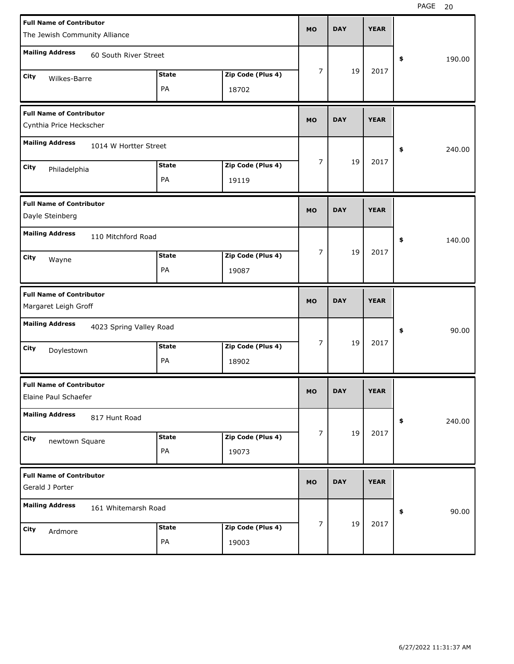| <b>Full Name of Contributor</b><br>The Jewish Community Alliance |              |                   | <b>MO</b> | <b>DAY</b> | <b>YEAR</b> |              |
|------------------------------------------------------------------|--------------|-------------------|-----------|------------|-------------|--------------|
| <b>Mailing Address</b><br>60 South River Street                  |              |                   |           |            |             | \$<br>190.00 |
| City<br>Wilkes-Barre                                             | <b>State</b> | Zip Code (Plus 4) | 7         | 19         | 2017        |              |
|                                                                  | PA           | 18702             |           |            |             |              |
| <b>Full Name of Contributor</b><br>Cynthia Price Heckscher       |              |                   | <b>MO</b> | <b>DAY</b> | <b>YEAR</b> |              |
| <b>Mailing Address</b><br>1014 W Hortter Street                  |              |                   |           |            |             | 240.00<br>\$ |
| <b>City</b><br>Philadelphia                                      | <b>State</b> | Zip Code (Plus 4) | 7         | 19         | 2017        |              |
|                                                                  | PA           | 19119             |           |            |             |              |
| <b>Full Name of Contributor</b><br>Dayle Steinberg               |              |                   | <b>MO</b> | <b>DAY</b> | <b>YEAR</b> |              |
| <b>Mailing Address</b><br>110 Mitchford Road                     |              |                   |           |            |             | \$<br>140.00 |
| <b>City</b><br>Wayne                                             | <b>State</b> | Zip Code (Plus 4) | 7         | 19         | 2017        |              |
|                                                                  | PA           | 19087             |           |            |             |              |
|                                                                  |              |                   |           |            |             |              |
| <b>Full Name of Contributor</b><br>Margaret Leigh Groff          |              |                   | <b>MO</b> | <b>DAY</b> | <b>YEAR</b> |              |
| <b>Mailing Address</b><br>4023 Spring Valley Road                |              |                   |           |            |             | 90.00<br>\$  |
| <b>City</b>                                                      | <b>State</b> | Zip Code (Plus 4) | 7         | 19         | 2017        |              |
| Doylestown                                                       | PA           | 18902             |           |            |             |              |
| <b>Full Name of Contributor</b><br>Elaine Paul Schaefer          |              |                   | MO.       | DAY        | YEAK        |              |
| <b>Mailing Address</b><br>817 Hunt Road                          |              |                   |           |            |             | \$<br>240.00 |
| City                                                             | <b>State</b> | Zip Code (Plus 4) | 7         | 19         | 2017        |              |
| newtown Square                                                   | PA           | 19073             |           |            |             |              |
| <b>Full Name of Contributor</b><br>Gerald J Porter               |              |                   | <b>MO</b> | <b>DAY</b> | <b>YEAR</b> |              |
| <b>Mailing Address</b><br>161 Whitemarsh Road                    |              |                   |           |            |             | 90.00<br>\$  |
| City<br>Ardmore                                                  | <b>State</b> | Zip Code (Plus 4) | 7         | 19         | 2017        |              |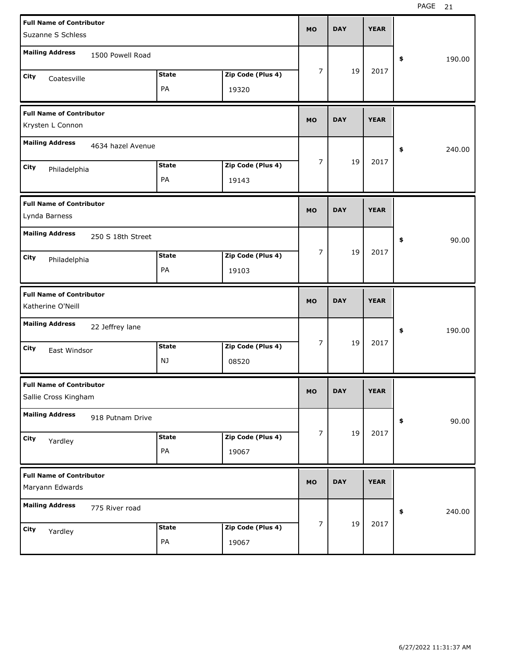| <b>Full Name of Contributor</b><br>Suzanne S Schless    |                    |                            | <b>MO</b>      | <b>DAY</b> | <b>YEAR</b> |              |
|---------------------------------------------------------|--------------------|----------------------------|----------------|------------|-------------|--------------|
| <b>Mailing Address</b><br>1500 Powell Road              |                    |                            |                |            |             | 190.00<br>\$ |
| City<br>Coatesville                                     | <b>State</b><br>PA | Zip Code (Plus 4)<br>19320 | 7              | 19         | 2017        |              |
| <b>Full Name of Contributor</b><br>Krysten L Connon     |                    |                            | <b>MO</b>      | <b>DAY</b> | <b>YEAR</b> |              |
| <b>Mailing Address</b><br>4634 hazel Avenue             |                    |                            |                |            |             | 240.00<br>\$ |
| City<br>Philadelphia                                    | <b>State</b><br>PA | Zip Code (Plus 4)<br>19143 | 7              | 19         | 2017        |              |
| <b>Full Name of Contributor</b><br>Lynda Barness        |                    |                            | <b>MO</b>      | <b>DAY</b> | <b>YEAR</b> |              |
| <b>Mailing Address</b><br>250 S 18th Street             |                    |                            |                |            |             | 90.00<br>\$  |
| City<br>Philadelphia                                    | <b>State</b><br>PA | Zip Code (Plus 4)<br>19103 | 7              | 19         | 2017        |              |
|                                                         |                    |                            |                |            |             |              |
| <b>Full Name of Contributor</b><br>Katherine O'Neill    |                    |                            | <b>MO</b>      | <b>DAY</b> | <b>YEAR</b> |              |
| <b>Mailing Address</b><br>22 Jeffrey lane               |                    |                            |                |            |             | 190.00<br>\$ |
| City<br>East Windsor                                    | <b>State</b><br>NJ | Zip Code (Plus 4)<br>08520 | 7              | 19         | 2017        |              |
| <b>Full Name of Contributor</b><br>Sallie Cross Kingham |                    |                            | <b>MO</b>      | <b>DAY</b> | <b>YEAR</b> |              |
| <b>Mailing Address</b><br>918 Putnam Drive              |                    |                            |                |            |             | 90.00<br>\$  |
| City<br>Yardley                                         | <b>State</b><br>PA | Zip Code (Plus 4)<br>19067 | $\overline{7}$ | 19         | 2017        |              |
| <b>Full Name of Contributor</b><br>Maryann Edwards      |                    |                            | <b>MO</b>      | <b>DAY</b> | <b>YEAR</b> |              |
| <b>Mailing Address</b><br>775 River road                |                    |                            |                |            | 2017        | 240.00<br>\$ |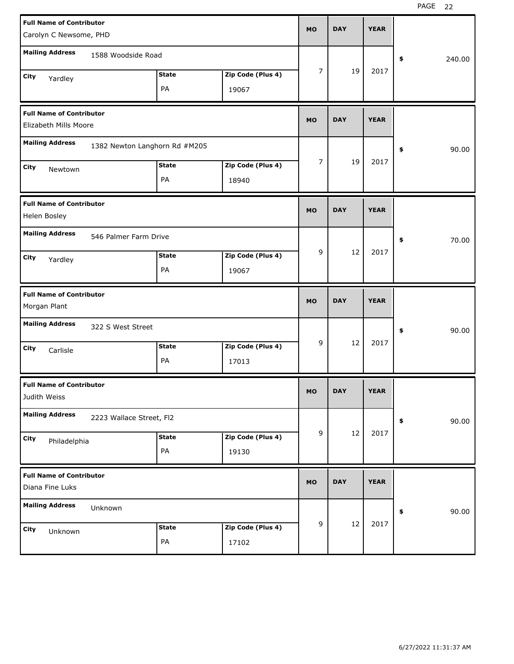| <b>Full Name of Contributor</b><br>Carolyn C Newsome, PHD |                               |              |                   | <b>MO</b> | <b>DAY</b> | <b>YEAR</b> |              |       |
|-----------------------------------------------------------|-------------------------------|--------------|-------------------|-----------|------------|-------------|--------------|-------|
| <b>Mailing Address</b>                                    | 1588 Woodside Road            |              |                   |           |            |             | 240.00<br>\$ |       |
|                                                           |                               | <b>State</b> | Zip Code (Plus 4) | 7         | 19         | 2017        |              |       |
| <b>City</b><br>Yardley                                    |                               | PA           | 19067             |           |            |             |              |       |
| <b>Full Name of Contributor</b><br>Elizabeth Mills Moore  |                               |              |                   | <b>MO</b> | <b>DAY</b> | <b>YEAR</b> |              |       |
| <b>Mailing Address</b>                                    | 1382 Newton Langhorn Rd #M205 |              |                   |           |            |             | \$           | 90.00 |
| City                                                      |                               | <b>State</b> | Zip Code (Plus 4) | 7         | 19         | 2017        |              |       |
| Newtown                                                   |                               | PA           | 18940             |           |            |             |              |       |
| <b>Full Name of Contributor</b><br>Helen Bosley           |                               |              |                   | <b>MO</b> | <b>DAY</b> | <b>YEAR</b> |              |       |
| <b>Mailing Address</b>                                    | 546 Palmer Farm Drive         |              |                   |           |            |             | \$           | 70.00 |
| City<br>Yardley                                           |                               | <b>State</b> | Zip Code (Plus 4) | 9         | 12         | 2017        |              |       |
|                                                           |                               | PA           | 19067             |           |            |             |              |       |
|                                                           |                               |              |                   |           |            |             |              |       |
| <b>Full Name of Contributor</b><br>Morgan Plant           |                               |              |                   | <b>MO</b> | <b>DAY</b> | <b>YEAR</b> |              |       |
| <b>Mailing Address</b>                                    | 322 S West Street             |              |                   |           |            |             | \$           | 90.00 |
| <b>City</b><br>Carlisle                                   |                               | <b>State</b> | Zip Code (Plus 4) | 9         | 12         | 2017        |              |       |
|                                                           |                               | PA           | 17013             |           |            |             |              |       |
| <b>Full Name of Contributor</b><br>Judith Weiss           |                               |              |                   | <b>MO</b> | <b>DAY</b> | <b>YEAR</b> |              |       |
| <b>Mailing Address</b>                                    | 2223 Wallace Street, FI2      |              |                   |           |            |             | $\pmb{\$}$   | 90.00 |
| City<br>Philadelphia                                      |                               | <b>State</b> | Zip Code (Plus 4) | 9         | 12         | 2017        |              |       |
|                                                           |                               | PA           | 19130             |           |            |             |              |       |
| <b>Full Name of Contributor</b><br>Diana Fine Luks        |                               |              |                   | <b>MO</b> | <b>DAY</b> | <b>YEAR</b> |              |       |
| <b>Mailing Address</b>                                    | Unknown                       |              |                   |           |            |             | \$           | 90.00 |
| City<br>Unknown                                           |                               | <b>State</b> | Zip Code (Plus 4) | 9         | 12         | 2017        |              |       |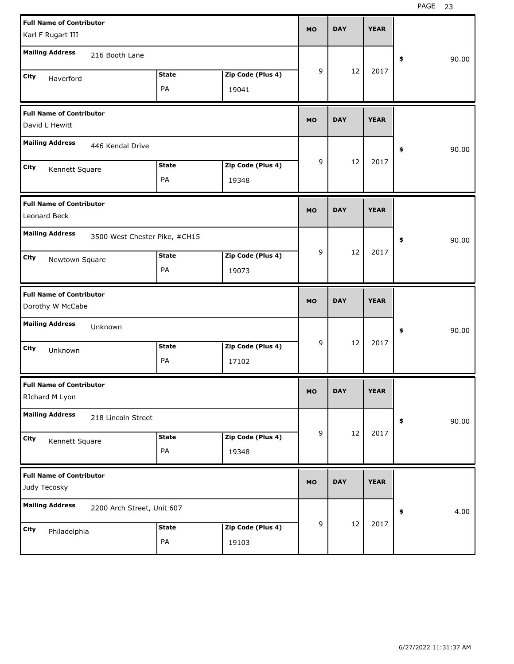| <b>Full Name of Contributor</b><br>Karl F Rugart III                       | <b>MO</b> | <b>DAY</b> | <b>YEAR</b> |             |
|----------------------------------------------------------------------------|-----------|------------|-------------|-------------|
| <b>Mailing Address</b><br>216 Booth Lane                                   |           |            |             | 90.00<br>\$ |
| Zip Code (Plus 4)<br><b>State</b><br>City<br>Haverford<br>PA<br>19041      | 9         | 12         | 2017        |             |
| <b>Full Name of Contributor</b><br>David L Hewitt                          | <b>MO</b> | <b>DAY</b> | <b>YEAR</b> |             |
| <b>Mailing Address</b><br>446 Kendal Drive                                 |           |            |             | \$<br>90.00 |
| Zip Code (Plus 4)<br><b>State</b><br>City<br>Kennett Square<br>PA<br>19348 | 9         | 12         | 2017        |             |
| <b>Full Name of Contributor</b><br>Leonard Beck                            | <b>MO</b> | <b>DAY</b> | <b>YEAR</b> |             |
| <b>Mailing Address</b><br>3500 West Chester Pike, #CH15                    |           |            |             | \$<br>90.00 |
| <b>State</b><br>Zip Code (Plus 4)<br>City<br>Newtown Square<br>PA<br>19073 | 9         | 12         | 2017        |             |
|                                                                            |           |            |             |             |
| <b>Full Name of Contributor</b><br>Dorothy W McCabe                        | <b>MO</b> | <b>DAY</b> | <b>YEAR</b> |             |
| <b>Mailing Address</b><br>Unknown                                          |           |            |             | \$<br>90.00 |
| Zip Code (Plus 4)<br><b>State</b><br>City<br>Unknown<br>PA<br>17102        | 9         | 12         | 2017        |             |
| <b>Full Name of Contributor</b><br>RIchard M Lyon                          | <b>MO</b> | <b>DAY</b> | <b>YEAR</b> |             |
| <b>Mailing Address</b><br>218 Lincoln Street                               |           |            |             | 90.00<br>\$ |
| Zip Code (Plus 4)<br><b>State</b><br>City<br>Kennett Square<br>PA<br>19348 | 9         | 12         | 2017        |             |
| <b>Full Name of Contributor</b><br>Judy Tecosky                            | <b>MO</b> | <b>DAY</b> | <b>YEAR</b> |             |
| <b>Mailing Address</b><br>2200 Arch Street, Unit 607                       |           | 12         | 2017        | 4.00<br>\$  |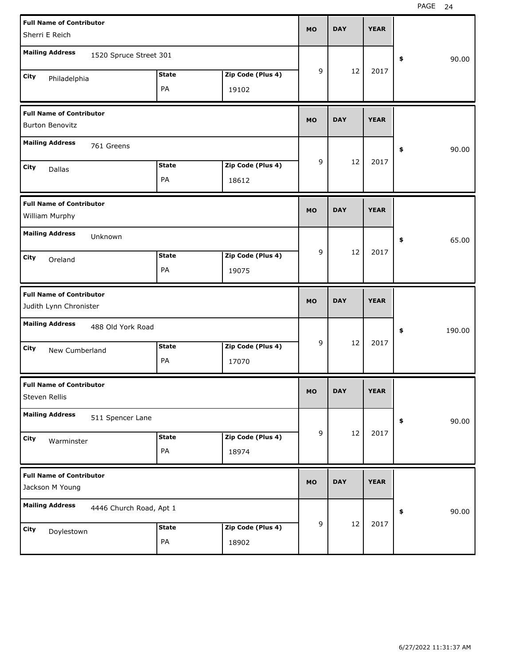| <b>Full Name of Contributor</b>                             | <b>MO</b>      | <b>DAY</b> | <b>YEAR</b> |              |
|-------------------------------------------------------------|----------------|------------|-------------|--------------|
| Sherri E Reich                                              |                |            |             |              |
| <b>Mailing Address</b><br>1520 Spruce Street 301            |                |            |             | 90.00<br>\$  |
| <b>State</b><br>Zip Code (Plus 4)<br>City<br>Philadelphia   | 9              | 12         | 2017        |              |
| PA<br>19102                                                 |                |            |             |              |
| <b>Full Name of Contributor</b><br><b>Burton Benovitz</b>   | <b>MO</b>      | <b>DAY</b> | <b>YEAR</b> |              |
| <b>Mailing Address</b><br>761 Greens                        |                |            |             | 90.00<br>\$  |
| <b>State</b><br>Zip Code (Plus 4)<br>City<br>Dallas         | 9              | 12         | 2017        |              |
| PA<br>18612                                                 |                |            |             |              |
| <b>Full Name of Contributor</b><br>William Murphy           | <b>MO</b>      | <b>DAY</b> | <b>YEAR</b> |              |
| <b>Mailing Address</b><br>Unknown                           |                |            |             | 65.00<br>\$  |
| <b>State</b><br>Zip Code (Plus 4)<br>City<br>Oreland        | 9              | 12         | 2017        |              |
| PA<br>19075                                                 |                |            |             |              |
|                                                             |                |            |             |              |
| <b>Full Name of Contributor</b><br>Judith Lynn Chronister   | <b>MO</b>      | <b>DAY</b> | <b>YEAR</b> |              |
| <b>Mailing Address</b><br>488 Old York Road                 |                |            |             | 190.00<br>\$ |
| <b>State</b><br>Zip Code (Plus 4)<br>City<br>New Cumberland | 9              | 12         | 2017        |              |
| PA<br>17070                                                 |                |            |             |              |
| <b>Full Name of Contributor</b><br>Steven Rellis            | MO             | <b>DAY</b> | <b>YEAR</b> |              |
| <b>Mailing Address</b><br>511 Spencer Lane                  |                |            |             | 90.00<br>\$  |
| Zip Code (Plus 4)<br><b>State</b><br>City                   | $\overline{9}$ | 12         | 2017        |              |
| Warminster<br>PA<br>18974                                   |                |            |             |              |
| <b>Full Name of Contributor</b><br>Jackson M Young          | <b>MO</b>      | <b>DAY</b> | <b>YEAR</b> |              |
| <b>Mailing Address</b><br>4446 Church Road, Apt 1           |                |            |             | 90.00<br>\$  |
| Zip Code (Plus 4)<br><b>State</b><br>City<br>Doylestown     | $\overline{9}$ | 12         | 2017        |              |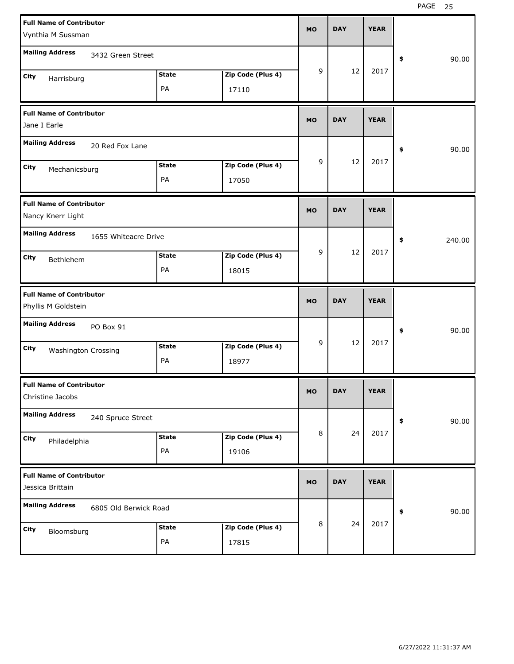| <b>Full Name of Contributor</b><br>Vynthia M Sussman     |                            | <b>MO</b>  | <b>DAY</b>  | <b>YEAR</b> |              |
|----------------------------------------------------------|----------------------------|------------|-------------|-------------|--------------|
| <b>Mailing Address</b><br>3432 Green Street              |                            |            |             |             | \$<br>90.00  |
| <b>State</b><br>City<br>Harrisburg<br>PA                 | Zip Code (Plus 4)<br>17110 | 9          | 12          | 2017        |              |
| <b>Full Name of Contributor</b><br>Jane I Earle          | <b>MO</b>                  | <b>DAY</b> | <b>YEAR</b> |             |              |
| <b>Mailing Address</b><br>20 Red Fox Lane                |                            |            |             | \$<br>90.00 |              |
| <b>State</b><br>City<br>Mechanicsburg<br>PA              | Zip Code (Plus 4)<br>17050 | 9          | 12          | 2017        |              |
| <b>Full Name of Contributor</b><br>Nancy Knerr Light     |                            | <b>MO</b>  | <b>DAY</b>  | <b>YEAR</b> |              |
| <b>Mailing Address</b><br>1655 Whiteacre Drive           |                            |            |             |             | \$<br>240.00 |
| <b>State</b><br>City<br>Bethlehem<br>PA                  | Zip Code (Plus 4)<br>18015 | 9          | 12          | 2017        |              |
|                                                          |                            |            |             |             |              |
| <b>Full Name of Contributor</b><br>Phyllis M Goldstein   |                            | <b>MO</b>  | <b>DAY</b>  | <b>YEAR</b> |              |
| <b>Mailing Address</b><br>PO Box 91                      |                            |            |             |             | \$<br>90.00  |
| <b>State</b><br>City<br><b>Washington Crossing</b><br>PA | Zip Code (Plus 4)<br>18977 | 9          | 12          | 2017        |              |
| <b>Full Name of Contributor</b><br>Christine Jacobs      |                            | MO         | <b>DAY</b>  | <b>YEAR</b> |              |
| <b>Mailing Address</b><br>240 Spruce Street              |                            |            |             |             | 90.00<br>\$  |
| <b>State</b><br>City<br>Philadelphia<br>PA               | Zip Code (Plus 4)<br>19106 | 8          | 24          | 2017        |              |
| <b>Full Name of Contributor</b><br>Jessica Brittain      |                            | <b>MO</b>  | <b>DAY</b>  | <b>YEAR</b> |              |
| <b>Mailing Address</b><br>6805 Old Berwick Road          |                            | 8          | 24          | 2017        | 90.00<br>\$  |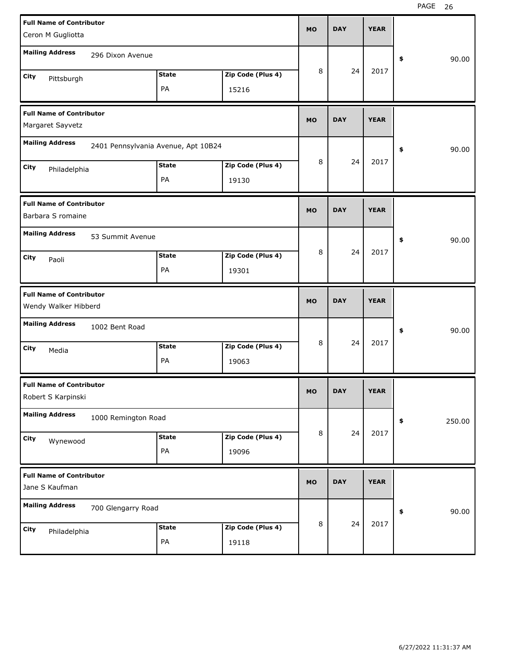| <b>Full Name of Contributor</b><br>Ceron M Gugliotta    |                     |                                     |                            | <b>MO</b> | <b>DAY</b> | <b>YEAR</b> |              |
|---------------------------------------------------------|---------------------|-------------------------------------|----------------------------|-----------|------------|-------------|--------------|
| <b>Mailing Address</b>                                  | 296 Dixon Avenue    |                                     |                            |           |            |             | 90.00<br>\$  |
| City<br>Pittsburgh                                      |                     | <b>State</b><br>PA                  | Zip Code (Plus 4)<br>15216 | 8         | 24         | 2017        |              |
| <b>Full Name of Contributor</b><br>Margaret Sayvetz     |                     |                                     |                            |           | <b>DAY</b> | <b>YEAR</b> |              |
| <b>Mailing Address</b>                                  |                     | 2401 Pennsylvania Avenue, Apt 10B24 |                            |           |            | 90.00<br>\$ |              |
| City<br>Philadelphia                                    |                     | <b>State</b><br>PA                  | Zip Code (Plus 4)<br>19130 | 8         | 24         | 2017        |              |
| <b>Full Name of Contributor</b><br>Barbara S romaine    |                     |                                     |                            | <b>MO</b> | <b>DAY</b> | <b>YEAR</b> |              |
| <b>Mailing Address</b>                                  | 53 Summit Avenue    |                                     |                            |           |            |             | 90.00<br>\$  |
| City<br>Paoli                                           |                     | <b>State</b><br>PA                  | Zip Code (Plus 4)<br>19301 | 8         | 24         | 2017        |              |
|                                                         |                     |                                     |                            |           |            |             |              |
| <b>Full Name of Contributor</b><br>Wendy Walker Hibberd |                     |                                     |                            | <b>MO</b> | <b>DAY</b> | <b>YEAR</b> |              |
| <b>Mailing Address</b>                                  | 1002 Bent Road      |                                     |                            |           |            |             | 90.00<br>\$  |
| City<br>Media                                           |                     | <b>State</b><br>PA                  | Zip Code (Plus 4)<br>19063 | 8         | 24         | 2017        |              |
| <b>Full Name of Contributor</b><br>Robert S Karpinski   |                     |                                     |                            | MO        | <b>DAY</b> | <b>YEAR</b> |              |
| <b>Mailing Address</b>                                  | 1000 Remington Road |                                     |                            |           |            |             | 250.00<br>\$ |
| City<br>Wynewood                                        |                     | <b>State</b><br>PA                  | Zip Code (Plus 4)<br>19096 | 8         | 24         | 2017        |              |
| <b>Full Name of Contributor</b><br>Jane S Kaufman       |                     |                                     |                            | <b>MO</b> | <b>DAY</b> | <b>YEAR</b> |              |
| <b>Mailing Address</b>                                  | 700 Glengarry Road  |                                     |                            |           | 24         | 2017        | 90.00<br>\$  |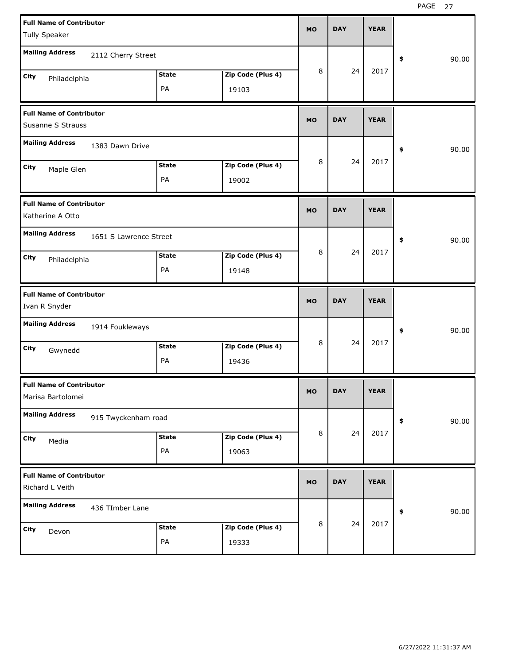| <b>Full Name of Contributor</b>                      |                        |              |                   | <b>MO</b> | <b>DAY</b>  | <b>YEAR</b> |             |
|------------------------------------------------------|------------------------|--------------|-------------------|-----------|-------------|-------------|-------------|
| Tully Speaker                                        |                        |              |                   |           |             |             |             |
| <b>Mailing Address</b>                               | 2112 Cherry Street     |              |                   |           |             |             | \$<br>90.00 |
| City<br>Philadelphia                                 |                        | <b>State</b> | Zip Code (Plus 4) | 8         | 24          | 2017        |             |
|                                                      |                        | PA           | 19103             |           |             |             |             |
| <b>Full Name of Contributor</b><br>Susanne S Strauss |                        |              |                   | <b>MO</b> | <b>DAY</b>  | <b>YEAR</b> |             |
| <b>Mailing Address</b>                               | 1383 Dawn Drive        |              |                   |           | \$<br>90.00 |             |             |
| City                                                 |                        | <b>State</b> | Zip Code (Plus 4) | 8         | 24          | 2017        |             |
| Maple Glen                                           |                        | PA           | 19002             |           |             |             |             |
| <b>Full Name of Contributor</b><br>Katherine A Otto  |                        |              |                   | <b>MO</b> | <b>DAY</b>  | <b>YEAR</b> |             |
| <b>Mailing Address</b>                               | 1651 S Lawrence Street |              |                   |           |             |             | \$<br>90.00 |
| City<br>Philadelphia                                 |                        | <b>State</b> | Zip Code (Plus 4) | 8         | 24          | 2017        |             |
|                                                      |                        | PA           | 19148             |           |             |             |             |
|                                                      |                        |              |                   |           |             |             |             |
| <b>Full Name of Contributor</b><br>Ivan R Snyder     |                        |              |                   | <b>MO</b> | <b>DAY</b>  | <b>YEAR</b> |             |
| <b>Mailing Address</b>                               | 1914 Foukleways        |              |                   |           |             |             | \$<br>90.00 |
| City                                                 |                        | <b>State</b> | Zip Code (Plus 4) | 8         | 24          | 2017        |             |
| Gwynedd                                              |                        | PA           | 19436             |           |             |             |             |
| <b>Full Name of Contributor</b><br>Marisa Bartolomei |                        |              |                   | МO        | <b>DAY</b>  | <b>YEAR</b> |             |
| <b>Mailing Address</b>                               | 915 Twyckenham road    |              |                   |           |             |             | \$<br>90.00 |
| City                                                 |                        | <b>State</b> | Zip Code (Plus 4) | $\, 8$    | 24          | 2017        |             |
| Media                                                |                        | PA           | 19063             |           |             |             |             |
| <b>Full Name of Contributor</b><br>Richard L Veith   |                        |              |                   | <b>MO</b> | <b>DAY</b>  | <b>YEAR</b> |             |
| <b>Mailing Address</b>                               | 436 TImber Lane        |              |                   |           |             |             | \$<br>90.00 |
| City<br>Devon                                        |                        | <b>State</b> | Zip Code (Plus 4) | 8         | 24          | 2017        |             |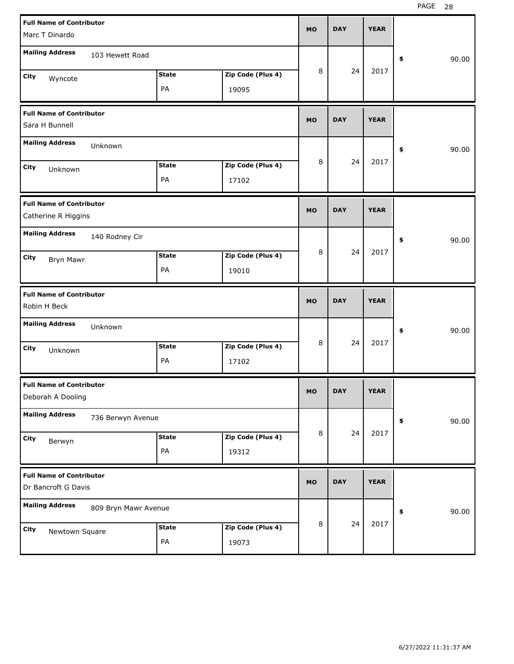| <b>Full Name of Contributor</b><br>Marc T Dinardo    |                      |                    |                            | <b>MO</b> | <b>DAY</b> | <b>YEAR</b> |             |
|------------------------------------------------------|----------------------|--------------------|----------------------------|-----------|------------|-------------|-------------|
|                                                      |                      |                    |                            |           |            |             |             |
| <b>Mailing Address</b>                               | 103 Hewett Road      |                    |                            |           |            |             | \$<br>90.00 |
| City                                                 |                      | <b>State</b>       | Zip Code (Plus 4)          | 8         | 24         | 2017        |             |
| Wyncote                                              |                      | PA                 | 19095                      |           |            |             |             |
|                                                      |                      |                    |                            |           |            |             |             |
| <b>Full Name of Contributor</b>                      |                      |                    |                            | <b>MO</b> | <b>DAY</b> | <b>YEAR</b> |             |
| Sara H Bunnell                                       |                      |                    |                            |           |            |             |             |
| <b>Mailing Address</b>                               | Unknown              |                    |                            |           |            |             | \$<br>90.00 |
| City<br>Unknown                                      |                      | <b>State</b>       | Zip Code (Plus 4)          | 8         | 24         | 2017        |             |
|                                                      |                      | PA                 | 17102                      |           |            |             |             |
|                                                      |                      |                    |                            |           |            |             |             |
| <b>Full Name of Contributor</b>                      |                      |                    |                            | <b>MO</b> | <b>DAY</b> | <b>YEAR</b> |             |
| Catherine R Higgins                                  |                      |                    |                            |           |            |             |             |
| <b>Mailing Address</b>                               | 140 Rodney Cir       |                    |                            |           |            |             | \$<br>90.00 |
|                                                      |                      | <b>State</b>       | Zip Code (Plus 4)          | 8         | 24         | 2017        |             |
| City<br>Bryn Mawr                                    |                      | PA                 | 19010                      |           |            |             |             |
|                                                      |                      |                    |                            |           |            |             |             |
|                                                      |                      |                    |                            |           |            |             |             |
| <b>Full Name of Contributor</b>                      |                      |                    |                            |           |            |             |             |
| Robin H Beck                                         |                      |                    |                            | <b>MO</b> | <b>DAY</b> | <b>YEAR</b> |             |
| <b>Mailing Address</b>                               | Unknown              |                    |                            |           |            |             | \$<br>90.00 |
| City                                                 |                      | <b>State</b>       | Zip Code (Plus 4)          | 8         | 24         | 2017        |             |
| Unknown                                              |                      | PA                 | 17102                      |           |            |             |             |
|                                                      |                      |                    |                            |           |            |             |             |
| <b>Full Name of Contributor</b><br>Deborah A Dooling |                      |                    |                            | МO        | <b>DAY</b> | <b>YEAR</b> |             |
| <b>Mailing Address</b>                               | 736 Berwyn Avenue    |                    |                            |           |            |             | \$<br>90.00 |
|                                                      |                      | <b>State</b>       | Zip Code (Plus 4)          | 8         | 24         | 2017        |             |
| City<br>Berwyn                                       |                      | PA                 |                            |           |            |             |             |
|                                                      |                      |                    | 19312                      |           |            |             |             |
| <b>Full Name of Contributor</b>                      |                      |                    |                            | <b>MO</b> | <b>DAY</b> | <b>YEAR</b> |             |
| Dr Bancroft G Davis                                  |                      |                    |                            |           |            |             |             |
| <b>Mailing Address</b>                               | 809 Bryn Mawr Avenue |                    |                            |           |            |             | \$<br>90.00 |
|                                                      |                      |                    |                            | 8         | 24         | 2017        |             |
| City<br>Newtown Square                               |                      | <b>State</b><br>PA | Zip Code (Plus 4)<br>19073 |           |            |             |             |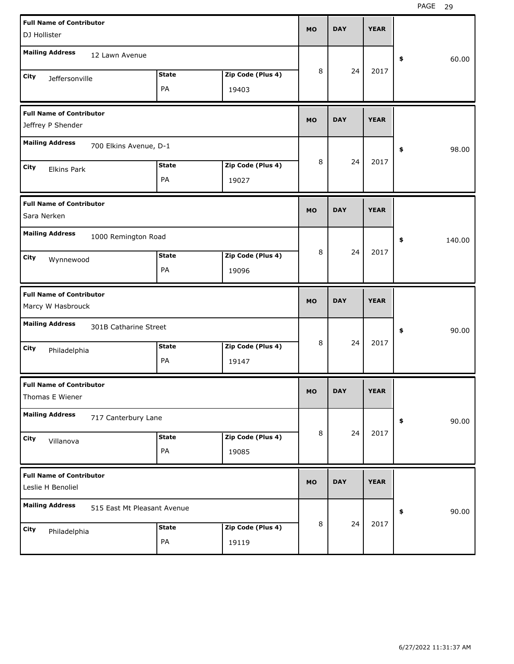| <b>Full Name of Contributor</b>                      |                             |                   | <b>MO</b> | <b>DAY</b> | <b>YEAR</b> |              |
|------------------------------------------------------|-----------------------------|-------------------|-----------|------------|-------------|--------------|
| DJ Hollister                                         |                             |                   |           |            |             |              |
| <b>Mailing Address</b><br>12 Lawn Avenue             |                             |                   |           |            |             | \$<br>60.00  |
| City<br>Jeffersonville                               | <b>State</b>                | Zip Code (Plus 4) | 8         | 24         | 2017        |              |
|                                                      | PA                          | 19403             |           |            |             |              |
| <b>Full Name of Contributor</b><br>Jeffrey P Shender |                             |                   | <b>MO</b> | <b>DAY</b> | <b>YEAR</b> |              |
| <b>Mailing Address</b>                               | 700 Elkins Avenue, D-1      |                   |           |            |             | 98.00<br>\$  |
| City                                                 | <b>State</b>                | Zip Code (Plus 4) | 8         | 24         | 2017        |              |
| <b>Elkins Park</b>                                   | PA                          | 19027             |           |            |             |              |
| <b>Full Name of Contributor</b><br>Sara Nerken       |                             |                   | <b>MO</b> | <b>DAY</b> | <b>YEAR</b> |              |
| <b>Mailing Address</b>                               | 1000 Remington Road         |                   |           |            |             | \$<br>140.00 |
| City<br>Wynnewood                                    | <b>State</b>                | Zip Code (Plus 4) | 8         | 24         | 2017        |              |
|                                                      | PA                          | 19096             |           |            |             |              |
|                                                      |                             |                   |           |            |             |              |
| <b>Full Name of Contributor</b><br>Marcy W Hasbrouck |                             |                   | <b>MO</b> | <b>DAY</b> | <b>YEAR</b> |              |
| <b>Mailing Address</b>                               | 301B Catharine Street       |                   |           |            |             | \$<br>90.00  |
| City                                                 | <b>State</b>                | Zip Code (Plus 4) | 8         | 24         | 2017        |              |
| Philadelphia                                         | PA                          | 19147             |           |            |             |              |
| <b>Full Name of Contributor</b><br>Thomas E Wiener   |                             |                   | <b>MO</b> | <b>DAY</b> | <b>YEAR</b> |              |
| <b>Mailing Address</b>                               | 717 Canterbury Lane         |                   |           |            |             | 90.00<br>\$  |
| City                                                 | <b>State</b>                | Zip Code (Plus 4) | 8         | 24         | 2017        |              |
| Villanova                                            | PA                          | 19085             |           |            |             |              |
| <b>Full Name of Contributor</b><br>Leslie H Benoliel |                             |                   | <b>MO</b> | <b>DAY</b> | <b>YEAR</b> |              |
| <b>Mailing Address</b>                               | 515 East Mt Pleasant Avenue |                   |           |            |             | 90.00<br>\$  |
| City<br>Philadelphia                                 | <b>State</b>                | Zip Code (Plus 4) | 8         | 24         | 2017        |              |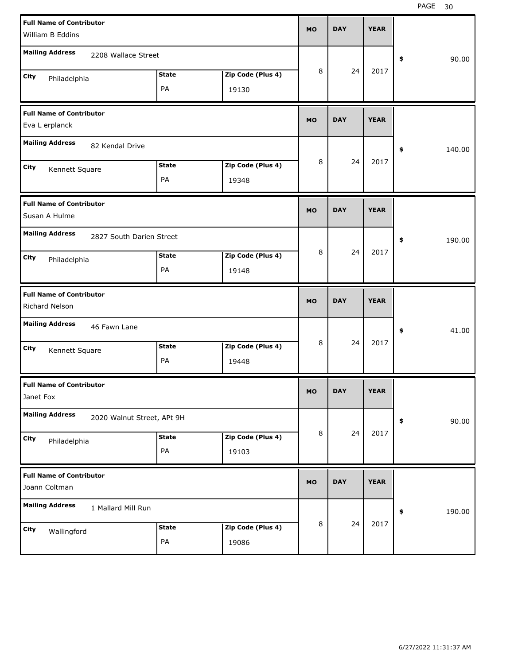| <b>Full Name of Contributor</b><br>William B Eddins                        | <b>MO</b> |   | <b>DAY</b> | <b>YEAR</b> |              |
|----------------------------------------------------------------------------|-----------|---|------------|-------------|--------------|
| <b>Mailing Address</b><br>2208 Wallace Street                              |           |   |            |             | 90.00<br>\$  |
| Zip Code (Plus 4)<br><b>State</b><br>City<br>Philadelphia<br>PA<br>19130   |           | 8 | 24         | 2017        |              |
| <b>Full Name of Contributor</b><br>Eva L erplanck                          | <b>MO</b> |   | <b>DAY</b> | <b>YEAR</b> |              |
| <b>Mailing Address</b><br>82 Kendal Drive                                  |           |   |            |             | 140.00<br>\$ |
| Zip Code (Plus 4)<br><b>State</b><br>City<br>Kennett Square<br>PA<br>19348 |           | 8 | 24         | 2017        |              |
| <b>Full Name of Contributor</b><br>Susan A Hulme                           | <b>MO</b> |   | <b>DAY</b> | <b>YEAR</b> |              |
| <b>Mailing Address</b><br>2827 South Darien Street                         |           |   |            |             | 190.00<br>\$ |
| Zip Code (Plus 4)<br><b>State</b><br>City<br>Philadelphia<br>PA<br>19148   |           | 8 | 24         | 2017        |              |
|                                                                            |           |   |            |             |              |
| <b>Full Name of Contributor</b><br>Richard Nelson                          | <b>MO</b> |   | <b>DAY</b> | <b>YEAR</b> |              |
| <b>Mailing Address</b><br>46 Fawn Lane                                     |           |   |            |             | 41.00<br>\$  |
| <b>State</b><br>Zip Code (Plus 4)<br>City<br>Kennett Square<br>PA<br>19448 |           | 8 | 24         | 2017        |              |
| <b>Full Name of Contributor</b><br>Janet Fox                               | <b>MO</b> |   | <b>DAY</b> | <b>YEAR</b> |              |
| <b>Mailing Address</b><br>2020 Walnut Street, APt 9H                       |           |   |            |             | 90.00<br>\$  |
| Zip Code (Plus 4)<br><b>State</b><br>City<br>Philadelphia<br>PA<br>19103   |           | 8 | 24         | 2017        |              |
| <b>Full Name of Contributor</b><br>Joann Coltman                           | <b>MO</b> |   | <b>DAY</b> | <b>YEAR</b> |              |
| <b>Mailing Address</b><br>1 Mallard Mill Run                               |           |   | 24         | 2017        | 190.00<br>\$ |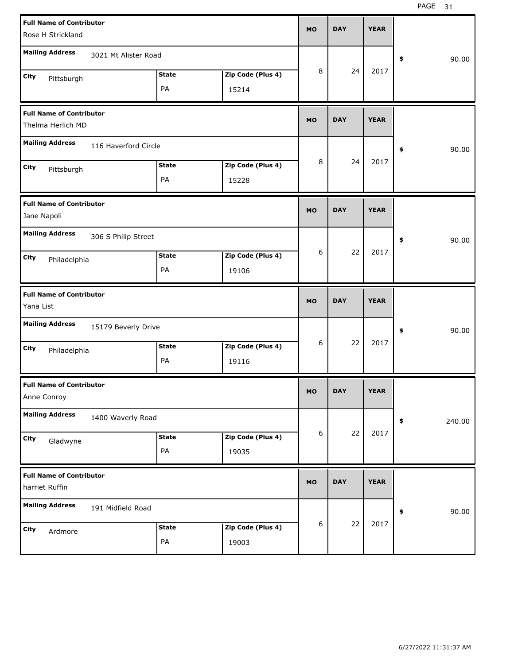| Rose H Strickland<br><b>Mailing Address</b>                                                    | <b>Full Name of Contributor</b><br><b>DAY</b><br><b>YEAR</b><br><b>MO</b> |
|------------------------------------------------------------------------------------------------|---------------------------------------------------------------------------|
|                                                                                                |                                                                           |
| \$                                                                                             | 3021 Mt Alister Road<br>90.00                                             |
| 8<br>2017<br>24<br><b>State</b><br>Zip Code (Plus 4)<br>City<br>Pittsburgh                     |                                                                           |
| PA<br>15214                                                                                    |                                                                           |
| <b>Full Name of Contributor</b><br><b>DAY</b><br><b>YEAR</b><br><b>MO</b><br>Thelma Herlich MD |                                                                           |
|                                                                                                |                                                                           |
| <b>Mailing Address</b><br>116 Haverford Circle<br>\$                                           | 90.00                                                                     |
| 8<br>2017<br>24<br><b>State</b><br>Zip Code (Plus 4)<br>City<br>Pittsburgh                     |                                                                           |
| PA<br>15228                                                                                    |                                                                           |
| <b>Full Name of Contributor</b><br><b>DAY</b><br><b>YEAR</b><br><b>MO</b><br>Jane Napoli       |                                                                           |
|                                                                                                |                                                                           |
| <b>Mailing Address</b><br>306 S Philip Street                                                  | 90.00<br>\$                                                               |
|                                                                                                |                                                                           |
| 22<br>2017<br>6<br><b>State</b><br>Zip Code (Plus 4)<br>City<br>Philadelphia                   |                                                                           |
| PA<br>19106                                                                                    |                                                                           |
| <b>Full Name of Contributor</b><br><b>DAY</b><br><b>YEAR</b><br><b>MO</b><br>Yana List         |                                                                           |
| <b>Mailing Address</b><br>15179 Beverly Drive<br>\$                                            | 90.00                                                                     |
| 22<br>2017<br>6<br><b>State</b><br>Zip Code (Plus 4)                                           |                                                                           |
| City<br>Philadelphia<br>PA<br>19116                                                            |                                                                           |
| <b>Full Name of Contributor</b><br>МO<br><b>DAY</b><br><b>YEAR</b><br>Anne Conroy              |                                                                           |
| <b>Mailing Address</b><br>1400 Waverly Road<br>\$                                              | 240.00                                                                    |
| $\boldsymbol{6}$<br>22<br>2017<br><b>State</b><br>Zip Code (Plus 4)                            |                                                                           |
| City<br>Gladwyne<br>PA<br>19035                                                                |                                                                           |
| <b>Full Name of Contributor</b>                                                                |                                                                           |
| <b>YEAR</b><br><b>DAY</b><br><b>MO</b><br>harriet Ruffin                                       |                                                                           |
| <b>Mailing Address</b><br>191 Midfield Road<br>\$                                              | 90.00                                                                     |
| 2017<br>$\boldsymbol{6}$<br>22<br>Zip Code (Plus 4)<br><b>State</b><br>City<br>Ardmore         |                                                                           |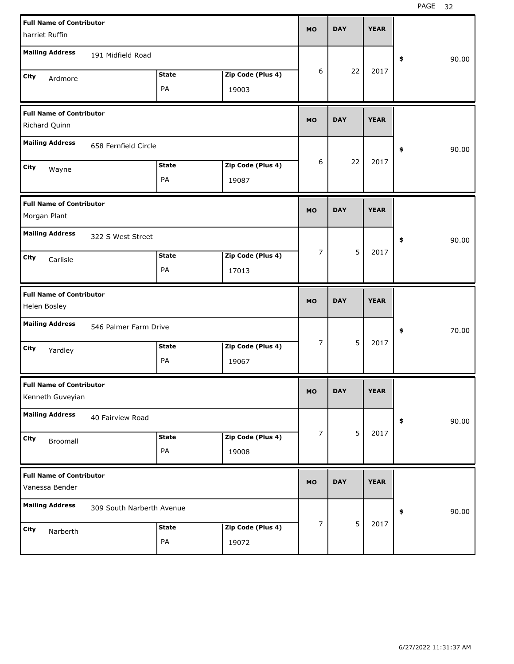| <b>Full Name of Contributor</b>                  |                           |              |                   |                |            |             |             |
|--------------------------------------------------|---------------------------|--------------|-------------------|----------------|------------|-------------|-------------|
| harriet Ruffin                                   |                           |              |                   | <b>MO</b>      | <b>DAY</b> | <b>YEAR</b> |             |
| <b>Mailing Address</b>                           | 191 Midfield Road         |              |                   |                |            |             | \$<br>90.00 |
| City                                             |                           | <b>State</b> | Zip Code (Plus 4) | 6              | 22         | 2017        |             |
| Ardmore                                          |                           | PA           | 19003             |                |            |             |             |
|                                                  |                           |              |                   |                |            |             |             |
| <b>Full Name of Contributor</b><br>Richard Quinn |                           |              |                   |                | <b>DAY</b> | <b>YEAR</b> |             |
| <b>Mailing Address</b>                           | 658 Fernfield Circle      |              |                   |                |            |             | \$<br>90.00 |
| City<br>Wayne                                    |                           | <b>State</b> | Zip Code (Plus 4) | 6              | 22         | 2017        |             |
|                                                  |                           | PA           | 19087             |                |            |             |             |
| <b>Full Name of Contributor</b>                  |                           |              |                   |                |            |             |             |
| Morgan Plant                                     |                           |              |                   | <b>MO</b>      | <b>DAY</b> | <b>YEAR</b> |             |
| <b>Mailing Address</b>                           | 322 S West Street         |              |                   |                |            |             | \$<br>90.00 |
| City<br>Carlisle                                 |                           | <b>State</b> | Zip Code (Plus 4) | $\overline{7}$ | 5          | 2017        |             |
|                                                  |                           | PA           | 17013             |                |            |             |             |
|                                                  |                           |              |                   |                |            |             |             |
| <b>Full Name of Contributor</b>                  |                           |              |                   |                |            |             |             |
| Helen Bosley                                     |                           |              |                   | <b>MO</b>      | <b>DAY</b> | <b>YEAR</b> |             |
| <b>Mailing Address</b>                           | 546 Palmer Farm Drive     |              |                   |                |            |             | \$<br>70.00 |
| City<br>Yardley                                  |                           | <b>State</b> | Zip Code (Plus 4) | $\overline{7}$ | 5          | 2017        |             |
|                                                  |                           | PA           | 19067             |                |            |             |             |
| <b>Full Name of Contributor</b>                  |                           |              |                   |                |            |             |             |
| Kenneth Guveyian                                 |                           |              |                   | MO             | <b>DAY</b> | <b>YEAR</b> |             |
| <b>Mailing Address</b>                           | 40 Fairview Road          |              |                   |                |            |             | \$<br>90.00 |
| City<br>Broomall                                 |                           | <b>State</b> | Zip Code (Plus 4) | $\overline{7}$ | 5          | 2017        |             |
|                                                  |                           | PA           | 19008             |                |            |             |             |
| <b>Full Name of Contributor</b>                  |                           |              |                   |                |            |             |             |
| Vanessa Bender                                   |                           |              |                   | <b>MO</b>      | <b>DAY</b> | <b>YEAR</b> |             |
| <b>Mailing Address</b>                           | 309 South Narberth Avenue |              |                   |                |            |             | \$<br>90.00 |
| City<br>Narberth                                 |                           | <b>State</b> | Zip Code (Plus 4) | $\overline{7}$ | 5          | 2017        |             |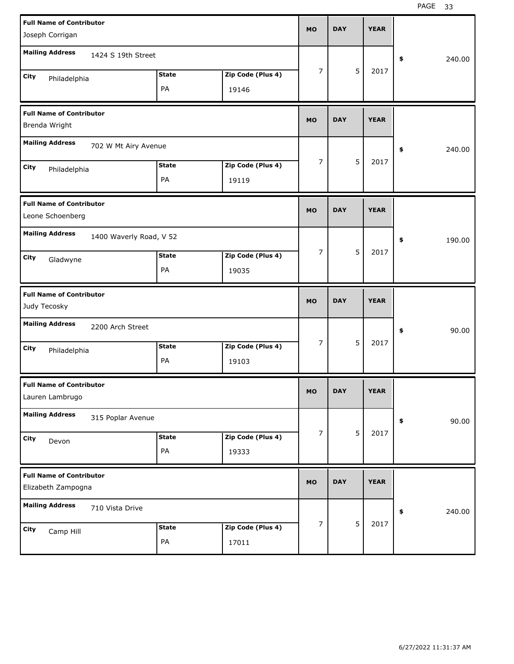| <b>Full Name of Contributor</b><br>Joseph Corrigan                       | <b>MO</b>      | <b>DAY</b> |   | <b>YEAR</b> |              |
|--------------------------------------------------------------------------|----------------|------------|---|-------------|--------------|
| <b>Mailing Address</b><br>1424 S 19th Street                             |                |            |   |             | 240.00<br>\$ |
| <b>State</b><br>Zip Code (Plus 4)<br>City<br>Philadelphia<br>PA<br>19146 | 7              |            | 5 | 2017        |              |
| <b>Full Name of Contributor</b><br>Brenda Wright                         | <b>MO</b>      | <b>DAY</b> |   | <b>YEAR</b> |              |
| <b>Mailing Address</b><br>702 W Mt Airy Avenue                           |                |            |   |             | 240.00<br>\$ |
| <b>State</b><br>Zip Code (Plus 4)<br>City<br>Philadelphia<br>PA<br>19119 | 7              |            | 5 | 2017        |              |
| <b>Full Name of Contributor</b><br>Leone Schoenberg                      | <b>MO</b>      | <b>DAY</b> |   | <b>YEAR</b> |              |
| <b>Mailing Address</b><br>1400 Waverly Road, V 52                        |                |            |   |             | 190.00<br>\$ |
| <b>State</b><br>Zip Code (Plus 4)<br>City<br>Gladwyne<br>PA<br>19035     | $\overline{7}$ |            | 5 | 2017        |              |
|                                                                          |                |            |   |             |              |
| <b>Full Name of Contributor</b><br>Judy Tecosky                          | <b>MO</b>      | <b>DAY</b> |   | <b>YEAR</b> |              |
| <b>Mailing Address</b><br>2200 Arch Street                               |                |            |   |             | 90.00<br>\$  |
| <b>State</b><br>Zip Code (Plus 4)<br>City<br>Philadelphia<br>PA<br>19103 | 7              |            | 5 | 2017        |              |
| <b>Full Name of Contributor</b><br>Lauren Lambrugo                       | MO             | <b>DAY</b> |   | <b>YEAR</b> |              |
| <b>Mailing Address</b><br>315 Poplar Avenue                              |                |            |   |             | 90.00<br>\$  |
| Zip Code (Plus 4)<br><b>State</b><br>City<br>Devon<br>PA<br>19333        | 7              |            | 5 | 2017        |              |
| <b>Full Name of Contributor</b><br>Elizabeth Zampogna                    | <b>MO</b>      | <b>DAY</b> |   | <b>YEAR</b> |              |
| <b>Mailing Address</b><br>710 Vista Drive                                | 7              |            | 5 | 2017        | 240.00<br>\$ |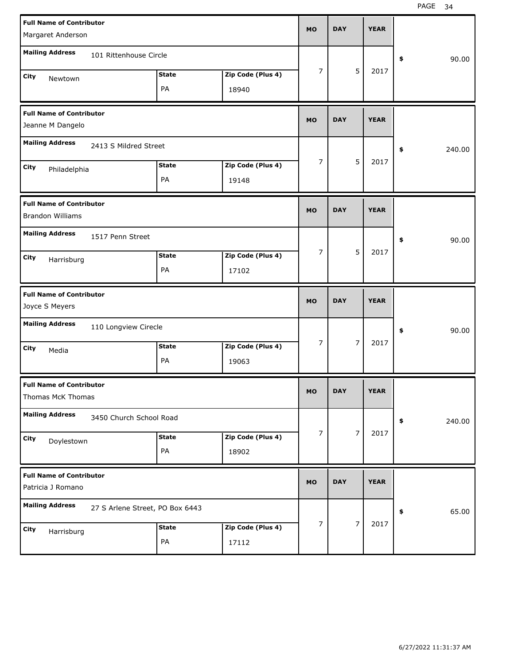| <b>Full Name of Contributor</b><br>Margaret Anderson       |                                 |                    |                            | <b>MO</b>      | <b>DAY</b> |                | <b>YEAR</b> |              |
|------------------------------------------------------------|---------------------------------|--------------------|----------------------------|----------------|------------|----------------|-------------|--------------|
| <b>Mailing Address</b>                                     | 101 Rittenhouse Circle          |                    |                            |                |            |                |             | \$<br>90.00  |
| City<br>Newtown                                            |                                 | <b>State</b><br>PA | Zip Code (Plus 4)<br>18940 | $\overline{7}$ |            | 5              | 2017        |              |
| <b>Full Name of Contributor</b><br>Jeanne M Dangelo        |                                 |                    |                            |                | <b>DAY</b> |                | <b>YEAR</b> |              |
| <b>Mailing Address</b>                                     | 2413 S Mildred Street           |                    |                            |                |            |                |             | \$<br>240.00 |
| City<br>Philadelphia                                       |                                 | <b>State</b><br>PA | Zip Code (Plus 4)<br>19148 | $\overline{7}$ |            | 5              | 2017        |              |
| <b>Full Name of Contributor</b><br><b>Brandon Williams</b> |                                 |                    |                            | <b>MO</b>      | <b>DAY</b> |                | <b>YEAR</b> |              |
| <b>Mailing Address</b>                                     | 1517 Penn Street                |                    |                            |                |            |                |             | \$<br>90.00  |
| City<br>Harrisburg                                         |                                 | <b>State</b><br>PA | Zip Code (Plus 4)<br>17102 | $\overline{7}$ |            | 5              | 2017        |              |
|                                                            |                                 |                    |                            |                |            |                |             |              |
| <b>Full Name of Contributor</b><br>Joyce S Meyers          |                                 |                    |                            | <b>MO</b>      | <b>DAY</b> |                | <b>YEAR</b> |              |
| <b>Mailing Address</b>                                     | 110 Longview Cirecle            |                    |                            |                |            |                |             | \$<br>90.00  |
| City<br>Media                                              |                                 | <b>State</b><br>PA | Zip Code (Plus 4)<br>19063 | $\overline{7}$ |            | $\overline{7}$ | 2017        |              |
| <b>Full Name of Contributor</b><br>Thomas McK Thomas       |                                 |                    |                            | <b>MO</b>      | <b>DAY</b> |                | <b>YEAR</b> |              |
| <b>Mailing Address</b>                                     | 3450 Church School Road         |                    |                            |                |            |                |             | \$<br>240.00 |
| City<br>Doylestown                                         |                                 | <b>State</b><br>PA | Zip Code (Plus 4)<br>18902 | 7              |            | 7              | 2017        |              |
| <b>Full Name of Contributor</b><br>Patricia J Romano       |                                 |                    |                            | <b>MO</b>      | <b>DAY</b> |                | <b>YEAR</b> |              |
| <b>Mailing Address</b>                                     | 27 S Arlene Street, PO Box 6443 |                    |                            | 7              |            | $\overline{7}$ | 2017        | \$<br>65.00  |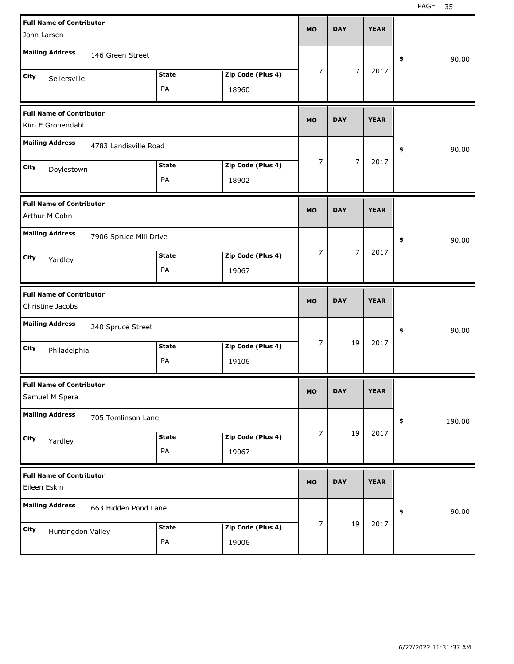| <b>Full Name of Contributor</b><br>John Larsen      |                        |              |                   | <b>MO</b>      | <b>DAY</b>     | <b>YEAR</b> |              |
|-----------------------------------------------------|------------------------|--------------|-------------------|----------------|----------------|-------------|--------------|
|                                                     |                        |              |                   |                |                |             |              |
| <b>Mailing Address</b>                              | 146 Green Street       |              |                   |                |                |             | 90.00<br>\$  |
| City<br>Sellersville                                |                        | <b>State</b> | Zip Code (Plus 4) | 7              | $\overline{7}$ | 2017        |              |
|                                                     |                        | PA           | 18960             |                |                |             |              |
| <b>Full Name of Contributor</b><br>Kim E Gronendahl |                        |              |                   |                | <b>DAY</b>     | <b>YEAR</b> |              |
|                                                     |                        |              |                   |                |                |             |              |
| <b>Mailing Address</b>                              | 4783 Landisville Road  |              |                   |                | 90.00<br>\$    |             |              |
| City<br>Doylestown                                  |                        | <b>State</b> | Zip Code (Plus 4) | $\overline{7}$ | $\overline{7}$ | 2017        |              |
|                                                     |                        | PA           | 18902             |                |                |             |              |
| <b>Full Name of Contributor</b>                     |                        |              |                   |                |                |             |              |
| Arthur M Cohn                                       |                        |              |                   | <b>MO</b>      | <b>DAY</b>     | <b>YEAR</b> |              |
| <b>Mailing Address</b>                              | 7906 Spruce Mill Drive |              |                   |                |                |             | 90.00<br>\$  |
| City<br>Yardley                                     |                        | State        | Zip Code (Plus 4) | 7              | $\overline{7}$ | 2017        |              |
|                                                     |                        | PA           | 19067             |                |                |             |              |
|                                                     |                        |              |                   |                |                |             |              |
| <b>Full Name of Contributor</b>                     |                        |              |                   |                |                |             |              |
| Christine Jacobs                                    |                        |              |                   | <b>MO</b>      | <b>DAY</b>     | <b>YEAR</b> |              |
| <b>Mailing Address</b>                              | 240 Spruce Street      |              |                   |                |                |             | 90.00<br>\$  |
| City<br>Philadelphia                                |                        | <b>State</b> | Zip Code (Plus 4) | $\overline{7}$ | 19             | 2017        |              |
|                                                     |                        | PA           | 19106             |                |                |             |              |
| <b>Full Name of Contributor</b>                     |                        |              |                   |                |                |             |              |
| Samuel M Spera                                      |                        |              |                   | <b>MO</b>      | <b>DAY</b>     | <b>YEAR</b> |              |
| <b>Mailing Address</b>                              | 705 Tomlinson Lane     |              |                   |                |                |             | 190.00<br>\$ |
| City<br>Yardley                                     |                        | <b>State</b> | Zip Code (Plus 4) | $\overline{7}$ | 19             | 2017        |              |
|                                                     |                        | PA           | 19067             |                |                |             |              |
| <b>Full Name of Contributor</b><br>Eileen Eskin     |                        |              |                   | <b>MO</b>      | <b>DAY</b>     | <b>YEAR</b> |              |
| <b>Mailing Address</b>                              | 663 Hidden Pond Lane   |              |                   |                |                |             | 90.00<br>\$  |
| City<br>Huntingdon Valley                           |                        | <b>State</b> | Zip Code (Plus 4) | 7              | 19             | 2017        |              |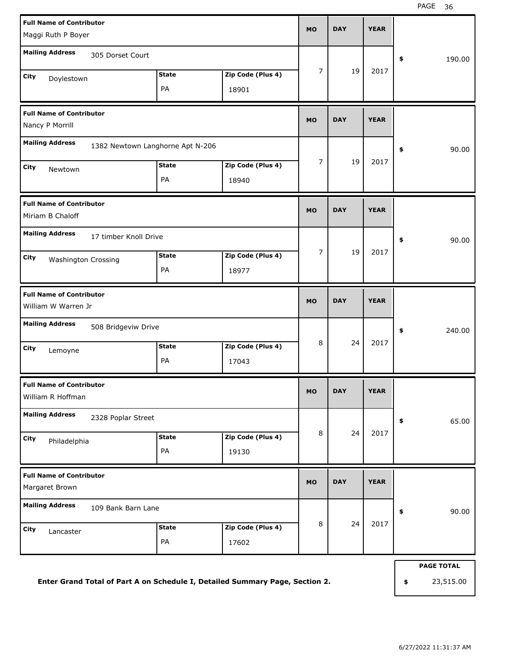| <b>Full Name of Contributor</b><br>Maggi Ruth P Boyer                                 |                    |                            | <b>MO</b>      | <b>DAY</b> | <b>YEAR</b> |                   |
|---------------------------------------------------------------------------------------|--------------------|----------------------------|----------------|------------|-------------|-------------------|
| <b>Mailing Address</b><br>305 Dorset Court                                            | <b>State</b>       | Zip Code (Plus 4)          | 7              | 19         | 2017        | \$<br>190.00      |
| City<br>Doylestown                                                                    | PA                 | 18901                      |                |            |             |                   |
| <b>Full Name of Contributor</b><br>Nancy P Morrill                                    |                    |                            | <b>MO</b>      | <b>DAY</b> | <b>YEAR</b> |                   |
| <b>Mailing Address</b><br>1382 Newtown Langhorne Apt N-206                            |                    |                            |                |            |             | \$<br>90.00       |
| City<br>Newtown                                                                       | <b>State</b><br>PA | Zip Code (Plus 4)<br>18940 | $\overline{7}$ | 19         | 2017        |                   |
| <b>Full Name of Contributor</b><br>Miriam B Chaloff                                   |                    |                            | <b>MO</b>      | <b>DAY</b> | <b>YEAR</b> |                   |
| <b>Mailing Address</b><br>17 timber Knoll Drive<br>City<br><b>Washington Crossing</b> | <b>State</b><br>PA | Zip Code (Plus 4)<br>18977 | $\overline{7}$ | 19         | 2017        | \$<br>90.00       |
| <b>Full Name of Contributor</b><br>William W Warren Jr                                |                    |                            | <b>MO</b>      | <b>DAY</b> | <b>YEAR</b> |                   |
| <b>Mailing Address</b><br>508 Bridgeviw Drive                                         |                    |                            |                |            |             | \$<br>240.00      |
| City<br>Lemoyne                                                                       | <b>State</b><br>PA | Zip Code (Plus 4)<br>17043 | 8              | 24         | 2017        |                   |
| <b>Full Name of Contributor</b><br>William R Hoffman                                  |                    |                            | <b>MO</b>      | DAY        | YEAK        |                   |
| <b>Mailing Address</b><br>2328 Poplar Street                                          |                    |                            |                |            |             | 65.00<br>\$       |
| City<br>Philadelphia                                                                  | <b>State</b><br>PA | Zip Code (Plus 4)<br>19130 | 8              | 24         | 2017        |                   |
| <b>Full Name of Contributor</b><br>Margaret Brown                                     |                    |                            | <b>MO</b>      | <b>DAY</b> | <b>YEAR</b> |                   |
| <b>Mailing Address</b><br>109 Bank Barn Lane                                          |                    |                            |                |            |             | 90.00<br>\$       |
| City<br>Lancaster                                                                     | <b>State</b><br>PA | Zip Code (Plus 4)<br>17602 | 8              | 24         | 2017        |                   |
|                                                                                       |                    |                            |                |            |             | <b>PAGE TOTAL</b> |

**Enter Grand Total of Part A on Schedule I, Detailed Summary Page, Section 2.**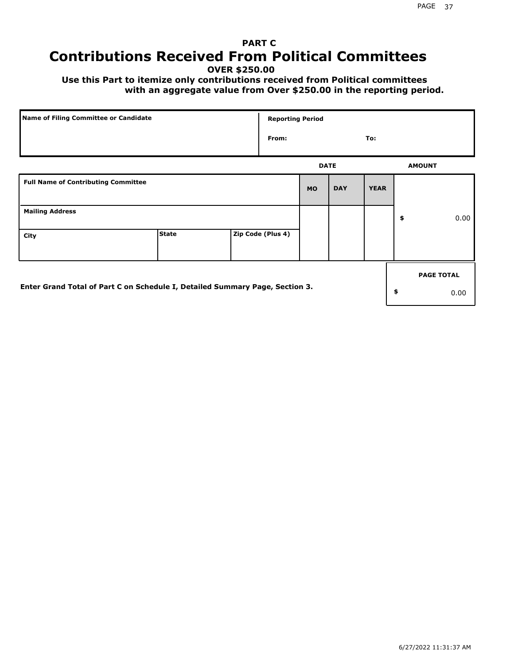# **PART C Contributions Received From Political Committees**

**OVER \$250.00**

 **Use this Part to itemize only contributions received from Political committees with an aggregate value from Over \$250.00 in the reporting period.**

| Name of Filing Committee or Candidate                                        | <b>Reporting Period</b> |  |                   |             |            |             |    |                   |
|------------------------------------------------------------------------------|-------------------------|--|-------------------|-------------|------------|-------------|----|-------------------|
|                                                                              |                         |  | From:             |             |            | To:         |    |                   |
|                                                                              |                         |  |                   | <b>DATE</b> |            |             |    | <b>AMOUNT</b>     |
| <b>Full Name of Contributing Committee</b>                                   |                         |  |                   | <b>MO</b>   | <b>DAY</b> | <b>YEAR</b> |    |                   |
| <b>Mailing Address</b>                                                       |                         |  |                   |             |            |             | \$ | 0.00              |
| City                                                                         | <b>State</b>            |  | Zip Code (Plus 4) |             |            |             |    |                   |
|                                                                              |                         |  |                   |             |            |             |    | <b>PAGE TOTAL</b> |
| Enter Grand Total of Part C on Schedule I, Detailed Summary Page, Section 3. |                         |  |                   |             |            |             | \$ | 0.00              |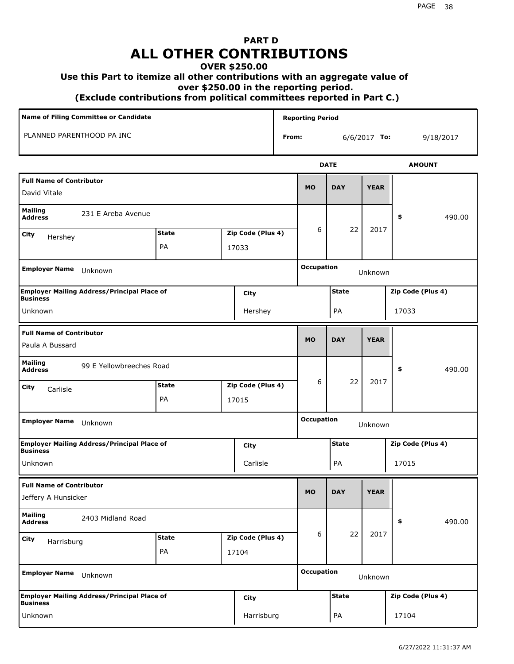# **PART D ALL OTHER CONTRIBUTIONS**

#### **OVER \$250.00**

#### **Use this Part to itemize all other contributions with an aggregate value of**

 **over \$250.00 in the reporting period.**

 **(Exclude contributions from political committees reported in Part C.)** 

| <b>Name of Filing Committee or Candidate</b>                          |                                   |  |                   |                              | <b>Reporting Period</b> |              |                   |                   |
|-----------------------------------------------------------------------|-----------------------------------|--|-------------------|------------------------------|-------------------------|--------------|-------------------|-------------------|
| PLANNED PARENTHOOD PA INC                                             |                                   |  |                   | From:                        |                         |              | $6/6/2017$ To:    | 9/18/2017         |
|                                                                       |                                   |  |                   |                              |                         | <b>DATE</b>  |                   | <b>AMOUNT</b>     |
| <b>Full Name of Contributor</b><br>David Vitale                       |                                   |  |                   |                              | <b>MO</b>               | <b>DAY</b>   | <b>YEAR</b>       |                   |
| <b>Mailing</b><br>231 E Areba Avenue<br><b>Address</b>                |                                   |  |                   |                              |                         |              |                   | 490.00<br>\$      |
| City<br>Hershey                                                       | <b>State</b><br>Zip Code (Plus 4) |  |                   |                              | 6                       | 22           | 2017              |                   |
|                                                                       | PA<br>17033                       |  |                   |                              |                         |              |                   |                   |
| <b>Employer Name</b><br>Unknown                                       |                                   |  |                   |                              | <b>Occupation</b>       |              | Unknown           |                   |
| <b>Employer Mailing Address/Principal Place of</b><br><b>Business</b> |                                   |  | City              |                              |                         | <b>State</b> |                   | Zip Code (Plus 4) |
| Unknown                                                               |                                   |  | Hershey           |                              |                         | PA           |                   | 17033             |
| <b>Full Name of Contributor</b>                                       |                                   |  |                   |                              | <b>MO</b>               | <b>DAY</b>   | <b>YEAR</b>       |                   |
| Paula A Bussard                                                       |                                   |  |                   |                              |                         |              |                   |                   |
| <b>Mailing</b><br>99 E Yellowbreeches Road<br><b>Address</b>          |                                   |  |                   |                              |                         |              |                   | \$<br>490.00      |
| City<br>Carlisle                                                      | <b>State</b>                      |  | Zip Code (Plus 4) |                              | 6                       | 22           | 2017              |                   |
|                                                                       | PA                                |  | 17015             |                              |                         |              |                   |                   |
| <b>Employer Name</b><br>Unknown                                       |                                   |  |                   |                              | <b>Occupation</b>       |              | Unknown           |                   |
| <b>Employer Mailing Address/Principal Place of</b><br><b>Business</b> |                                   |  | City              |                              |                         | <b>State</b> |                   | Zip Code (Plus 4) |
| Unknown                                                               |                                   |  | Carlisle          |                              |                         | PA           |                   | 17015             |
| <b>Full Name of Contributor</b>                                       |                                   |  |                   |                              |                         |              |                   |                   |
| Jeffery A Hunsicker                                                   |                                   |  |                   |                              | <b>MO</b>               | <b>DAY</b>   | <b>YEAR</b>       |                   |
| <b>Mailing</b><br>2403 Midland Road<br><b>Address</b>                 |                                   |  |                   |                              |                         |              |                   | \$<br>490.00      |
| <b>City</b><br>Harrisburg                                             | <b>State</b>                      |  | Zip Code (Plus 4) |                              | 6                       | 22           | 2017              |                   |
|                                                                       | PA                                |  | 17104             |                              |                         |              |                   |                   |
| <b>Employer Name</b><br>Unknown                                       |                                   |  |                   | <b>Occupation</b><br>Unknown |                         |              |                   |                   |
| <b>Employer Mailing Address/Principal Place of</b><br><b>Business</b> |                                   |  | City              |                              | <b>State</b>            |              | Zip Code (Plus 4) |                   |
| Unknown                                                               |                                   |  | Harrisburg        |                              |                         | PA           |                   | 17104             |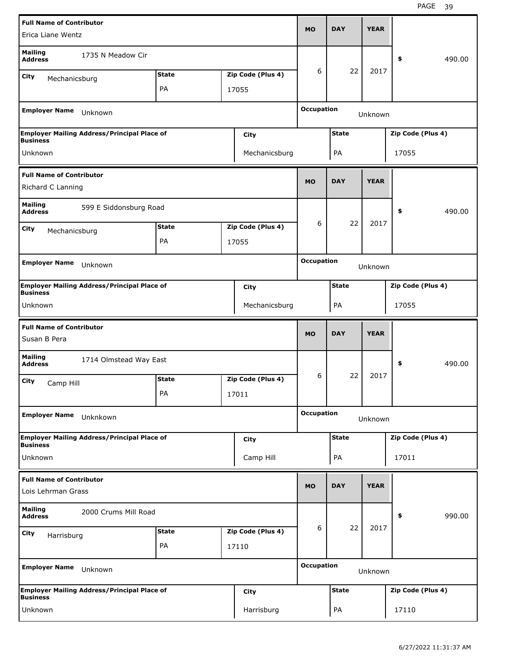| Erica Liane Wentz                                                     |              |                   | <b>MO</b>         | <b>DAY</b>   | <b>YEAR</b> |                   |        |
|-----------------------------------------------------------------------|--------------|-------------------|-------------------|--------------|-------------|-------------------|--------|
| <b>Mailing</b><br>1735 N Meadow Cir<br><b>Address</b>                 |              |                   |                   |              |             | \$                | 490.00 |
| City<br>Mechanicsburg                                                 | <b>State</b> | Zip Code (Plus 4) | 6                 | 22           | 2017        |                   |        |
|                                                                       | PA           | 17055             |                   |              |             |                   |        |
|                                                                       |              |                   |                   |              |             |                   |        |
| <b>Employer Name</b><br>Unknown                                       |              |                   | <b>Occupation</b> |              | Unknown     |                   |        |
| <b>Employer Mailing Address/Principal Place of</b><br><b>Business</b> |              | City              |                   | <b>State</b> |             | Zip Code (Plus 4) |        |
| Unknown                                                               |              | Mechanicsburg     |                   | PA           |             | 17055             |        |
| <b>Full Name of Contributor</b>                                       |              |                   |                   |              |             |                   |        |
| Richard C Lanning                                                     |              |                   | <b>MO</b>         | <b>DAY</b>   | <b>YEAR</b> |                   |        |
| <b>Mailing</b><br>599 E Siddonsburg Road<br><b>Address</b>            |              |                   |                   |              |             | \$                | 490.00 |
| <b>City</b><br>Mechanicsburg                                          | <b>State</b> | Zip Code (Plus 4) | 6                 | 22           | 2017        |                   |        |
|                                                                       | PA           | 17055             |                   |              |             |                   |        |
|                                                                       |              |                   |                   |              |             |                   |        |
| <b>Employer Name</b><br>Unknown                                       |              |                   | <b>Occupation</b> |              | Unknown     |                   |        |
| <b>Employer Mailing Address/Principal Place of</b><br><b>Business</b> |              | <b>City</b>       |                   | <b>State</b> |             | Zip Code (Plus 4) |        |
| Unknown                                                               |              | Mechanicsburg     |                   | PA           |             | 17055             |        |
|                                                                       |              |                   |                   |              |             |                   |        |
|                                                                       |              |                   |                   |              |             |                   |        |
| <b>Full Name of Contributor</b><br>Susan B Pera                       |              |                   | <b>MO</b>         | <b>DAY</b>   | <b>YEAR</b> |                   |        |
| <b>Mailing</b><br>1714 Olmstead Way East<br><b>Address</b>            |              |                   |                   |              |             | \$                | 490.00 |
| City                                                                  | <b>State</b> | Zip Code (Plus 4) | 6                 | 22           | 2017        |                   |        |
| Camp Hill                                                             | PA           | 17011             |                   |              |             |                   |        |
|                                                                       |              |                   |                   |              |             |                   |        |
| <b>Employer Name</b><br>Unknkown                                      |              |                   | <b>Occupation</b> |              | Unknown     |                   |        |
| <b>Employer Mailing Address/Principal Place of</b><br><b>Business</b> |              | <b>City</b>       |                   | <b>State</b> |             | Zip Code (Plus 4) |        |
| Unknown                                                               |              | Camp Hill         |                   | PA           |             | 17011             |        |
|                                                                       |              |                   |                   |              |             |                   |        |
| <b>Full Name of Contributor</b><br>Lois Lehrman Grass                 |              |                   | <b>MO</b>         | <b>DAY</b>   | <b>YEAR</b> |                   |        |
| <b>Mailing</b><br>2000 Crums Mill Road<br><b>Address</b>              |              |                   |                   |              |             | \$                | 990.00 |
| <b>City</b>                                                           | <b>State</b> | Zip Code (Plus 4) | 6                 | 22           | 2017        |                   |        |
| Harrisburg                                                            | PA           | 17110             |                   |              |             |                   |        |
| <b>Employer Name</b><br>Unknown                                       |              |                   | <b>Occupation</b> |              | Unknown     |                   |        |
| <b>Employer Mailing Address/Principal Place of</b><br><b>Business</b> |              | <b>City</b>       |                   | <b>State</b> |             | Zip Code (Plus 4) |        |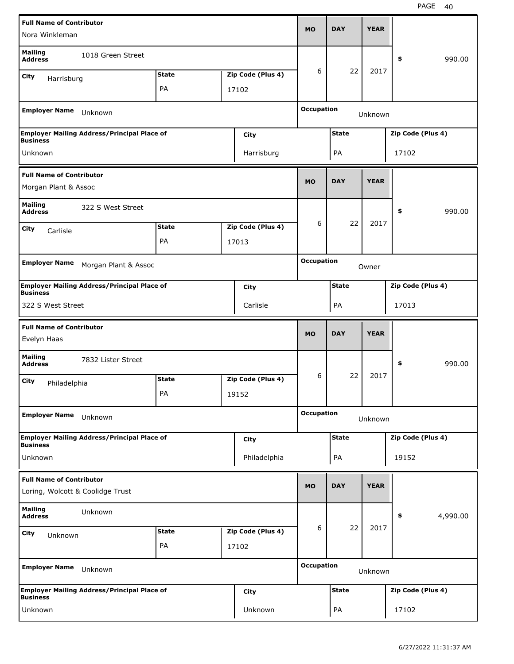| <b>Full Name of Contributor</b>                |                                                    |              |                   |                   |              |             |                   |          |
|------------------------------------------------|----------------------------------------------------|--------------|-------------------|-------------------|--------------|-------------|-------------------|----------|
| Nora Winkleman                                 |                                                    |              |                   | <b>MO</b>         | <b>DAY</b>   | <b>YEAR</b> |                   |          |
| <b>Mailing</b><br><b>Address</b>               | 1018 Green Street                                  |              |                   |                   |              |             | \$                | 990.00   |
| <b>City</b><br>Harrisburg                      |                                                    | <b>State</b> | Zip Code (Plus 4) | 6                 | 22           | 2017        |                   |          |
|                                                |                                                    | PA           | 17102             |                   |              |             |                   |          |
| <b>Employer Name</b>                           | Unknown                                            |              |                   | <b>Occupation</b> |              | Unknown     |                   |          |
|                                                | <b>Employer Mailing Address/Principal Place of</b> |              | City              |                   | <b>State</b> |             | Zip Code (Plus 4) |          |
| <b>Business</b><br>Unknown                     |                                                    |              | Harrisburg        |                   | PA           |             | 17102             |          |
| <b>Full Name of Contributor</b>                |                                                    |              |                   | <b>MO</b>         | <b>DAY</b>   | <b>YEAR</b> |                   |          |
| Morgan Plant & Assoc                           |                                                    |              |                   |                   |              |             |                   |          |
| <b>Mailing</b><br><b>Address</b>               | 322 S West Street                                  |              |                   |                   |              |             | \$                | 990.00   |
| City<br>Carlisle                               |                                                    | <b>State</b> | Zip Code (Plus 4) | 6                 | 22           | 2017        |                   |          |
|                                                |                                                    | PA           | 17013             |                   |              |             |                   |          |
|                                                |                                                    |              |                   | <b>Occupation</b> |              |             |                   |          |
| <b>Employer Name</b>                           | Morgan Plant & Assoc                               |              |                   |                   |              | Owner       |                   |          |
| <b>Business</b>                                | <b>Employer Mailing Address/Principal Place of</b> |              | City              |                   | <b>State</b> |             | Zip Code (Plus 4) |          |
| 322 S West Street                              |                                                    |              | Carlisle          |                   | PA           |             | 17013             |          |
|                                                |                                                    |              |                   |                   |              |             |                   |          |
| <b>Full Name of Contributor</b><br>Evelyn Haas |                                                    |              |                   | <b>MO</b>         | <b>DAY</b>   | <b>YEAR</b> |                   |          |
| <b>Mailing</b><br><b>Address</b>               | 7832 Lister Street                                 |              |                   |                   |              |             | \$                | 990.00   |
|                                                |                                                    | <b>State</b> | Zip Code (Plus 4) | 6                 | 22           | 2017        |                   |          |
| City<br>Philadelphia                           |                                                    | PA           | 19152             |                   |              |             |                   |          |
| <b>Employer Name</b>                           | Unknown                                            |              |                   | <b>Occupation</b> |              | Unknown     |                   |          |
|                                                | <b>Employer Mailing Address/Principal Place of</b> |              | City              |                   | <b>State</b> |             | Zip Code (Plus 4) |          |
| <b>Business</b><br>Unknown                     |                                                    |              | Philadelphia      |                   | PA           |             | 19152             |          |
| <b>Full Name of Contributor</b>                |                                                    |              |                   | <b>MO</b>         | <b>DAY</b>   | <b>YEAR</b> |                   |          |
| Loring, Wolcott & Coolidge Trust               |                                                    |              |                   |                   |              |             |                   |          |
| <b>Mailing</b><br><b>Address</b>               | Unknown                                            |              |                   |                   |              |             | \$                | 4,990.00 |
| <b>City</b><br>Unknown                         |                                                    | <b>State</b> | Zip Code (Plus 4) | 6                 | 22           | 2017        |                   |          |
|                                                |                                                    | PA           | 17102             |                   |              |             |                   |          |
| <b>Employer Name</b>                           | Unknown                                            |              |                   | <b>Occupation</b> |              | Unknown     |                   |          |
| <b>Business</b>                                | <b>Employer Mailing Address/Principal Place of</b> |              | City              |                   | <b>State</b> |             | Zip Code (Plus 4) |          |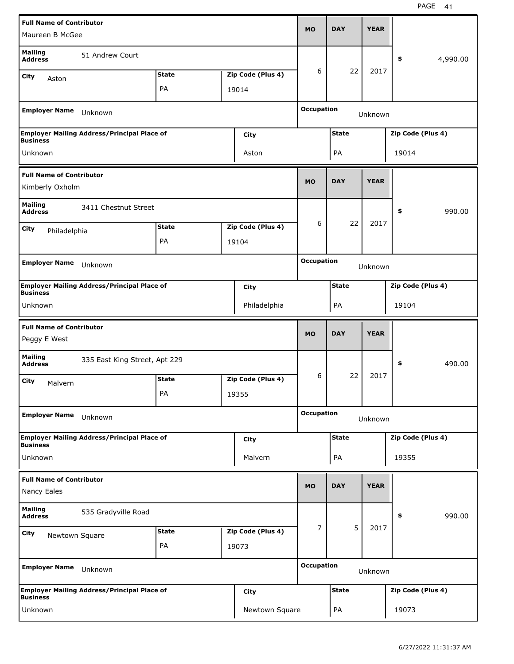| <b>Full Name of Contributor</b>                    |                                                    |              |  |                   |                   | <b>DAY</b>   | <b>YEAR</b> |                   |          |
|----------------------------------------------------|----------------------------------------------------|--------------|--|-------------------|-------------------|--------------|-------------|-------------------|----------|
| Maureen B McGee                                    |                                                    |              |  |                   | <b>MO</b>         |              |             |                   |          |
| <b>Mailing</b><br><b>Address</b>                   | 51 Andrew Court                                    |              |  |                   |                   |              |             | \$                | 4,990.00 |
| City<br>Aston                                      |                                                    | <b>State</b> |  | Zip Code (Plus 4) | 6                 | 22           | 2017        |                   |          |
|                                                    |                                                    | PA           |  | 19014             |                   |              |             |                   |          |
| <b>Employer Name</b>                               | Unknown                                            |              |  |                   | <b>Occupation</b> |              | Unknown     |                   |          |
|                                                    | <b>Employer Mailing Address/Principal Place of</b> |              |  | City              |                   | <b>State</b> |             | Zip Code (Plus 4) |          |
| <b>Business</b>                                    |                                                    |              |  |                   |                   |              |             |                   |          |
| Unknown                                            |                                                    |              |  | Aston             |                   | PA           |             | 19014             |          |
| <b>Full Name of Contributor</b><br>Kimberly Oxholm |                                                    |              |  |                   | <b>MO</b>         | <b>DAY</b>   | <b>YEAR</b> |                   |          |
| <b>Mailing</b><br><b>Address</b>                   | 3411 Chestnut Street                               |              |  |                   |                   |              |             | \$                | 990.00   |
| City<br>Philadelphia                               |                                                    | <b>State</b> |  | Zip Code (Plus 4) | 6                 | 22           | 2017        |                   |          |
|                                                    |                                                    | PA           |  | 19104             |                   |              |             |                   |          |
|                                                    |                                                    |              |  |                   | <b>Occupation</b> |              |             |                   |          |
| <b>Employer Name</b>                               | Unknown                                            |              |  |                   |                   |              | Unknown     |                   |          |
| <b>Business</b>                                    | <b>Employer Mailing Address/Principal Place of</b> |              |  | City              |                   | <b>State</b> |             | Zip Code (Plus 4) |          |
| Unknown                                            |                                                    |              |  | Philadelphia      |                   | PA           |             | 19104             |          |
|                                                    |                                                    |              |  |                   |                   |              |             |                   |          |
|                                                    |                                                    |              |  |                   |                   |              |             |                   |          |
| <b>Full Name of Contributor</b><br>Peggy E West    |                                                    |              |  |                   | <b>MO</b>         | <b>DAY</b>   | <b>YEAR</b> |                   |          |
| <b>Mailing</b><br><b>Address</b>                   | 335 East King Street, Apt 229                      |              |  |                   |                   |              |             | \$                | 490.00   |
| City                                               |                                                    | <b>State</b> |  | Zip Code (Plus 4) | 6                 | 22           | 2017        |                   |          |
| Malvern                                            |                                                    | PА           |  | 19355             |                   |              |             |                   |          |
| <b>Employer Name</b>                               | Unknown                                            |              |  |                   | <b>Occupation</b> |              | Unknown     |                   |          |
|                                                    | <b>Employer Mailing Address/Principal Place of</b> |              |  |                   |                   | <b>State</b> |             | Zip Code (Plus 4) |          |
| <b>Business</b>                                    |                                                    |              |  | City              |                   |              |             |                   |          |
| Unknown                                            |                                                    |              |  | Malvern           |                   | PA           |             | 19355             |          |
| <b>Full Name of Contributor</b><br>Nancy Eales     |                                                    |              |  |                   | <b>MO</b>         | <b>DAY</b>   | <b>YEAR</b> |                   |          |
| <b>Mailing</b><br><b>Address</b>                   | 535 Gradyville Road                                |              |  |                   |                   |              |             | \$                | 990.00   |
| City                                               |                                                    | <b>State</b> |  | Zip Code (Plus 4) | 7                 | 5            | 2017        |                   |          |
| Newtown Square                                     |                                                    | PA           |  | 19073             |                   |              |             |                   |          |
| <b>Employer Name</b>                               | Unknown                                            |              |  |                   | <b>Occupation</b> |              | Unknown     |                   |          |
| <b>Business</b>                                    | <b>Employer Mailing Address/Principal Place of</b> |              |  | City              |                   | <b>State</b> |             | Zip Code (Plus 4) |          |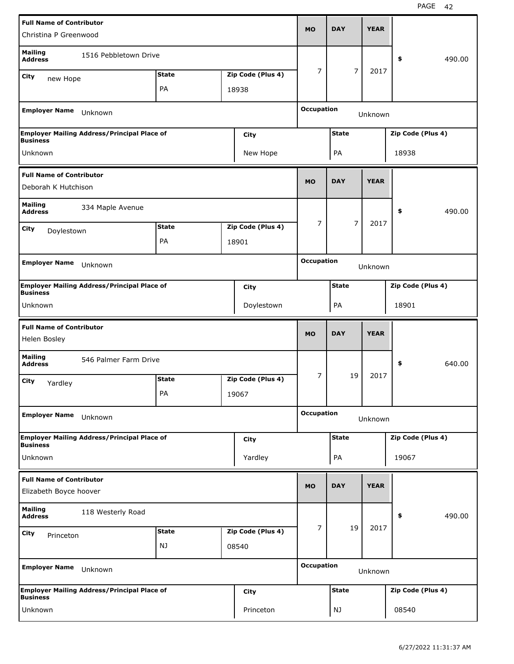| <b>Full Name of Contributor</b>                           |                                                    |              |  |                   |                   | <b>DAY</b>     | <b>YEAR</b> |                   |        |
|-----------------------------------------------------------|----------------------------------------------------|--------------|--|-------------------|-------------------|----------------|-------------|-------------------|--------|
| Christina P Greenwood                                     |                                                    |              |  |                   | <b>MO</b>         |                |             |                   |        |
| <b>Mailing</b><br><b>Address</b>                          | 1516 Pebbletown Drive                              |              |  |                   |                   |                |             | \$                | 490.00 |
| City<br>new Hope                                          |                                                    | <b>State</b> |  | Zip Code (Plus 4) | 7                 | $\overline{7}$ | 2017        |                   |        |
|                                                           |                                                    | PA           |  | 18938             |                   |                |             |                   |        |
|                                                           |                                                    |              |  |                   | <b>Occupation</b> |                |             |                   |        |
| <b>Employer Name</b>                                      | Unknown                                            |              |  |                   |                   |                | Unknown     |                   |        |
| <b>Business</b>                                           | <b>Employer Mailing Address/Principal Place of</b> |              |  | City              |                   | <b>State</b>   |             | Zip Code (Plus 4) |        |
| Unknown                                                   |                                                    |              |  | New Hope          |                   | PA             |             | 18938             |        |
| <b>Full Name of Contributor</b>                           |                                                    |              |  |                   |                   |                |             |                   |        |
| Deborah K Hutchison                                       |                                                    |              |  |                   | <b>MO</b>         | <b>DAY</b>     | <b>YEAR</b> |                   |        |
| <b>Mailing</b><br><b>Address</b>                          | 334 Maple Avenue                                   |              |  |                   |                   |                |             | \$                | 490.00 |
| City<br>Doylestown                                        |                                                    | <b>State</b> |  | Zip Code (Plus 4) | 7                 | 7              | 2017        |                   |        |
|                                                           |                                                    | PA           |  | 18901             |                   |                |             |                   |        |
|                                                           |                                                    |              |  |                   | <b>Occupation</b> |                |             |                   |        |
| <b>Employer Name</b>                                      | Unknown                                            |              |  |                   |                   |                | Unknown     |                   |        |
| <b>Business</b>                                           | <b>Employer Mailing Address/Principal Place of</b> |              |  | City              |                   | <b>State</b>   |             | Zip Code (Plus 4) |        |
| Unknown                                                   |                                                    |              |  | Doylestown        |                   | PA             |             | 18901             |        |
|                                                           |                                                    |              |  |                   |                   |                |             |                   |        |
|                                                           |                                                    |              |  |                   |                   |                |             |                   |        |
| <b>Full Name of Contributor</b><br>Helen Bosley           |                                                    |              |  |                   | <b>MO</b>         | <b>DAY</b>     | <b>YEAR</b> |                   |        |
| <b>Mailing</b>                                            |                                                    |              |  |                   |                   |                |             |                   |        |
| <b>Address</b>                                            | 546 Palmer Farm Drive                              |              |  |                   |                   |                |             | \$                | 640.00 |
| City<br>Yardley                                           |                                                    | <b>State</b> |  | Zip Code (Plus 4) | 7                 | 19             | 2017        |                   |        |
|                                                           |                                                    | PА           |  | 19067             |                   |                |             |                   |        |
| <b>Employer Name</b>                                      | Unknown                                            |              |  |                   | <b>Occupation</b> |                | Unknown     |                   |        |
|                                                           | <b>Employer Mailing Address/Principal Place of</b> |              |  | City              |                   | <b>State</b>   |             | Zip Code (Plus 4) |        |
| <b>Business</b>                                           |                                                    |              |  |                   |                   |                |             |                   |        |
| Unknown                                                   |                                                    |              |  | Yardley           |                   | PA             |             | 19067             |        |
| <b>Full Name of Contributor</b><br>Elizabeth Boyce hoover |                                                    |              |  |                   | <b>MO</b>         | <b>DAY</b>     | <b>YEAR</b> |                   |        |
| <b>Mailing</b><br><b>Address</b>                          | 118 Westerly Road                                  |              |  |                   |                   |                |             | \$                | 490.00 |
|                                                           |                                                    | <b>State</b> |  | Zip Code (Plus 4) | 7                 | 19             | 2017        |                   |        |
| City<br>Princeton                                         |                                                    | NJ           |  | 08540             |                   |                |             |                   |        |
|                                                           |                                                    |              |  |                   |                   |                |             |                   |        |
| <b>Employer Name</b>                                      | Unknown                                            |              |  |                   | <b>Occupation</b> |                | Unknown     |                   |        |
| <b>Business</b>                                           | <b>Employer Mailing Address/Principal Place of</b> |              |  | City              |                   | <b>State</b>   |             | Zip Code (Plus 4) |        |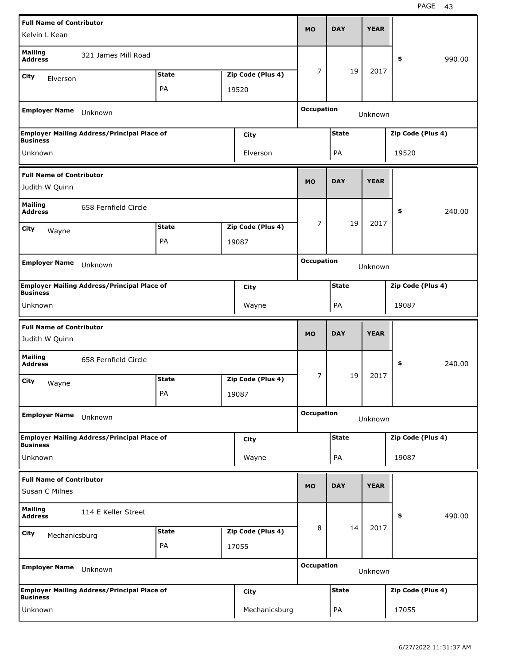| <b>Full Name of Contributor</b>                                      |                                                    |              |  |                   |                   |              | <b>YEAR</b> |                   |        |
|----------------------------------------------------------------------|----------------------------------------------------|--------------|--|-------------------|-------------------|--------------|-------------|-------------------|--------|
| Kelvin L Kean                                                        |                                                    |              |  |                   | <b>MO</b>         | <b>DAY</b>   |             |                   |        |
| <b>Mailing</b><br><b>Address</b>                                     | 321 James Mill Road                                |              |  |                   |                   |              |             | \$                | 990.00 |
| City<br>Elverson                                                     |                                                    | <b>State</b> |  | Zip Code (Plus 4) | 7                 | 19           | 2017        |                   |        |
|                                                                      |                                                    | PA           |  | 19520             |                   |              |             |                   |        |
| <b>Employer Name</b>                                                 | Unknown                                            |              |  |                   | <b>Occupation</b> |              | Unknown     |                   |        |
| <b>Business</b>                                                      | <b>Employer Mailing Address/Principal Place of</b> |              |  | City              |                   | <b>State</b> |             | Zip Code (Plus 4) |        |
| Unknown                                                              |                                                    |              |  | Elverson          |                   | PA           |             | 19520             |        |
| <b>Full Name of Contributor</b>                                      |                                                    |              |  |                   | <b>MO</b>         | <b>DAY</b>   | <b>YEAR</b> |                   |        |
| Judith W Quinn                                                       |                                                    |              |  |                   |                   |              |             |                   |        |
| <b>Mailing</b><br><b>Address</b>                                     | 658 Fernfield Circle                               |              |  |                   |                   |              |             | \$                | 240.00 |
| City<br>Wayne                                                        |                                                    | <b>State</b> |  | Zip Code (Plus 4) | 7                 | 19           | 2017        |                   |        |
|                                                                      |                                                    | PA           |  | 19087             |                   |              |             |                   |        |
|                                                                      |                                                    |              |  |                   | <b>Occupation</b> |              |             |                   |        |
| <b>Employer Name</b>                                                 | Unknown                                            |              |  |                   |                   |              | Unknown     |                   |        |
| <b>Business</b>                                                      | <b>Employer Mailing Address/Principal Place of</b> |              |  | City              |                   | <b>State</b> |             | Zip Code (Plus 4) |        |
| Unknown                                                              |                                                    |              |  | Wayne             |                   | PA           |             | 19087             |        |
|                                                                      |                                                    |              |  |                   |                   |              |             |                   |        |
| <b>Full Name of Contributor</b><br>Judith W Quinn                    |                                                    |              |  |                   | <b>MO</b>         | <b>DAY</b>   | <b>YEAR</b> |                   |        |
| <b>Mailing</b><br><b>Address</b>                                     | 658 Fernfield Circle                               |              |  |                   |                   |              |             | \$                | 240.00 |
| City                                                                 |                                                    | <b>State</b> |  | Zip Code (Plus 4) | 7                 | 19           | 2017        |                   |        |
| Wayne                                                                |                                                    | PA           |  | 19087             |                   |              |             |                   |        |
| <b>Employer Name</b>                                                 | Unknown                                            |              |  |                   | <b>Occupation</b> |              | Unknown     |                   |        |
|                                                                      | <b>Employer Mailing Address/Principal Place of</b> |              |  | City              |                   | <b>State</b> |             | Zip Code (Plus 4) |        |
| Unknown                                                              |                                                    |              |  | Wayne             |                   | PA           |             | 19087             |        |
| <b>Business</b><br><b>Full Name of Contributor</b><br>Susan C Milnes |                                                    |              |  |                   | <b>MO</b>         | <b>DAY</b>   | <b>YEAR</b> |                   |        |
| <b>Mailing</b><br><b>Address</b>                                     | 114 E Keller Street                                |              |  |                   |                   |              |             | \$                | 490.00 |
| City                                                                 |                                                    | <b>State</b> |  | Zip Code (Plus 4) | 8                 | 14           | 2017        |                   |        |
| Mechanicsburg                                                        |                                                    | PA           |  | 17055             |                   |              |             |                   |        |
| <b>Employer Name</b>                                                 | Unknown                                            |              |  |                   | <b>Occupation</b> |              | Unknown     |                   |        |
| <b>Business</b>                                                      | <b>Employer Mailing Address/Principal Place of</b> |              |  | City              |                   | <b>State</b> |             | Zip Code (Plus 4) |        |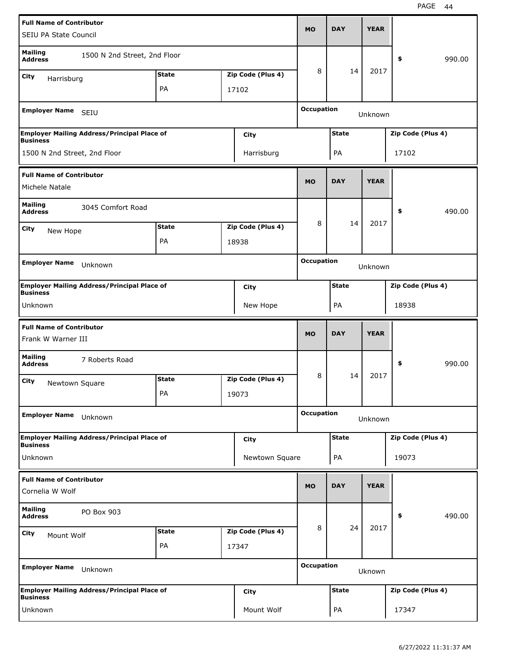| <b>Full Name of Contributor</b>  |                                                    |              |  |                   |                              |              |             |                   |        |
|----------------------------------|----------------------------------------------------|--------------|--|-------------------|------------------------------|--------------|-------------|-------------------|--------|
| <b>SEIU PA State Council</b>     |                                                    |              |  |                   | <b>MO</b>                    | <b>DAY</b>   | <b>YEAR</b> |                   |        |
| <b>Mailing</b><br><b>Address</b> | 1500 N 2nd Street, 2nd Floor                       |              |  |                   |                              |              |             | \$                | 990.00 |
| City<br>Harrisburg               |                                                    | <b>State</b> |  | Zip Code (Plus 4) | 8                            | 14           | 2017        |                   |        |
|                                  |                                                    | PA           |  | 17102             |                              |              |             |                   |        |
| <b>Employer Name</b>             | SEIU                                               |              |  |                   | <b>Occupation</b><br>Unknown |              |             |                   |        |
| <b>Business</b>                  | <b>Employer Mailing Address/Principal Place of</b> |              |  | City              |                              | <b>State</b> |             | Zip Code (Plus 4) |        |
| 1500 N 2nd Street, 2nd Floor     |                                                    |              |  | Harrisburg        |                              | PA           |             | 17102             |        |
| <b>Full Name of Contributor</b>  |                                                    |              |  |                   |                              |              |             |                   |        |
| Michele Natale                   |                                                    |              |  |                   | <b>MO</b>                    | <b>DAY</b>   | <b>YEAR</b> |                   |        |
| <b>Mailing</b><br><b>Address</b> | 3045 Comfort Road                                  |              |  |                   |                              |              |             | \$                | 490.00 |
| City<br>New Hope                 |                                                    | <b>State</b> |  | Zip Code (Plus 4) | 8                            | 14           | 2017        |                   |        |
|                                  |                                                    | PA           |  | 18938             |                              |              |             |                   |        |
|                                  |                                                    |              |  |                   | <b>Occupation</b>            |              |             |                   |        |
| <b>Employer Name</b>             | Unknown                                            |              |  |                   |                              |              | Unknown     |                   |        |
| <b>Business</b>                  | <b>Employer Mailing Address/Principal Place of</b> |              |  | City              |                              | <b>State</b> |             | Zip Code (Plus 4) |        |
| Unknown                          |                                                    |              |  | New Hope          |                              | PA           |             | 18938             |        |
|                                  |                                                    |              |  |                   |                              |              |             |                   |        |
| <b>Full Name of Contributor</b>  |                                                    |              |  |                   |                              |              |             |                   |        |
| Frank W Warner III               |                                                    |              |  |                   | <b>MO</b>                    | <b>DAY</b>   | <b>YEAR</b> |                   |        |
| <b>Mailing</b><br><b>Address</b> | 7 Roberts Road                                     |              |  |                   |                              |              |             | \$                | 990.00 |
| City                             |                                                    | <b>State</b> |  | Zip Code (Plus 4) | 8                            | 14           | 2017        |                   |        |
| Newtown Square                   |                                                    | PА           |  | 19073             |                              |              |             |                   |        |
| <b>Employer Name</b>             | Unknown                                            |              |  |                   | <b>Occupation</b>            |              | Unknown     |                   |        |
|                                  | <b>Employer Mailing Address/Principal Place of</b> |              |  | City              |                              | <b>State</b> |             | Zip Code (Plus 4) |        |
| <b>Business</b><br>Unknown       |                                                    |              |  | Newtown Square    |                              | PA           |             | 19073             |        |
| <b>Full Name of Contributor</b>  |                                                    |              |  |                   |                              |              |             |                   |        |
| Cornelia W Wolf                  |                                                    |              |  |                   | <b>MO</b>                    | <b>DAY</b>   | <b>YEAR</b> |                   |        |
| <b>Mailing</b><br><b>Address</b> | PO Box 903                                         |              |  |                   |                              |              |             | \$                | 490.00 |
| City<br>Mount Wolf               |                                                    | <b>State</b> |  | Zip Code (Plus 4) | 8                            | 24           | 2017        |                   |        |
|                                  |                                                    | PA           |  | 17347             |                              |              |             |                   |        |
| <b>Employer Name</b>             | Unknown                                            |              |  |                   | <b>Occupation</b>            |              | Uknown      |                   |        |
| <b>Business</b>                  | <b>Employer Mailing Address/Principal Place of</b> |              |  | City              |                              | <b>State</b> |             | Zip Code (Plus 4) |        |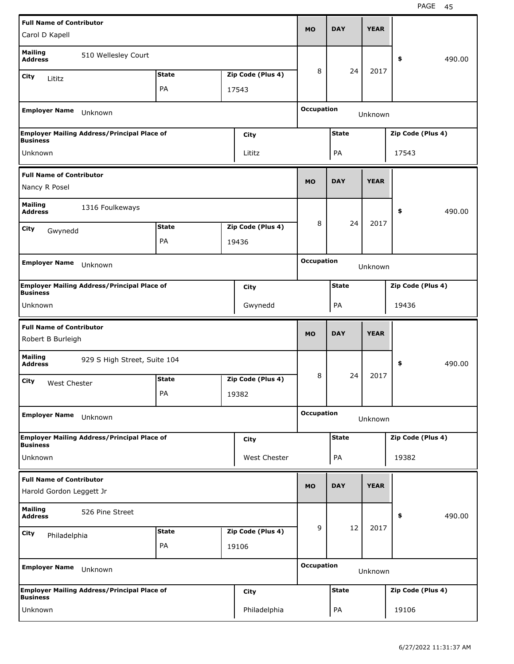| <b>Full Name of Contributor</b>                             |                                                    |              |                   | <b>MO</b>         | <b>DAY</b>   | <b>YEAR</b> |                   |        |
|-------------------------------------------------------------|----------------------------------------------------|--------------|-------------------|-------------------|--------------|-------------|-------------------|--------|
| Carol D Kapell                                              |                                                    |              |                   |                   |              |             |                   |        |
| <b>Mailing</b><br><b>Address</b>                            | 510 Wellesley Court                                |              |                   |                   |              |             | \$                | 490.00 |
| City<br>Lititz                                              |                                                    | <b>State</b> | Zip Code (Plus 4) | 8                 | 24           | 2017        |                   |        |
|                                                             |                                                    | PA           | 17543             |                   |              |             |                   |        |
| <b>Employer Name</b>                                        | Unknown                                            |              |                   | <b>Occupation</b> |              | Unknown     |                   |        |
| <b>Business</b>                                             | <b>Employer Mailing Address/Principal Place of</b> |              | City              |                   | <b>State</b> |             | Zip Code (Plus 4) |        |
| Unknown                                                     |                                                    |              | Lititz            |                   | PA           |             | 17543             |        |
| <b>Full Name of Contributor</b>                             |                                                    |              |                   |                   | <b>DAY</b>   | <b>YEAR</b> |                   |        |
| Nancy R Posel                                               |                                                    |              |                   | <b>MO</b>         |              |             |                   |        |
| <b>Mailing</b><br><b>Address</b>                            | 1316 Foulkeways                                    |              |                   |                   |              |             | \$                | 490.00 |
| City<br>Gwynedd                                             |                                                    | <b>State</b> | Zip Code (Plus 4) | 8                 | 24           | 2017        |                   |        |
|                                                             |                                                    | PA           | 19436             |                   |              |             |                   |        |
| <b>Employer Name</b>                                        | Unknown                                            |              |                   | <b>Occupation</b> |              | Unknown     |                   |        |
|                                                             | <b>Employer Mailing Address/Principal Place of</b> |              | City              |                   | <b>State</b> |             | Zip Code (Plus 4) |        |
| <b>Business</b>                                             |                                                    |              |                   |                   |              |             | 19436             |        |
| Unknown                                                     |                                                    |              | Gwynedd           |                   | PA           |             |                   |        |
|                                                             |                                                    |              |                   |                   |              |             |                   |        |
| <b>Full Name of Contributor</b><br>Robert B Burleigh        |                                                    |              |                   | <b>MO</b>         | <b>DAY</b>   | <b>YEAR</b> |                   |        |
| <b>Mailing</b><br><b>Address</b>                            | 929 S High Street, Suite 104                       |              |                   |                   |              |             | \$                | 490.00 |
| City<br>West Chester                                        |                                                    | <b>State</b> | Zip Code (Plus 4) | 8                 | 24           | 2017        |                   |        |
|                                                             |                                                    | PA           | 19382             |                   |              |             |                   |        |
| <b>Employer Name</b>                                        | Unknown                                            |              |                   | <b>Occupation</b> |              | Unknown     |                   |        |
|                                                             | <b>Employer Mailing Address/Principal Place of</b> |              | City              |                   | <b>State</b> |             | Zip Code (Plus 4) |        |
| <b>Business</b><br>Unknown                                  |                                                    |              | West Chester      |                   | PA           |             | 19382             |        |
| <b>Full Name of Contributor</b><br>Harold Gordon Leggett Jr |                                                    |              |                   | <b>MO</b>         | <b>DAY</b>   | <b>YEAR</b> |                   |        |
| <b>Mailing</b><br><b>Address</b>                            | 526 Pine Street                                    |              |                   |                   |              |             | \$                | 490.00 |
|                                                             |                                                    | <b>State</b> | Zip Code (Plus 4) | 9                 | 12           | 2017        |                   |        |
| City<br>Philadelphia                                        |                                                    | PA           | 19106             |                   |              |             |                   |        |
| <b>Employer Name</b>                                        | Unknown                                            |              |                   | <b>Occupation</b> |              | Unknown     |                   |        |
| <b>Business</b>                                             | <b>Employer Mailing Address/Principal Place of</b> |              | City              |                   | <b>State</b> |             | Zip Code (Plus 4) |        |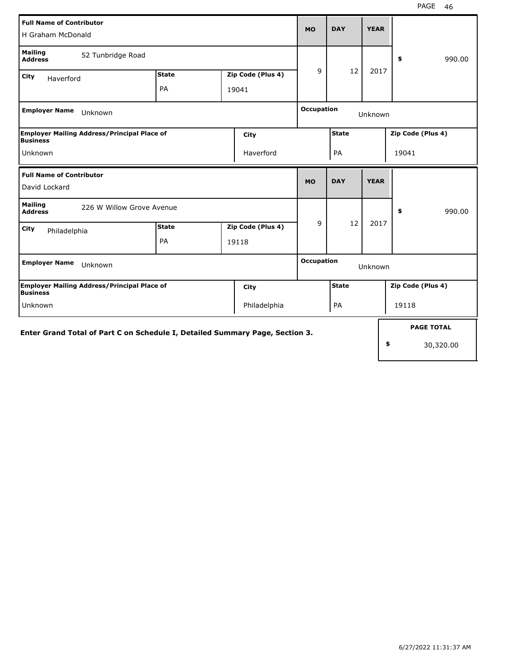| <b>Full Name of Contributor</b><br>H Graham McDonald                         |                                   | <b>MO</b> | <b>DAY</b>        | <b>YEAR</b>       |                   |             |                   |
|------------------------------------------------------------------------------|-----------------------------------|-----------|-------------------|-------------------|-------------------|-------------|-------------------|
| <b>Mailing</b><br>52 Tunbridge Road<br><b>Address</b>                        |                                   |           |                   |                   |                   |             | 990.00<br>\$      |
| City<br>Haverford                                                            | Zip Code (Plus 4)<br><b>State</b> |           |                   | 9                 | 12                | 2017        |                   |
|                                                                              | PA                                | 19041     |                   |                   |                   |             |                   |
| <b>Employer Name</b><br>Unknown                                              |                                   |           |                   |                   | <b>Occupation</b> | Unknown     |                   |
| <b>Employer Mailing Address/Principal Place of</b><br>Business               |                                   |           | <b>City</b>       |                   | <b>State</b>      |             | Zip Code (Plus 4) |
| Unknown                                                                      |                                   |           | Haverford         |                   | PA                |             | 19041             |
| <b>Full Name of Contributor</b>                                              |                                   |           |                   | <b>MO</b>         | <b>DAY</b>        | <b>YEAR</b> |                   |
| David Lockard                                                                |                                   |           |                   |                   |                   |             |                   |
| <b>Mailing</b><br>226 W Willow Grove Avenue<br><b>Address</b>                |                                   |           |                   |                   |                   |             | 990.00<br>\$      |
| City<br>Philadelphia                                                         | <b>State</b>                      |           | Zip Code (Plus 4) | 9                 | 12                | 2017        |                   |
|                                                                              | PA                                |           | 19118             |                   |                   |             |                   |
| <b>Employer Name</b><br>Unknown                                              |                                   |           |                   | <b>Occupation</b> |                   | Unknown     |                   |
| Employer Mailing Address/Principal Place of<br>Business                      |                                   |           | City              |                   | <b>State</b>      |             | Zip Code (Plus 4) |
| Unknown                                                                      |                                   |           | Philadelphia      |                   | PA                |             | 19118             |
| Enter Grand Total of Part C on Schedule I, Detailed Summary Page, Section 3. |                                   |           |                   |                   |                   |             | <b>PAGE TOTAL</b> |
|                                                                              |                                   |           |                   | \$<br>30,320.00   |                   |             |                   |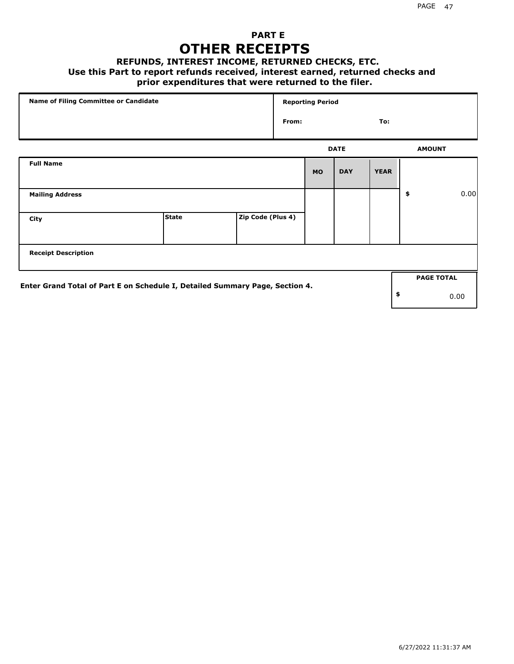### **PART E OTHER RECEIPTS**

#### **REFUNDS, INTEREST INCOME, RETURNED CHECKS, ETC.**

#### **Use this Part to report refunds received, interest earned, returned checks and**

### **prior expenditures that were returned to the filer.**

| Name of Filing Committee or Candidate                                        |              |                   | <b>Reporting Period</b> |           |             |             |    |                   |      |
|------------------------------------------------------------------------------|--------------|-------------------|-------------------------|-----------|-------------|-------------|----|-------------------|------|
|                                                                              |              |                   | From:                   |           |             | To:         |    |                   |      |
|                                                                              |              |                   |                         |           | <b>DATE</b> |             |    | <b>AMOUNT</b>     |      |
| <b>Full Name</b>                                                             |              |                   |                         | <b>MO</b> | <b>DAY</b>  | <b>YEAR</b> |    |                   |      |
| <b>Mailing Address</b>                                                       |              |                   |                         |           |             |             | \$ |                   | 0.00 |
| City                                                                         | <b>State</b> | Zip Code (Plus 4) |                         |           |             |             |    |                   |      |
| <b>Receipt Description</b>                                                   |              |                   |                         |           |             |             |    |                   |      |
|                                                                              |              |                   |                         |           |             |             |    | <b>PAGE TOTAL</b> |      |
| Enter Grand Total of Part E on Schedule I, Detailed Summary Page, Section 4. |              |                   |                         |           |             |             | \$ |                   | 0.00 |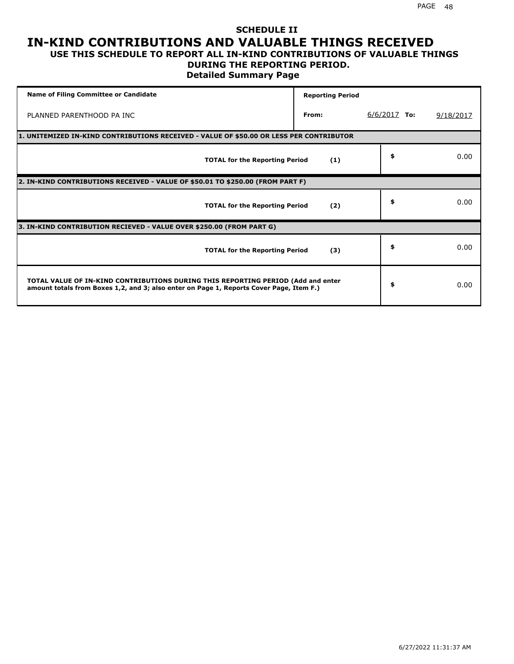#### **SCHEDULE II IN-KIND CONTRIBUTIONS AND VALUABLE THINGS RECEIVED USE THIS SCHEDULE TO REPORT ALL IN-KIND CONTRIBUTIONS OF VALUABLE THINGS**

#### **DURING THE REPORTING PERIOD.**

**Detailed Summary Page**

| <b>Name of Filing Committee or Candidate</b>                                                                                                                                | <b>Reporting Period</b> |                |           |
|-----------------------------------------------------------------------------------------------------------------------------------------------------------------------------|-------------------------|----------------|-----------|
| PLANNED PARENTHOOD PA INC                                                                                                                                                   | From:                   | $6/6/2017$ To: | 9/18/2017 |
| 1. UNITEMIZED IN-KIND CONTRIBUTIONS RECEIVED - VALUE OF \$50.00 OR LESS PER CONTRIBUTOR                                                                                     |                         |                |           |
| <b>TOTAL for the Reporting Period</b>                                                                                                                                       | (1)                     | \$             | 0.00      |
| 2. IN-KIND CONTRIBUTIONS RECEIVED - VALUE OF \$50.01 TO \$250.00 (FROM PART F)                                                                                              |                         |                |           |
| <b>TOTAL for the Reporting Period</b>                                                                                                                                       | (2)                     | \$             | 0.00      |
| 3. IN-KIND CONTRIBUTION RECIEVED - VALUE OVER \$250.00 (FROM PART G)                                                                                                        |                         |                |           |
| <b>TOTAL for the Reporting Period</b>                                                                                                                                       | (3)                     | \$             | 0.00      |
| TOTAL VALUE OF IN-KIND CONTRIBUTIONS DURING THIS REPORTING PERIOD (Add and enter<br>amount totals from Boxes 1,2, and 3; also enter on Page 1, Reports Cover Page, Item F.) |                         | \$             | 0.00      |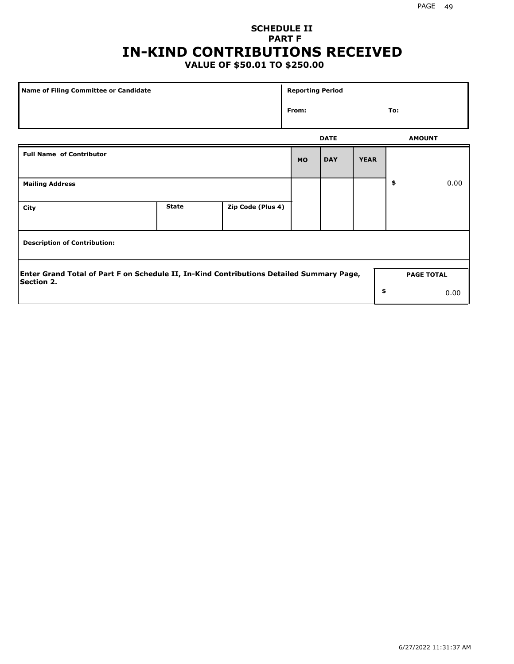# **SCHEDULE II PART F IN-KIND CONTRIBUTIONS RECEIVED**

## **VALUE OF \$50.01 TO \$250.00**

| Name of Filing Committee or Candidate                                                                         |              |                   | <b>Reporting Period</b> |             |             |               |                   |  |
|---------------------------------------------------------------------------------------------------------------|--------------|-------------------|-------------------------|-------------|-------------|---------------|-------------------|--|
| From:                                                                                                         |              |                   |                         |             |             | To:           |                   |  |
|                                                                                                               |              |                   |                         | <b>DATE</b> |             | <b>AMOUNT</b> |                   |  |
| <b>Full Name of Contributor</b>                                                                               |              |                   | <b>MO</b>               | <b>DAY</b>  | <b>YEAR</b> |               |                   |  |
| <b>Mailing Address</b>                                                                                        |              |                   |                         |             |             | \$            | 0.00              |  |
| City                                                                                                          | <b>State</b> | Zip Code (Plus 4) |                         |             |             |               |                   |  |
| <b>Description of Contribution:</b>                                                                           |              |                   |                         |             |             |               |                   |  |
| Enter Grand Total of Part F on Schedule II, In-Kind Contributions Detailed Summary Page,<br><b>Section 2.</b> |              |                   |                         |             |             |               | <b>PAGE TOTAL</b> |  |
|                                                                                                               |              |                   |                         |             | \$          |               | 0.00              |  |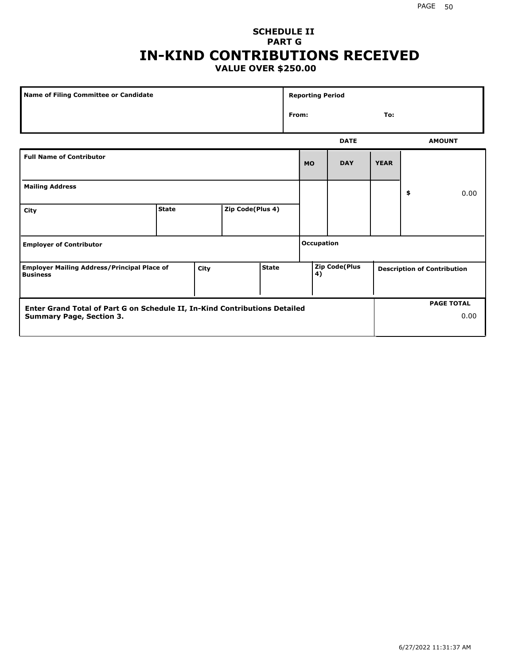#### **SCHEDULE II PART G IN-KIND CONTRIBUTIONS RECEIVED VALUE OVER \$250.00**

| Name of Filing Committee or Candidate                                                         |              |  |                  |  |       | <b>Reporting Period</b> |                                                     |             |    |               |
|-----------------------------------------------------------------------------------------------|--------------|--|------------------|--|-------|-------------------------|-----------------------------------------------------|-------------|----|---------------|
|                                                                                               |              |  |                  |  | From: |                         |                                                     | To:         |    |               |
|                                                                                               |              |  |                  |  |       |                         | <b>DATE</b>                                         |             |    | <b>AMOUNT</b> |
| <b>Full Name of Contributor</b>                                                               |              |  |                  |  |       | <b>MO</b>               | <b>DAY</b>                                          | <b>YEAR</b> |    |               |
| <b>Mailing Address</b>                                                                        |              |  |                  |  |       |                         |                                                     |             | \$ | 0.00          |
| City                                                                                          | <b>State</b> |  | Zip Code(Plus 4) |  |       |                         |                                                     |             |    |               |
| <b>Employer of Contributor</b>                                                                |              |  |                  |  |       | <b>Occupation</b>       |                                                     |             |    |               |
| <b>State</b><br><b>Employer Mailing Address/Principal Place of</b><br>City<br><b>Business</b> |              |  |                  |  |       | 4)                      | Zip Code(Plus<br><b>Description of Contribution</b> |             |    |               |

| <b>Enter Grand Total of Part G on Schedule II, In-Kind Contributions Detailed</b> | <b>PAGE TOTAL</b> |  |      |
|-----------------------------------------------------------------------------------|-------------------|--|------|
| <b>Summary Page, Section 3.</b>                                                   |                   |  | 0.00 |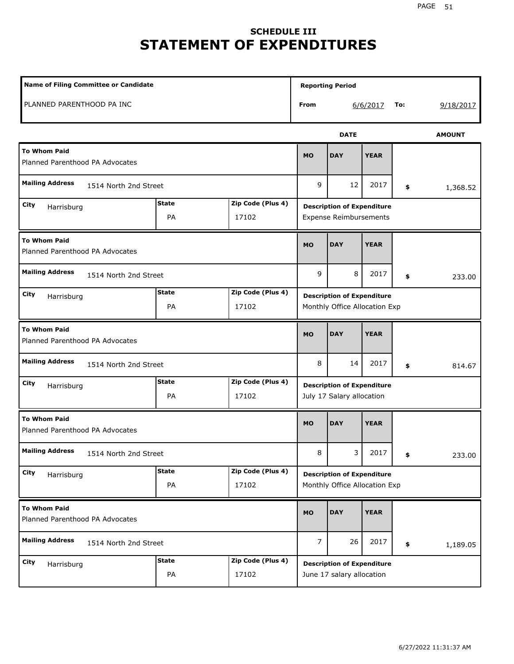# **SCHEDULE III STATEMENT OF EXPENDITURES**

| Name of Filing Committee or Candidate                                  |                    |                            |                                                                    | <b>Reporting Period</b>                                            |             |    |          |  |
|------------------------------------------------------------------------|--------------------|----------------------------|--------------------------------------------------------------------|--------------------------------------------------------------------|-------------|----|----------|--|
| PLANNED PARENTHOOD PA INC                                              |                    |                            | From                                                               | 6/6/2017<br>9/18/2017<br>To:                                       |             |    |          |  |
|                                                                        |                    | <b>AMOUNT</b>              |                                                                    |                                                                    |             |    |          |  |
| <b>To Whom Paid</b><br>Planned Parenthood PA Advocates                 | <b>MO</b>          | <b>DAY</b>                 | <b>YEAR</b>                                                        |                                                                    |             |    |          |  |
| <b>Mailing Address</b><br>1514 North 2nd Street                        |                    |                            |                                                                    | 12                                                                 | 2017        | \$ | 1,368.52 |  |
| Zip Code (Plus 4)<br><b>State</b><br>City<br>Harrisburg<br>PA<br>17102 |                    |                            |                                                                    | <b>Description of Expenditure</b><br><b>Expense Reimbursements</b> |             |    |          |  |
| <b>To Whom Paid</b><br>Planned Parenthood PA Advocates                 | <b>MO</b>          | <b>DAY</b>                 | <b>YEAR</b>                                                        |                                                                    |             |    |          |  |
| <b>Mailing Address</b><br>1514 North 2nd Street                        |                    |                            |                                                                    | 8                                                                  | 2017        | \$ | 233.00   |  |
| City<br>Harrisburg                                                     | <b>State</b><br>PA | Zip Code (Plus 4)<br>17102 | <b>Description of Expenditure</b><br>Monthly Office Allocation Exp |                                                                    |             |    |          |  |
| <b>To Whom Paid</b><br>Planned Parenthood PA Advocates                 |                    |                            |                                                                    | <b>DAY</b>                                                         | <b>YEAR</b> |    |          |  |
| <b>Mailing Address</b><br>1514 North 2nd Street                        |                    |                            | 8                                                                  | 14                                                                 | 2017        | \$ | 814.67   |  |
| <b>State</b><br>Zip Code (Plus 4)<br>City<br>Harrisburg<br>PA<br>17102 |                    |                            |                                                                    | <b>Description of Expenditure</b><br>July 17 Salary allocation     |             |    |          |  |
| <b>To Whom Paid</b><br>Planned Parenthood PA Advocates                 |                    |                            |                                                                    | <b>DAY</b>                                                         | <b>YEAR</b> |    |          |  |
| <b>Mailing Address</b><br>1514 North 2nd Street                        |                    |                            | 8                                                                  | 3<br>2017<br>\$                                                    |             |    | 233.00   |  |
| <b>State</b><br>Zip Code (Plus 4)<br>City<br>Harrisburg<br>PA<br>17102 |                    |                            |                                                                    | <b>Description of Expenditure</b><br>Monthly Office Allocation Exp |             |    |          |  |
| <b>To Whom Paid</b><br>Planned Parenthood PA Advocates                 |                    |                            | <b>MO</b>                                                          | <b>DAY</b>                                                         | <b>YEAR</b> |    |          |  |
| <b>Mailing Address</b><br>1514 North 2nd Street                        |                    |                            | $\overline{7}$                                                     | 26                                                                 | 2017        | \$ | 1,189.05 |  |
| City<br>Harrisburg                                                     | <b>State</b><br>PA | Zip Code (Plus 4)<br>17102 |                                                                    | <b>Description of Expenditure</b><br>June 17 salary allocation     |             |    |          |  |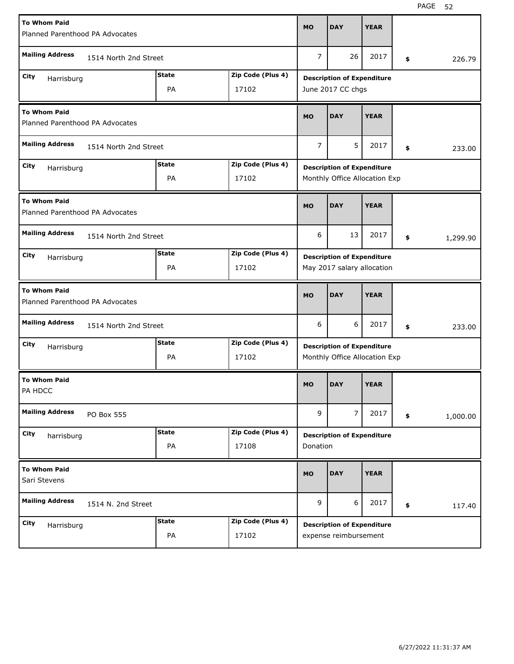| <b>To Whom Paid</b><br>Planned Parenthood PA Advocates  |                       |              |                   |                                   | <b>DAY</b>                                                         | <b>YEAR</b> |    |          |  |
|---------------------------------------------------------|-----------------------|--------------|-------------------|-----------------------------------|--------------------------------------------------------------------|-------------|----|----------|--|
| <b>Mailing Address</b>                                  | 1514 North 2nd Street |              |                   | 7                                 | 26                                                                 | 2017        | \$ | 226.79   |  |
| City                                                    |                       | <b>State</b> | Zip Code (Plus 4) |                                   | <b>Description of Expenditure</b>                                  |             |    |          |  |
| Harrisburg                                              |                       |              | June 2017 CC chgs |                                   |                                                                    |             |    |          |  |
| <b>To Whom Paid</b><br>Planned Parenthood PA Advocates  |                       |              |                   | <b>MO</b>                         | <b>DAY</b>                                                         | <b>YEAR</b> |    |          |  |
| <b>Mailing Address</b><br>1514 North 2nd Street         |                       |              |                   | 7                                 | 5                                                                  | 2017        | \$ | 233.00   |  |
| <b>State</b><br>Zip Code (Plus 4)<br>City<br>Harrisburg |                       |              |                   |                                   | <b>Description of Expenditure</b>                                  |             |    |          |  |
|                                                         |                       | PA           | 17102             |                                   | Monthly Office Allocation Exp                                      |             |    |          |  |
| <b>To Whom Paid</b><br>Planned Parenthood PA Advocates  |                       |              |                   | <b>MO</b>                         | <b>DAY</b>                                                         | <b>YEAR</b> |    |          |  |
| <b>Mailing Address</b>                                  | 1514 North 2nd Street |              |                   |                                   |                                                                    | 2017        | \$ | 1,299.90 |  |
| <b>State</b><br>Zip Code (Plus 4)<br>City<br>Harrisburg |                       |              |                   | <b>Description of Expenditure</b> |                                                                    |             |    |          |  |
|                                                         |                       | PA           | 17102             | May 2017 salary allocation        |                                                                    |             |    |          |  |
| <b>To Whom Paid</b><br>Planned Parenthood PA Advocates  |                       |              |                   |                                   |                                                                    |             |    |          |  |
|                                                         |                       |              |                   | <b>MO</b>                         | <b>DAY</b>                                                         | <b>YEAR</b> |    |          |  |
| <b>Mailing Address</b>                                  | 1514 North 2nd Street |              |                   | 6                                 | 6                                                                  | 2017        | \$ | 233.00   |  |
| City                                                    |                       | State        | Zip Code (Plus 4) |                                   |                                                                    |             |    |          |  |
| Harrisburg                                              |                       | PA           | 17102             |                                   | <b>Description of Expenditure</b><br>Monthly Office Allocation Exp |             |    |          |  |
| <b>To Whom Paid</b><br>PA HDCC                          |                       |              |                   | MO                                | <b>DAY</b>                                                         | <b>YEAR</b> |    |          |  |
| <b>Mailing Address</b>                                  | PO Box 555            |              |                   | 9                                 | $\overline{7}$                                                     | 2017        | \$ | 1,000.00 |  |
| City                                                    |                       | <b>State</b> | Zip Code (Plus 4) |                                   |                                                                    |             |    |          |  |
| harrisburg                                              |                       | PA           | 17108             | Donation                          | <b>Description of Expenditure</b>                                  |             |    |          |  |
| <b>To Whom Paid</b><br>Sari Stevens                     |                       |              |                   | <b>MO</b>                         | <b>DAY</b>                                                         | <b>YEAR</b> |    |          |  |
| <b>Mailing Address</b>                                  | 1514 N. 2nd Street    |              |                   | 9                                 | 6                                                                  | 2017        | \$ | 117.40   |  |
| City<br>Harrisburg                                      |                       | <b>State</b> | Zip Code (Plus 4) |                                   | <b>Description of Expenditure</b>                                  |             |    |          |  |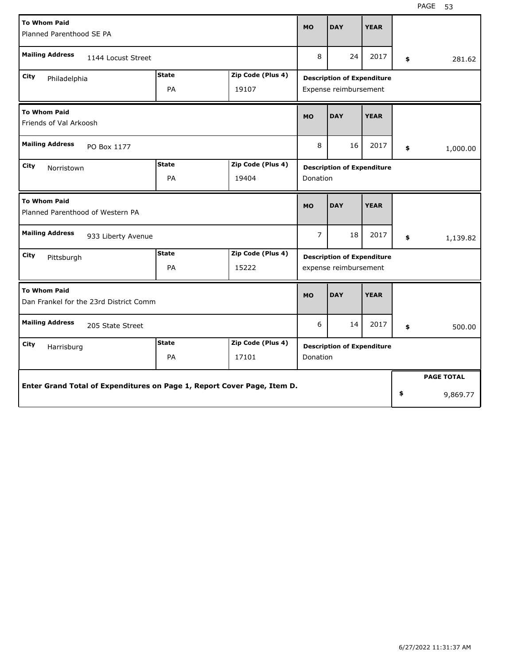| <b>To Whom Paid</b>                                                     | <b>MO</b>          | <b>DAY</b>        | <b>YEAR</b>                       |                                   |             |                       |                   |  |  |  |
|-------------------------------------------------------------------------|--------------------|-------------------|-----------------------------------|-----------------------------------|-------------|-----------------------|-------------------|--|--|--|
| Planned Parenthood SE PA                                                |                    |                   |                                   |                                   |             |                       |                   |  |  |  |
| <b>Mailing Address</b><br>1144 Locust Street                            | 8                  | 24                | 2017                              | \$                                | 281.62      |                       |                   |  |  |  |
| <b>State</b><br>Zip Code (Plus 4)<br>City<br>Philadelphia               |                    |                   |                                   | <b>Description of Expenditure</b> |             |                       |                   |  |  |  |
|                                                                         | <b>PA</b><br>19107 |                   |                                   |                                   |             | Expense reimbursement |                   |  |  |  |
| <b>To Whom Paid</b><br>Friends of Val Arkoosh                           |                    |                   |                                   | <b>DAY</b>                        | <b>YEAR</b> |                       |                   |  |  |  |
| <b>Mailing Address</b><br>PO Box 1177                                   |                    |                   | 8                                 | 16                                | 2017        | \$                    | 1,000.00          |  |  |  |
| <b>State</b><br>Zip Code (Plus 4)<br>City<br>Norristown                 |                    |                   |                                   | <b>Description of Expenditure</b> |             |                       |                   |  |  |  |
|                                                                         | <b>PA</b>          | 19404             | <b>Donation</b>                   |                                   |             |                       |                   |  |  |  |
| <b>To Whom Paid</b><br>Planned Parenthood of Western PA                 |                    |                   |                                   | <b>DAY</b>                        | <b>YEAR</b> |                       |                   |  |  |  |
| <b>Mailing Address</b><br>933 Liberty Avenue                            |                    |                   | $\overline{7}$                    | 18                                | 2017        | \$                    | 1,139.82          |  |  |  |
| City<br>Pittsburgh                                                      | <b>State</b>       | Zip Code (Plus 4) | <b>Description of Expenditure</b> |                                   |             |                       |                   |  |  |  |
|                                                                         | PA                 | 15222             | expense reimbursement             |                                   |             |                       |                   |  |  |  |
| <b>To Whom Paid</b><br>Dan Frankel for the 23rd District Comm           |                    |                   |                                   | <b>DAY</b>                        | <b>YEAR</b> |                       |                   |  |  |  |
| <b>Mailing Address</b><br>205 State Street                              |                    |                   |                                   | 14                                | 2017        | \$                    | 500.00            |  |  |  |
| City<br>Harrisburg                                                      | <b>State</b>       | Zip Code (Plus 4) |                                   | <b>Description of Expenditure</b> |             |                       |                   |  |  |  |
| PA<br>17101<br><b>Donation</b>                                          |                    |                   |                                   |                                   |             |                       |                   |  |  |  |
|                                                                         |                    |                   |                                   |                                   |             |                       | <b>PAGE TOTAL</b> |  |  |  |
| Enter Grand Total of Expenditures on Page 1, Report Cover Page, Item D. |                    |                   |                                   |                                   | \$          | 9,869.77              |                   |  |  |  |